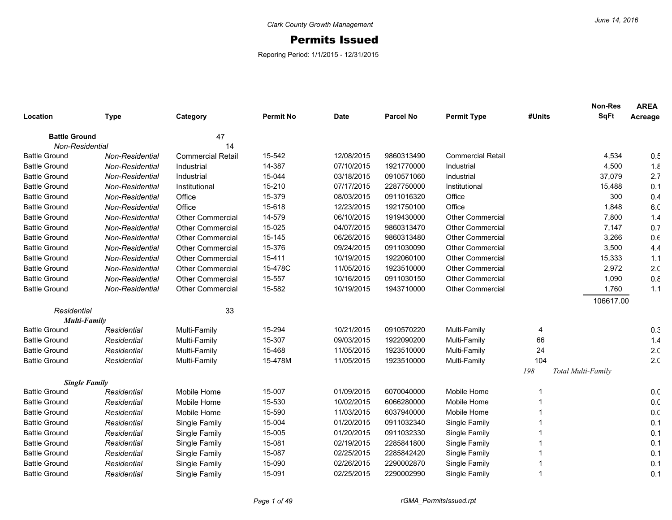## Permits Issued

Reporing Period: 1/1/2015 - 12/31/2015

|                      |                 |                          |                  |             |                  |                          |        | <b>Non-Res</b>     | <b>AREA</b>     |
|----------------------|-----------------|--------------------------|------------------|-------------|------------------|--------------------------|--------|--------------------|-----------------|
| Location             | <b>Type</b>     | Category                 | <b>Permit No</b> | <b>Date</b> | <b>Parcel No</b> | <b>Permit Type</b>       | #Units | <b>SqFt</b>        | Acreage         |
| <b>Battle Ground</b> |                 | 47                       |                  |             |                  |                          |        |                    |                 |
| Non-Residential      |                 | 14                       |                  |             |                  |                          |        |                    |                 |
| <b>Battle Ground</b> | Non-Residential | <b>Commercial Retail</b> | 15-542           | 12/08/2015  | 9860313490       | <b>Commercial Retail</b> |        | 4,534              | 0.5             |
| <b>Battle Ground</b> | Non-Residential | Industrial               | 14-387           | 07/10/2015  | 1921770000       | Industrial               |        | 4,500              | 1.8             |
| <b>Battle Ground</b> | Non-Residential | Industrial               | 15-044           | 03/18/2015  | 0910571060       | Industrial               |        | 37,079             | 2.7             |
| <b>Battle Ground</b> | Non-Residential | Institutional            | 15-210           | 07/17/2015  | 2287750000       | Institutional            |        | 15,488             | 0.1             |
| <b>Battle Ground</b> | Non-Residential | Office                   | 15-379           | 08/03/2015  | 0911016320       | Office                   |        | 300                | 0.4             |
| <b>Battle Ground</b> | Non-Residential | Office                   | 15-618           | 12/23/2015  | 1921750100       | Office                   |        | 1,848              | 6. <sub>C</sub> |
| <b>Battle Ground</b> | Non-Residential | <b>Other Commercial</b>  | 14-579           | 06/10/2015  | 1919430000       | <b>Other Commercial</b>  |        | 7,800              | 1.4             |
| <b>Battle Ground</b> | Non-Residential | <b>Other Commercial</b>  | 15-025           | 04/07/2015  | 9860313470       | <b>Other Commercial</b>  |        | 7,147              | 0.7             |
| <b>Battle Ground</b> | Non-Residential | <b>Other Commercial</b>  | 15-145           | 06/26/2015  | 9860313480       | <b>Other Commercial</b>  |        | 3,266              | 0.6             |
| <b>Battle Ground</b> | Non-Residential | Other Commercial         | 15-376           | 09/24/2015  | 0911030090       | <b>Other Commercial</b>  |        | 3,500              | 4.4             |
| <b>Battle Ground</b> | Non-Residential | <b>Other Commercial</b>  | 15-411           | 10/19/2015  | 1922060100       | <b>Other Commercial</b>  |        | 15,333             | 1.1             |
| <b>Battle Ground</b> | Non-Residential | <b>Other Commercial</b>  | 15-478C          | 11/05/2015  | 1923510000       | <b>Other Commercial</b>  |        | 2,972              | 2.0             |
| <b>Battle Ground</b> | Non-Residential | <b>Other Commercial</b>  | 15-557           | 10/16/2015  | 0911030150       | <b>Other Commercial</b>  |        | 1,090              | 0.8             |
| <b>Battle Ground</b> | Non-Residential | <b>Other Commercial</b>  | 15-582           | 10/19/2015  | 1943710000       | <b>Other Commercial</b>  |        | 1,760              | 1.1             |
|                      |                 |                          |                  |             |                  |                          |        | 106617.00          |                 |
| Residential          |                 | 33                       |                  |             |                  |                          |        |                    |                 |
| <b>Multi-Family</b>  |                 |                          |                  |             |                  |                          |        |                    |                 |
| <b>Battle Ground</b> | Residential     | Multi-Family             | 15-294           | 10/21/2015  | 0910570220       | Multi-Family             | 4      |                    | 0.3             |
| <b>Battle Ground</b> | Residential     | Multi-Family             | 15-307           | 09/03/2015  | 1922090200       | Multi-Family             | 66     |                    | 1.4             |
| <b>Battle Ground</b> | Residential     | Multi-Family             | 15-468           | 11/05/2015  | 1923510000       | Multi-Family             | 24     |                    | 2. <sub>C</sub> |
| <b>Battle Ground</b> | Residential     | Multi-Family             | 15-478M          | 11/05/2015  | 1923510000       | Multi-Family             | 104    |                    | 2. <sub>C</sub> |
|                      |                 |                          |                  |             |                  |                          | 198    | Total Multi-Family |                 |
| <b>Single Family</b> |                 |                          |                  |             |                  |                          |        |                    |                 |
| <b>Battle Ground</b> | Residential     | Mobile Home              | 15-007           | 01/09/2015  | 6070040000       | Mobile Home              | 1      |                    | 0.0             |
| <b>Battle Ground</b> | Residential     | Mobile Home              | 15-530           | 10/02/2015  | 6066280000       | Mobile Home              |        |                    | 0. <sub>C</sub> |
| <b>Battle Ground</b> | Residential     | Mobile Home              | 15-590           | 11/03/2015  | 6037940000       | Mobile Home              |        |                    | 0.0             |
| <b>Battle Ground</b> | Residential     | Single Family            | 15-004           | 01/20/2015  | 0911032340       | Single Family            |        |                    | 0.1             |
| <b>Battle Ground</b> | Residential     | Single Family            | 15-005           | 01/20/2015  | 0911032330       | Single Family            |        |                    | 0.1             |
| <b>Battle Ground</b> | Residential     | Single Family            | 15-081           | 02/19/2015  | 2285841800       | Single Family            |        |                    | 0.1             |
| <b>Battle Ground</b> | Residential     | Single Family            | 15-087           | 02/25/2015  | 2285842420       | Single Family            |        |                    | 0.1             |
| <b>Battle Ground</b> | Residential     | Single Family            | 15-090           | 02/26/2015  | 2290002870       | Single Family            |        |                    | 0.1             |
| <b>Battle Ground</b> | Residential     | Single Family            | 15-091           | 02/25/2015  | 2290002990       | Single Family            |        |                    | 0.1             |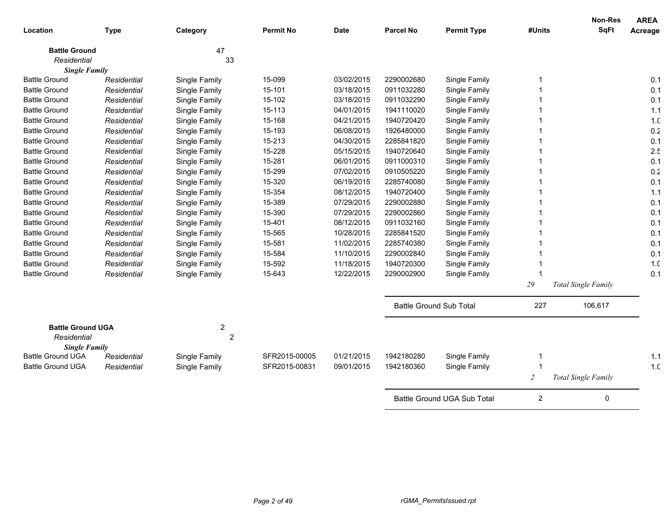| Location                            | <b>Type</b> | Category       | <b>Permit No</b> | <b>Date</b> | <b>Parcel No</b> | <b>Permit Type</b>             | #Units         | <b>Non-Res</b><br><b>SqFt</b> | <b>AREA</b><br>Acreage |
|-------------------------------------|-------------|----------------|------------------|-------------|------------------|--------------------------------|----------------|-------------------------------|------------------------|
|                                     |             |                |                  |             |                  |                                |                |                               |                        |
| <b>Battle Ground</b>                |             | 47             |                  |             |                  |                                |                |                               |                        |
| Residential<br><b>Single Family</b> |             | 33             |                  |             |                  |                                |                |                               |                        |
| <b>Battle Ground</b>                | Residential | Single Family  | 15-099           | 03/02/2015  | 2290002680       | Single Family                  |                |                               | 0.1                    |
| <b>Battle Ground</b>                | Residential | Single Family  | 15-101           | 03/18/2015  | 0911032280       | Single Family                  |                |                               | 0.1                    |
| <b>Battle Ground</b>                | Residential | Single Family  | 15-102           | 03/18/2015  | 0911032290       | Single Family                  |                |                               | 0.1                    |
| <b>Battle Ground</b>                | Residential | Single Family  | 15-113           | 04/01/2015  | 1941110020       | Single Family                  |                |                               | 1.1                    |
| <b>Battle Ground</b>                | Residential | Single Family  | 15-168           | 04/21/2015  | 1940720420       | Single Family                  |                |                               | 1 <sub>c</sub>         |
| <b>Battle Ground</b>                | Residential | Single Family  | 15-193           | 06/08/2015  | 1926480000       | Single Family                  |                |                               | 0.2                    |
| <b>Battle Ground</b>                | Residential | Single Family  | 15-213           | 04/30/2015  | 2285841820       | Single Family                  |                |                               | 0.1                    |
| <b>Battle Ground</b>                | Residential | Single Family  | 15-228           | 05/15/2015  | 1940720640       | Single Family                  |                |                               | 2.5                    |
| <b>Battle Ground</b>                | Residential | Single Family  | 15-281           | 06/01/2015  | 0911000310       | Single Family                  |                |                               | 0.1                    |
| <b>Battle Ground</b>                | Residential | Single Family  | 15-299           | 07/02/2015  | 0910505220       | Single Family                  |                |                               | 0.2                    |
| <b>Battle Ground</b>                | Residential | Single Family  | 15-320           | 06/19/2015  | 2285740080       | Single Family                  |                |                               | 0.1                    |
| <b>Battle Ground</b>                | Residential | Single Family  | 15-354           | 08/12/2015  | 1940720400       | Single Family                  |                |                               | 1.1                    |
| <b>Battle Ground</b>                | Residential | Single Family  | 15-389           | 07/29/2015  | 2290002880       | Single Family                  |                |                               | 0.1                    |
| <b>Battle Ground</b>                | Residential | Single Family  | 15-390           | 07/29/2015  | 2290002860       | Single Family                  |                |                               | 0.1                    |
| <b>Battle Ground</b>                | Residential | Single Family  | 15-401           | 08/12/2015  | 0911032160       | Single Family                  |                |                               | 0.1                    |
| <b>Battle Ground</b>                | Residential | Single Family  | 15-565           | 10/28/2015  | 2285841520       | Single Family                  |                |                               | 0.1                    |
| <b>Battle Ground</b>                | Residential | Single Family  | 15-581           | 11/02/2015  | 2285740380       | Single Family                  |                |                               | 0.1                    |
| <b>Battle Ground</b>                | Residential | Single Family  | 15-584           | 11/10/2015  | 2290002840       | Single Family                  |                |                               | 0.1                    |
| <b>Battle Ground</b>                | Residential | Single Family  | 15-592           | 11/18/2015  | 1940720300       | Single Family                  |                |                               | 1 <sub>c</sub>         |
| <b>Battle Ground</b>                | Residential | Single Family  | 15-643           | 12/22/2015  | 2290002900       | Single Family                  |                |                               | 0.1                    |
|                                     |             |                |                  |             |                  |                                | 29             | Total Single Family           |                        |
|                                     |             |                |                  |             |                  | <b>Battle Ground Sub Total</b> | 227            | 106,617                       |                        |
| <b>Battle Ground UGA</b>            |             | $\overline{2}$ |                  |             |                  |                                |                |                               |                        |
| Residential<br><b>Single Family</b> |             | $\overline{2}$ |                  |             |                  |                                |                |                               |                        |
| <b>Battle Ground UGA</b>            | Residential | Single Family  | SFR2015-00005    | 01/21/2015  | 1942180280       | Single Family                  |                |                               | $1.1$                  |
| <b>Battle Ground UGA</b>            | Residential | Single Family  | SFR2015-00831    | 09/01/2015  | 1942180360       | Single Family                  | 1              |                               | 1. <sub>C</sub>        |
|                                     |             |                |                  |             |                  |                                | $\overline{c}$ | <b>Total Single Family</b>    |                        |
|                                     |             |                |                  |             |                  | Battle Ground UGA Sub Total    | $\overline{2}$ | 0                             |                        |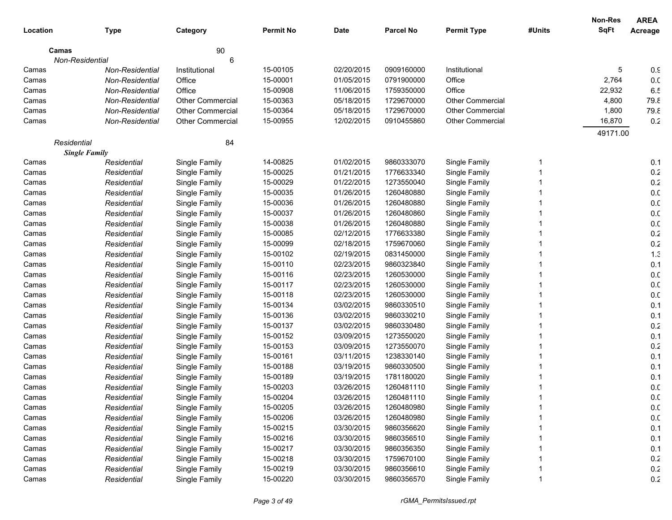|             |                      |                         |                  |             |                  |                         |        | Non-Res     | <b>AREA</b>     |
|-------------|----------------------|-------------------------|------------------|-------------|------------------|-------------------------|--------|-------------|-----------------|
| Location    | <b>Type</b>          | Category                | <b>Permit No</b> | <b>Date</b> | <b>Parcel No</b> | <b>Permit Type</b>      | #Units | <b>SqFt</b> | Acreage         |
| Camas       |                      | 90                      |                  |             |                  |                         |        |             |                 |
|             | Non-Residential      | 6                       |                  |             |                  |                         |        |             |                 |
| Camas       | Non-Residential      | Institutional           | 15-00105         | 02/20/2015  | 0909160000       | Institutional           |        | 5           | $0.\mathsf{C}$  |
| Camas       | Non-Residential      | Office                  | 15-00001         | 01/05/2015  | 0791900000       | Office                  |        | 2,764       | 0.0             |
| Camas       | Non-Residential      | Office                  | 15-00908         | 11/06/2015  | 1759350000       | Office                  |        | 22,932      | 6.5             |
| Camas       | Non-Residential      | Other Commercial        | 15-00363         | 05/18/2015  | 1729670000       | <b>Other Commercial</b> |        | 4,800       | 79.8            |
| Camas       | Non-Residential      | Other Commercial        | 15-00364         | 05/18/2015  | 1729670000       | <b>Other Commercial</b> |        | 1,800       | 79.8            |
| Camas       | Non-Residential      | <b>Other Commercial</b> | 15-00955         | 12/02/2015  | 0910455860       | <b>Other Commercial</b> |        | 16,870      | 0.2             |
|             |                      |                         |                  |             |                  |                         |        | 49171.00    |                 |
| Residential |                      | 84                      |                  |             |                  |                         |        |             |                 |
|             | <b>Single Family</b> |                         |                  |             |                  |                         |        |             |                 |
| Camas       | Residential          | Single Family           | 14-00825         | 01/02/2015  | 9860333070       | Single Family           | 1      |             | 0.1             |
| Camas       | Residential          | Single Family           | 15-00025         | 01/21/2015  | 1776633340       | Single Family           |        |             | 0.2             |
| Camas       | Residential          | Single Family           | 15-00029         | 01/22/2015  | 1273550040       | Single Family           |        |             | $0.2\,$         |
| Camas       | Residential          | Single Family           | 15-00035         | 01/26/2015  | 1260480880       | Single Family           |        |             | 0. <sub>C</sub> |
| Camas       | Residential          | Single Family           | 15-00036         | 01/26/2015  | 1260480880       | Single Family           |        |             | 0. <sub>C</sub> |
| Camas       | Residential          | Single Family           | 15-00037         | 01/26/2015  | 1260480860       | Single Family           |        |             | 0. <sub>C</sub> |
| Camas       | Residential          | Single Family           | 15-00038         | 01/26/2015  | 1260480880       | Single Family           |        |             | 0. <sub>C</sub> |
| Camas       | Residential          | Single Family           | 15-00085         | 02/12/2015  | 1776633380       | Single Family           |        |             | 0.2             |
| Camas       | Residential          | Single Family           | 15-00099         | 02/18/2015  | 1759670060       | Single Family           |        |             | $0.2\,$         |
| Camas       | Residential          | Single Family           | 15-00102         | 02/19/2015  | 0831450000       | Single Family           |        |             | 1.3             |
| Camas       | Residential          | Single Family           | 15-00110         | 02/23/2015  | 9860323840       | Single Family           |        |             | 0.1             |
| Camas       | Residential          | Single Family           | 15-00116         | 02/23/2015  | 1260530000       | Single Family           |        |             | 0. <sub>C</sub> |
| Camas       | Residential          | Single Family           | 15-00117         | 02/23/2015  | 1260530000       | Single Family           |        |             | 0. <sub>C</sub> |
| Camas       | Residential          | Single Family           | 15-00118         | 02/23/2015  | 1260530000       | Single Family           |        |             | 0. <sub>C</sub> |
| Camas       | Residential          | Single Family           | 15-00134         | 03/02/2015  | 9860330510       | Single Family           |        |             | 0.1             |
| Camas       | Residential          | Single Family           | 15-00136         | 03/02/2015  | 9860330210       | Single Family           |        |             | 0.1             |
| Camas       | Residential          | Single Family           | 15-00137         | 03/02/2015  | 9860330480       | Single Family           |        |             | $0.2\,$         |
| Camas       | Residential          | Single Family           | 15-00152         | 03/09/2015  | 1273550020       | Single Family           |        |             | 0.1             |
| Camas       | Residential          | Single Family           | 15-00153         | 03/09/2015  | 1273550070       | Single Family           |        |             | 0.2             |
| Camas       | Residential          | Single Family           | 15-00161         | 03/11/2015  | 1238330140       | Single Family           |        |             | 0.1             |
| Camas       | Residential          | Single Family           | 15-00188         | 03/19/2015  | 9860330500       | Single Family           |        |             | 0.1             |
| Camas       | Residential          | Single Family           | 15-00189         | 03/19/2015  | 1781180020       | Single Family           |        |             | 0.1             |
| Camas       | Residential          | Single Family           | 15-00203         | 03/26/2015  | 1260481110       | Single Family           |        |             | 0. <sub>C</sub> |
| Camas       | Residential          | Single Family           | 15-00204         | 03/26/2015  | 1260481110       | Single Family           |        |             | 0. <sub>C</sub> |
| Camas       | Residential          | Single Family           | 15-00205         | 03/26/2015  | 1260480980       | Single Family           |        |             | 0.0             |
| Camas       | Residential          | Single Family           | 15-00206         | 03/26/2015  | 1260480980       | Single Family           |        |             | 0.0             |
| Camas       | Residential          | Single Family           | 15-00215         | 03/30/2015  | 9860356620       | Single Family           |        |             | 0.1             |
| Camas       | Residential          | Single Family           | 15-00216         | 03/30/2015  | 9860356510       | Single Family           |        |             | 0.1             |
| Camas       | Residential          | Single Family           | 15-00217         | 03/30/2015  | 9860356350       | Single Family           |        |             | 0.1             |
| Camas       | Residential          | Single Family           | 15-00218         | 03/30/2015  | 1759670100       | Single Family           |        |             | 0.2             |
| Camas       | Residential          | Single Family           | 15-00219         | 03/30/2015  | 9860356610       | Single Family           |        |             | 0.2             |
| Camas       | Residential          | Single Family           | 15-00220         | 03/30/2015  | 9860356570       | Single Family           |        |             | 0.2             |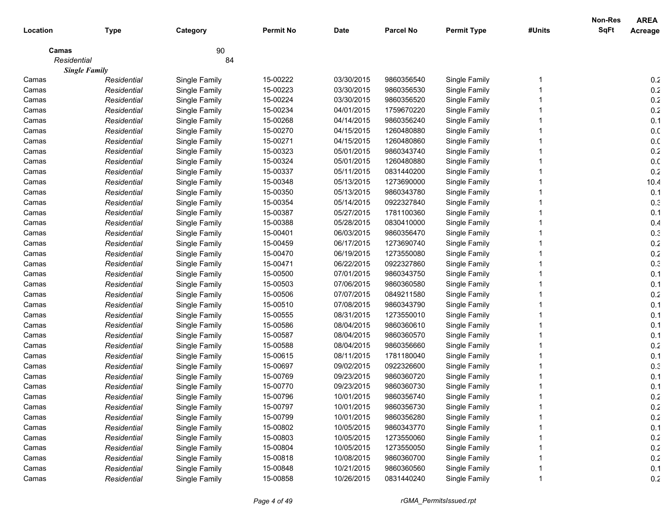|             |                      |               |                  |             |            |                    |        | <b>Non-Res</b> | <b>AREA</b>     |
|-------------|----------------------|---------------|------------------|-------------|------------|--------------------|--------|----------------|-----------------|
| Location    | <b>Type</b>          | Category      | <b>Permit No</b> | <b>Date</b> | Parcel No  | <b>Permit Type</b> | #Units | <b>SqFt</b>    | Acreage         |
| Camas       |                      | 90            |                  |             |            |                    |        |                |                 |
| Residential |                      | 84            |                  |             |            |                    |        |                |                 |
|             | <b>Single Family</b> |               |                  |             |            |                    |        |                |                 |
| Camas       | Residential          | Single Family | 15-00222         | 03/30/2015  | 9860356540 | Single Family      |        |                | 0.2             |
| Camas       | Residential          | Single Family | 15-00223         | 03/30/2015  | 9860356530 | Single Family      |        |                | 0.2             |
| Camas       | Residential          | Single Family | 15-00224         | 03/30/2015  | 9860356520 | Single Family      |        |                | 0.2             |
| Camas       | Residential          | Single Family | 15-00234         | 04/01/2015  | 1759670220 | Single Family      |        |                | 0.2             |
| Camas       | Residential          | Single Family | 15-00268         | 04/14/2015  | 9860356240 | Single Family      |        |                | 0.1             |
| Camas       | Residential          | Single Family | 15-00270         | 04/15/2015  | 1260480880 | Single Family      |        |                | 0. <sub>C</sub> |
| Camas       | Residential          | Single Family | 15-00271         | 04/15/2015  | 1260480860 | Single Family      |        |                | 0. <sub>C</sub> |
| Camas       | Residential          | Single Family | 15-00323         | 05/01/2015  | 9860343740 | Single Family      |        |                | 0.2             |
| Camas       | Residential          | Single Family | 15-00324         | 05/01/2015  | 1260480880 | Single Family      |        |                | 0. <sub>C</sub> |
| Camas       | Residential          | Single Family | 15-00337         | 05/11/2015  | 0831440200 | Single Family      |        |                | 0.2             |
| Camas       | Residential          | Single Family | 15-00348         | 05/13/2015  | 1273690000 | Single Family      |        |                | 10.4            |
| Camas       | Residential          | Single Family | 15-00350         | 05/13/2015  | 9860343780 | Single Family      |        |                | 0.1             |
| Camas       | Residential          | Single Family | 15-00354         | 05/14/2015  | 0922327840 | Single Family      |        |                | 0.3             |
| Camas       | Residential          | Single Family | 15-00387         | 05/27/2015  | 1781100360 | Single Family      |        |                | 0.1             |
| Camas       | Residential          | Single Family | 15-00388         | 05/28/2015  | 0830410000 | Single Family      |        |                | 0.4             |
| Camas       | Residential          | Single Family | 15-00401         | 06/03/2015  | 9860356470 | Single Family      |        |                | 0.3             |
| Camas       | Residential          | Single Family | 15-00459         | 06/17/2015  | 1273690740 | Single Family      |        |                | 0.2             |
| Camas       | Residential          | Single Family | 15-00470         | 06/19/2015  | 1273550080 | Single Family      |        |                | 0.2             |
| Camas       | Residential          | Single Family | 15-00471         | 06/22/2015  | 0922327860 | Single Family      |        |                | 0.3             |
| Camas       | Residential          | Single Family | 15-00500         | 07/01/2015  | 9860343750 | Single Family      |        |                | 0.1             |
| Camas       | Residential          | Single Family | 15-00503         | 07/06/2015  | 9860360580 | Single Family      |        |                | 0.1             |
| Camas       | Residential          | Single Family | 15-00506         | 07/07/2015  | 0849211580 | Single Family      |        |                | 0.2             |
| Camas       | Residential          | Single Family | 15-00510         | 07/08/2015  | 9860343790 | Single Family      |        |                | 0.1             |
| Camas       | Residential          | Single Family | 15-00555         | 08/31/2015  | 1273550010 | Single Family      |        |                | 0.1             |
| Camas       | Residential          | Single Family | 15-00586         | 08/04/2015  | 9860360610 | Single Family      |        |                | 0.1             |
| Camas       | Residential          | Single Family | 15-00587         | 08/04/2015  | 9860360570 | Single Family      |        |                | 0.1             |
| Camas       | Residential          | Single Family | 15-00588         | 08/04/2015  | 9860356660 | Single Family      |        |                | 0.2             |
| Camas       | Residential          | Single Family | 15-00615         | 08/11/2015  | 1781180040 | Single Family      |        |                | 0.1             |
| Camas       | Residential          | Single Family | 15-00697         | 09/02/2015  | 0922326600 | Single Family      |        |                | 0.3             |
| Camas       | Residential          | Single Family | 15-00769         | 09/23/2015  | 9860360720 | Single Family      |        |                | 0.1             |
| Camas       | Residential          | Single Family | 15-00770         | 09/23/2015  | 9860360730 | Single Family      |        |                | 0.1             |
| Camas       | Residential          | Single Family | 15-00796         | 10/01/2015  | 9860356740 | Single Family      |        |                | 0.2             |
| Camas       | Residential          | Single Family | 15-00797         | 10/01/2015  | 9860356730 | Single Family      |        |                | 0.2             |
| Camas       | Residential          | Single Family | 15-00799         | 10/01/2015  | 9860356280 | Single Family      |        |                | 0.2             |
| Camas       | Residential          | Single Family | 15-00802         | 10/05/2015  | 9860343770 | Single Family      |        |                | 0.1             |
| Camas       | Residential          | Single Family | 15-00803         | 10/05/2015  | 1273550060 | Single Family      |        |                | 0.2             |
| Camas       | Residential          | Single Family | 15-00804         | 10/05/2015  | 1273550050 | Single Family      |        |                | 0.2             |
| Camas       | Residential          | Single Family | 15-00818         | 10/08/2015  | 9860360700 | Single Family      |        |                | 0.2             |
| Camas       | Residential          | Single Family | 15-00848         | 10/21/2015  | 9860360560 | Single Family      |        |                | 0.1             |
| Camas       | Residential          | Single Family | 15-00858         | 10/26/2015  | 0831440240 | Single Family      |        |                | 0.2             |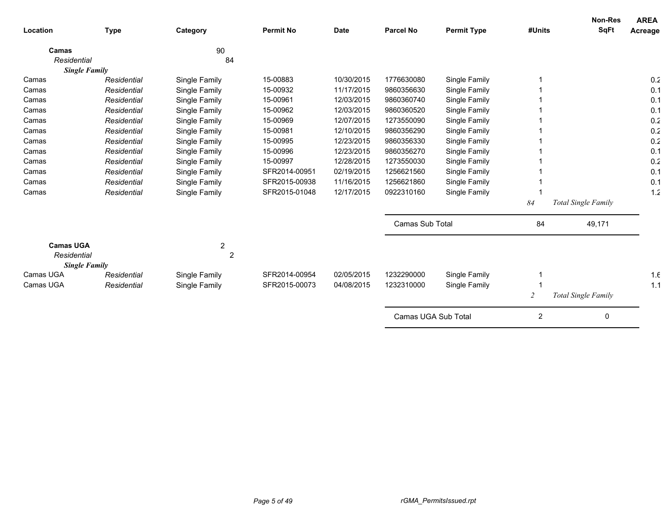| Location                          | <b>Type</b> | Category       | <b>Permit No</b>               | <b>Date</b> | <b>Parcel No</b>       | <b>Permit Type</b> | #Units         | <b>Non-Res</b><br><b>SqFt</b> | <b>AREA</b><br>Acreage |
|-----------------------------------|-------------|----------------|--------------------------------|-------------|------------------------|--------------------|----------------|-------------------------------|------------------------|
| Camas                             |             | 90             |                                |             |                        |                    |                |                               |                        |
| Residential                       |             | 84             |                                |             |                        |                    |                |                               |                        |
| <b>Single Family</b>              |             |                |                                |             |                        |                    |                |                               |                        |
| Camas                             | Residential | Single Family  | 15-00883                       | 10/30/2015  | 1776630080             | Single Family      |                |                               | 0.2                    |
| Camas                             | Residential | Single Family  | 15-00932                       | 11/17/2015  | 9860356630             | Single Family      |                |                               | 0.1                    |
| Camas                             | Residential | Single Family  | 15-00961                       | 12/03/2015  | 9860360740             | Single Family      |                |                               | 0.1                    |
| Camas                             | Residential | Single Family  | 15-00962                       | 12/03/2015  | 9860360520             | Single Family      |                |                               | 0.1                    |
| Camas                             | Residential | Single Family  | 15-00969                       | 12/07/2015  | 1273550090             | Single Family      |                |                               | 0.2                    |
| Camas                             | Residential | Single Family  | 15-00981                       | 12/10/2015  | 9860356290             | Single Family      |                |                               | 0.2                    |
| Camas                             | Residential | Single Family  | 15-00995                       | 12/23/2015  | 9860356330             | Single Family      |                |                               | 0.2                    |
| Camas                             | Residential | Single Family  | 15-00996                       | 12/23/2015  | 9860356270             | Single Family      |                |                               | 0.1                    |
| Camas                             | Residential | Single Family  | 15-00997                       | 12/28/2015  | 1273550030             | Single Family      |                |                               | 0.2                    |
| Camas                             | Residential | Single Family  | SFR2014-00951                  | 02/19/2015  | 1256621560             | Single Family      |                |                               | 0.1                    |
| Camas                             | Residential | Single Family  | SFR2015-00938                  | 11/16/2015  | 1256621860             | Single Family      |                |                               | 0.1                    |
| Camas                             | Residential | Single Family  | SFR2015-01048                  | 12/17/2015  | 0922310160             | Single Family      |                |                               | 1.2                    |
|                                   |             |                |                                |             |                        |                    | 84             | Total Single Family           |                        |
|                                   |             |                |                                |             | <b>Camas Sub Total</b> |                    | 84             | 49,171                        |                        |
| <b>Camas UGA</b>                  |             | $\overline{2}$ |                                |             |                        |                    |                |                               |                        |
| Residential                       |             | $\overline{c}$ |                                |             |                        |                    |                |                               |                        |
| <b>Single Family</b><br>Camas UGA |             |                |                                | 02/05/2015  | 1232290000             |                    |                |                               |                        |
| Camas UGA                         | Residential | Single Family  | SFR2014-00954<br>SFR2015-00073 | 04/08/2015  | 1232310000             | Single Family      |                |                               | 1.6<br>1.1             |
|                                   | Residential | Single Family  |                                |             |                        | Single Family      |                |                               |                        |
|                                   |             |                |                                |             |                        |                    | $\overline{2}$ | Total Single Family           |                        |
|                                   |             |                |                                |             | Camas UGA Sub Total    |                    | $\overline{2}$ | 0                             |                        |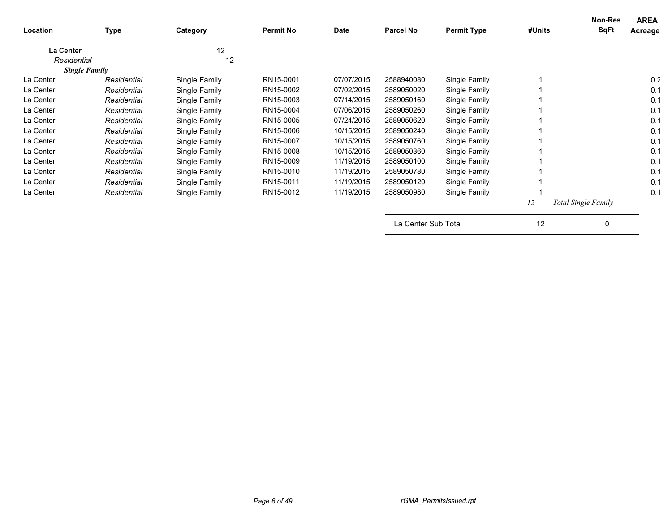| Location    | <b>Type</b>          | Category      | <b>Permit No</b> | Date       | <b>Parcel No</b>    | <b>Permit Type</b> | #Units | Non-Res<br><b>SqFt</b>     | <b>AREA</b><br>Acreage |
|-------------|----------------------|---------------|------------------|------------|---------------------|--------------------|--------|----------------------------|------------------------|
| La Center   |                      | 12            |                  |            |                     |                    |        |                            |                        |
| Residential |                      | 12            |                  |            |                     |                    |        |                            |                        |
|             | <b>Single Family</b> |               |                  |            |                     |                    |        |                            |                        |
| La Center   | Residential          | Single Family | RN15-0001        | 07/07/2015 | 2588940080          | Single Family      |        |                            | 0.2                    |
| La Center   | Residential          | Single Family | RN15-0002        | 07/02/2015 | 2589050020          | Single Family      |        |                            | 0.1                    |
| La Center   | Residential          | Single Family | RN15-0003        | 07/14/2015 | 2589050160          | Single Family      |        |                            | 0.1                    |
| La Center   | Residential          | Single Family | RN15-0004        | 07/06/2015 | 2589050260          | Single Family      |        |                            | 0.1                    |
| La Center   | Residential          | Single Family | RN15-0005        | 07/24/2015 | 2589050620          | Single Family      |        |                            | 0.1                    |
| La Center   | Residential          | Single Family | RN15-0006        | 10/15/2015 | 2589050240          | Single Family      |        |                            | 0.1                    |
| La Center   | Residential          | Single Family | RN15-0007        | 10/15/2015 | 2589050760          | Single Family      |        |                            | 0.1                    |
| La Center   | Residential          | Single Family | RN15-0008        | 10/15/2015 | 2589050360          | Single Family      |        |                            | 0.1                    |
| La Center   | Residential          | Single Family | RN15-0009        | 11/19/2015 | 2589050100          | Single Family      |        |                            | 0.1                    |
| La Center   | Residential          | Single Family | RN15-0010        | 11/19/2015 | 2589050780          | Single Family      |        |                            | 0.1                    |
| La Center   | Residential          | Single Family | RN15-0011        | 11/19/2015 | 2589050120          | Single Family      |        |                            | 0.1                    |
| La Center   | Residential          | Single Family | RN15-0012        | 11/19/2015 | 2589050980          | Single Family      |        |                            | 0.1                    |
|             |                      |               |                  |            |                     |                    | 12     | <b>Total Single Family</b> |                        |
|             |                      |               |                  |            | La Center Sub Total |                    | 12     | 0                          |                        |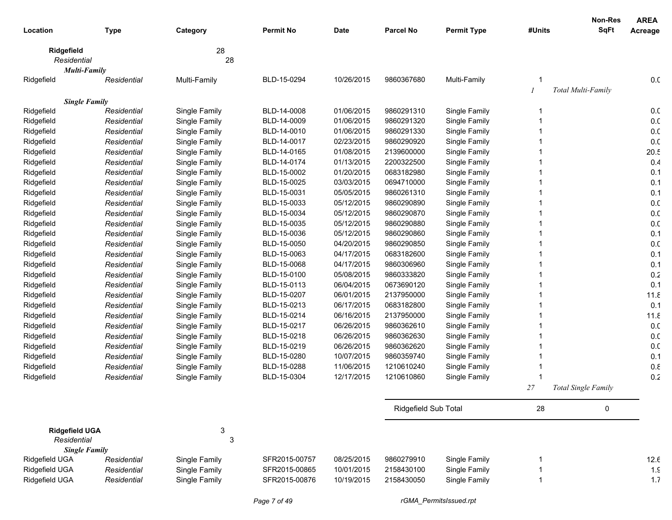|                           |             |                           |                  |             |                      |                    |        | <b>Non-Res</b>             | <b>AREA</b> |
|---------------------------|-------------|---------------------------|------------------|-------------|----------------------|--------------------|--------|----------------------------|-------------|
| Location                  | <b>Type</b> | Category                  | <b>Permit No</b> | <b>Date</b> | <b>Parcel No</b>     | <b>Permit Type</b> | #Units | <b>SqFt</b>                | Acreage     |
|                           |             | 28                        |                  |             |                      |                    |        |                            |             |
| Ridgefield<br>Residential |             | 28                        |                  |             |                      |                    |        |                            |             |
| <b>Multi-Family</b>       |             |                           |                  |             |                      |                    |        |                            |             |
| Ridgefield                | Residential | Multi-Family              | BLD-15-0294      | 10/26/2015  | 9860367680           | Multi-Family       |        |                            | 0.0         |
|                           |             |                           |                  |             |                      |                    |        | Total Multi-Family         |             |
| <b>Single Family</b>      |             |                           |                  |             |                      |                    |        |                            |             |
| Ridgefield                | Residential | Single Family             | BLD-14-0008      | 01/06/2015  | 9860291310           | Single Family      | -1     |                            | 0.0         |
| Ridgefield                | Residential | Single Family             | BLD-14-0009      | 01/06/2015  | 9860291320           | Single Family      |        |                            | 0.0         |
| Ridgefield                | Residential | Single Family             | BLD-14-0010      | 01/06/2015  | 9860291330           | Single Family      |        |                            | 0.0         |
| Ridgefield                | Residential | Single Family             | BLD-14-0017      | 02/23/2015  | 9860290920           | Single Family      |        |                            | 0.0         |
| Ridgefield                | Residential | Single Family             | BLD-14-0165      | 01/08/2015  | 2139600000           | Single Family      |        |                            | 20.5        |
| Ridgefield                | Residential | Single Family             | BLD-14-0174      | 01/13/2015  | 2200322500           | Single Family      |        |                            | 0.4         |
| Ridgefield                | Residential | Single Family             | BLD-15-0002      | 01/20/2015  | 0683182980           | Single Family      |        |                            | 0.1         |
| Ridgefield                | Residential | Single Family             | BLD-15-0025      | 03/03/2015  | 0694710000           | Single Family      |        |                            | 0.1         |
| Ridgefield                | Residential | Single Family             | BLD-15-0031      | 05/05/2015  | 9860261310           | Single Family      |        |                            | 0.1         |
| Ridgefield                | Residential | Single Family             | BLD-15-0033      | 05/12/2015  | 9860290890           | Single Family      |        |                            | 0.0         |
| Ridgefield                | Residential | Single Family             | BLD-15-0034      | 05/12/2015  | 9860290870           | Single Family      |        |                            | 0.0         |
| Ridgefield                | Residential | Single Family             | BLD-15-0035      | 05/12/2015  | 9860290880           | Single Family      |        |                            | 0.0         |
| Ridgefield                | Residential | Single Family             | BLD-15-0036      | 05/12/2015  | 9860290860           | Single Family      |        |                            | 0.1         |
| Ridgefield                | Residential | Single Family             | BLD-15-0050      | 04/20/2015  | 9860290850           | Single Family      |        |                            | 0.0         |
| Ridgefield                | Residential | Single Family             | BLD-15-0063      | 04/17/2015  | 0683182600           | Single Family      |        |                            | 0.1         |
| Ridgefield                | Residential | Single Family             | BLD-15-0068      | 04/17/2015  | 9860306960           | Single Family      |        |                            | 0.1         |
| Ridgefield                | Residential | Single Family             | BLD-15-0100      | 05/08/2015  | 9860333820           | Single Family      |        |                            | 0.2         |
| Ridgefield                | Residential | Single Family             | BLD-15-0113      | 06/04/2015  | 0673690120           | Single Family      |        |                            | 0.1         |
| Ridgefield                | Residential | Single Family             | BLD-15-0207      | 06/01/2015  | 2137950000           | Single Family      |        |                            | 11.8        |
| Ridgefield                | Residential | Single Family             | BLD-15-0213      | 06/17/2015  | 0683182800           | Single Family      |        |                            | 0.1         |
| Ridgefield                | Residential | Single Family             | BLD-15-0214      | 06/16/2015  | 2137950000           | Single Family      |        |                            | 11.8        |
| Ridgefield                | Residential | Single Family             | BLD-15-0217      | 06/26/2015  | 9860362610           | Single Family      |        |                            | 0.0         |
| Ridgefield                | Residential | Single Family             | BLD-15-0218      | 06/26/2015  | 9860362630           | Single Family      |        |                            | 0.0         |
| Ridgefield                | Residential | Single Family             | BLD-15-0219      | 06/26/2015  | 9860362620           | Single Family      |        |                            | 0.0         |
| Ridgefield                | Residential | Single Family             | BLD-15-0280      | 10/07/2015  | 9860359740           | Single Family      |        |                            | 0.1         |
| Ridgefield                | Residential | Single Family             | BLD-15-0288      | 11/06/2015  | 1210610240           | Single Family      |        |                            | 0.8         |
| Ridgefield                | Residential | Single Family             | BLD-15-0304      | 12/17/2015  | 1210610860           | Single Family      |        |                            | 0.2         |
|                           |             |                           |                  |             |                      |                    | 27     | <b>Total Single Family</b> |             |
|                           |             |                           |                  |             | Ridgefield Sub Total |                    | 28     | 0                          |             |
| <b>Ridgefield UGA</b>     |             | 3                         |                  |             |                      |                    |        |                            |             |
| Residential               |             | $\ensuremath{\mathsf{3}}$ |                  |             |                      |                    |        |                            |             |
| <b>Single Family</b>      |             |                           |                  |             |                      |                    |        |                            |             |
| Ridgefield UGA            | Residential | Single Family             | SFR2015-00757    | 08/25/2015  | 9860279910           | Single Family      |        |                            | 12.6        |
| Ridgefield UGA            | Residential | Single Family             | SFR2015-00865    | 10/01/2015  | 2158430100           | Single Family      | 1      |                            | 1.9         |
| Ridgefield UGA            | Residential | Single Family             | SFR2015-00876    | 10/19/2015  | 2158430050           | Single Family      | -1     |                            | 1.7         |
|                           |             |                           |                  |             |                      |                    |        |                            |             |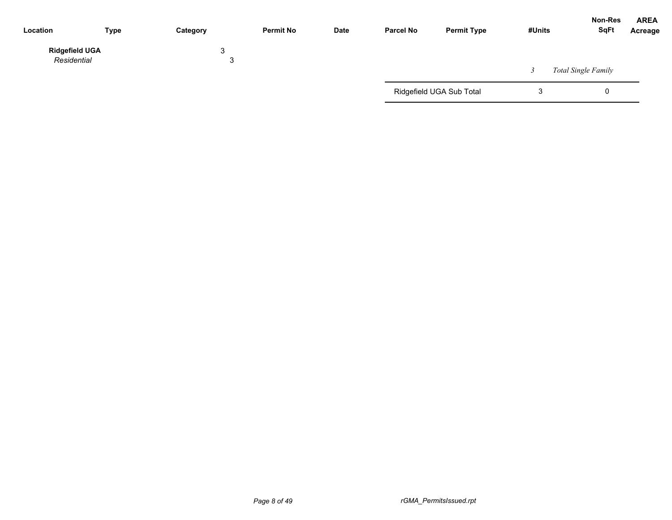| Location                             | <b>Type</b> | Category | <b>Permit No</b> | <b>Date</b> | <b>Parcel No</b> | <b>Permit Type</b>       | #Units | Non-Res<br><b>SqFt</b> | <b>AREA</b><br>Acreage |
|--------------------------------------|-------------|----------|------------------|-------------|------------------|--------------------------|--------|------------------------|------------------------|
| <b>Ridgefield UGA</b><br>Residential |             | 3<br>ື   |                  |             |                  |                          |        | Total Single Family    |                        |
|                                      |             |          |                  |             |                  | Ridgefield UGA Sub Total | J      | 0                      |                        |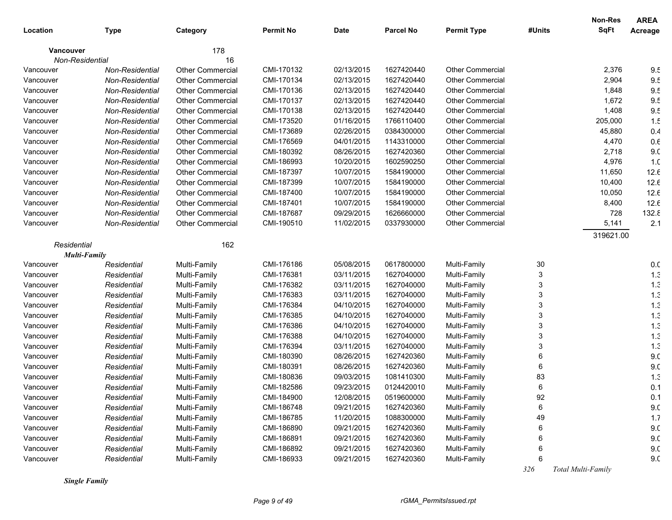|                  |                 |                         |                  |             |                  |                         |        | <b>Non-Res</b> | <b>AREA</b>     |
|------------------|-----------------|-------------------------|------------------|-------------|------------------|-------------------------|--------|----------------|-----------------|
| Location         | <b>Type</b>     | Category                | <b>Permit No</b> | <b>Date</b> | <b>Parcel No</b> | <b>Permit Type</b>      | #Units | <b>SqFt</b>    | Acreage         |
| <b>Vancouver</b> |                 | 178                     |                  |             |                  |                         |        |                |                 |
|                  | Non-Residential | 16                      |                  |             |                  |                         |        |                |                 |
| Vancouver        | Non-Residential | Other Commercial        | CMI-170132       | 02/13/2015  | 1627420440       | <b>Other Commercial</b> |        | 2,376          | 9.5             |
| Vancouver        | Non-Residential | <b>Other Commercial</b> | CMI-170134       | 02/13/2015  | 1627420440       | <b>Other Commercial</b> |        | 2,904          | 9.5             |
| Vancouver        | Non-Residential | <b>Other Commercial</b> | CMI-170136       | 02/13/2015  | 1627420440       | <b>Other Commercial</b> |        | 1,848          | 9.5             |
| Vancouver        | Non-Residential | <b>Other Commercial</b> | CMI-170137       | 02/13/2015  | 1627420440       | <b>Other Commercial</b> |        | 1,672          | 9.5             |
| Vancouver        | Non-Residential | <b>Other Commercial</b> | CMI-170138       | 02/13/2015  | 1627420440       | <b>Other Commercial</b> |        | 1,408          | 9.5             |
| Vancouver        | Non-Residential | <b>Other Commercial</b> | CMI-173520       | 01/16/2015  | 1766110400       | <b>Other Commercial</b> |        | 205,000        | 1.5             |
| Vancouver        | Non-Residential | <b>Other Commercial</b> | CMI-173689       | 02/26/2015  | 0384300000       | <b>Other Commercial</b> |        | 45,880         | 0.4             |
| Vancouver        | Non-Residential | <b>Other Commercial</b> | CMI-176569       | 04/01/2015  | 1143310000       | <b>Other Commercial</b> |        | 4,470          | $0.6\,$         |
| Vancouver        | Non-Residential | <b>Other Commercial</b> | CMI-180392       | 08/26/2015  | 1627420360       | <b>Other Commercial</b> |        | 2,718          | 9 <sub>c</sub>  |
| Vancouver        | Non-Residential | <b>Other Commercial</b> | CMI-186993       | 10/20/2015  | 1602590250       | Other Commercial        |        | 4,976          | 1. <sub>C</sub> |
| Vancouver        | Non-Residential | <b>Other Commercial</b> | CMI-187397       | 10/07/2015  | 1584190000       | Other Commercial        |        | 11,650         | 12.6            |
| Vancouver        | Non-Residential | <b>Other Commercial</b> | CMI-187399       | 10/07/2015  | 1584190000       | Other Commercial        |        | 10,400         | 12.6            |
| Vancouver        | Non-Residential | <b>Other Commercial</b> | CMI-187400       | 10/07/2015  | 1584190000       | Other Commercial        |        | 10,050         | 12.6            |
| Vancouver        | Non-Residential | <b>Other Commercial</b> | CMI-187401       | 10/07/2015  | 1584190000       | Other Commercial        |        | 8,400          | 12.6            |
| Vancouver        | Non-Residential | <b>Other Commercial</b> | CMI-187687       | 09/29/2015  | 1626660000       | <b>Other Commercial</b> |        | 728            | 132.8           |
| Vancouver        | Non-Residential | <b>Other Commercial</b> | CMI-190510       | 11/02/2015  | 0337930000       | <b>Other Commercial</b> |        | 5,141          | 2.1             |
|                  |                 |                         |                  |             |                  |                         |        | 319621.00      |                 |
| Residential      |                 | 162                     |                  |             |                  |                         |        |                |                 |
|                  | Multi-Family    |                         |                  |             |                  |                         |        |                |                 |
| Vancouver        | Residential     | Multi-Family            | CMI-176186       | 05/08/2015  | 0617800000       | Multi-Family            | 30     |                | 0.0             |
| Vancouver        | Residential     | Multi-Family            | CMI-176381       | 03/11/2015  | 1627040000       | Multi-Family            | 3      |                | 1.3             |
| Vancouver        | Residential     | Multi-Family            | CMI-176382       | 03/11/2015  | 1627040000       | Multi-Family            | 3      |                | 1.3             |
| Vancouver        | Residential     | Multi-Family            | CMI-176383       | 03/11/2015  | 1627040000       | Multi-Family            | 3      |                | 1.3             |
| Vancouver        | Residential     | Multi-Family            | CMI-176384       | 04/10/2015  | 1627040000       | Multi-Family            | 3      |                | 1.3             |
| Vancouver        | Residential     | Multi-Family            | CMI-176385       | 04/10/2015  | 1627040000       | Multi-Family            | 3      |                | 1.3             |
| Vancouver        | Residential     | Multi-Family            | CMI-176386       | 04/10/2015  | 1627040000       | Multi-Family            |        |                | 1.3             |
| Vancouver        | Residential     | Multi-Family            | CMI-176388       | 04/10/2015  | 1627040000       | Multi-Family            | 3      |                | 1.3             |
| Vancouver        | Residential     | Multi-Family            | CMI-176394       | 03/11/2015  | 1627040000       | Multi-Family            | 3      |                | 1.3             |
| Vancouver        | Residential     | Multi-Family            | CMI-180390       | 08/26/2015  | 1627420360       | Multi-Family            | 6      |                | 9 <sub>c</sub>  |
| Vancouver        | Residential     | Multi-Family            | CMI-180391       | 08/26/2015  | 1627420360       | Multi-Family            | 6      |                | 9 <sub>c</sub>  |
| Vancouver        | Residential     | Multi-Family            | CMI-180836       | 09/03/2015  | 1081410300       | Multi-Family            | 83     |                | 1.3             |
| Vancouver        | Residential     | Multi-Family            | CMI-182586       | 09/23/2015  | 0124420010       | Multi-Family            | 6      |                | 0.1             |
| Vancouver        | Residential     | Multi-Family            | CMI-184900       | 12/08/2015  | 0519600000       | Multi-Family            | 92     |                | 0.1             |
| Vancouver        | Residential     | Multi-Family            | CMI-186748       | 09/21/2015  | 1627420360       | Multi-Family            | 6      |                | 9. <sub>C</sub> |
| Vancouver        | Residential     | Multi-Family            | CMI-186785       | 11/20/2015  | 1088300000       | Multi-Family            | 49     |                | 1.7             |
| Vancouver        | Residential     | Multi-Family            | CMI-186890       | 09/21/2015  | 1627420360       | Multi-Family            |        |                | 9. <sub>C</sub> |
| Vancouver        | Residential     | Multi-Family            | CMI-186891       | 09/21/2015  | 1627420360       | Multi-Family            |        |                | 9. <sub>C</sub> |
| Vancouver        | Residential     | Multi-Family            | CMI-186892       | 09/21/2015  | 1627420360       | Multi-Family            |        |                | 9. <sub>C</sub> |
| Vancouver        | Residential     | Multi-Family            | CMI-186933       | 09/21/2015  | 1627420360       | Multi-Family            | 6      |                | 9. <sub>C</sub> |

*Single Family*

 *326 Total Multi-Family*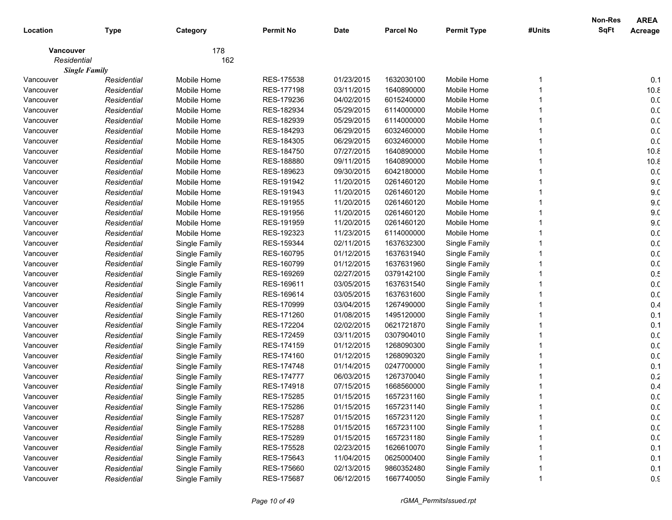|             |                      |               |                  |             |                  |                    |        | <b>Non-Res</b> | <b>AREA</b>     |
|-------------|----------------------|---------------|------------------|-------------|------------------|--------------------|--------|----------------|-----------------|
| Location    | <b>Type</b>          | Category      | <b>Permit No</b> | <b>Date</b> | <b>Parcel No</b> | <b>Permit Type</b> | #Units | <b>SqFt</b>    | Acreage         |
| Vancouver   |                      | 178           |                  |             |                  |                    |        |                |                 |
| Residential |                      | 162           |                  |             |                  |                    |        |                |                 |
|             | <b>Single Family</b> |               |                  |             |                  |                    |        |                |                 |
| Vancouver   | Residential          | Mobile Home   | RES-175538       | 01/23/2015  | 1632030100       | Mobile Home        |        |                | 0.1             |
| Vancouver   | Residential          | Mobile Home   | RES-177198       | 03/11/2015  | 1640890000       | Mobile Home        |        |                | 10.8            |
| Vancouver   | Residential          | Mobile Home   | RES-179236       | 04/02/2015  | 6015240000       | Mobile Home        |        |                | 0.0             |
| Vancouver   | Residential          | Mobile Home   | RES-182934       | 05/29/2015  | 6114000000       | Mobile Home        |        |                | 0.0             |
| Vancouver   | Residential          | Mobile Home   | RES-182939       | 05/29/2015  | 6114000000       | Mobile Home        |        |                | 0.0             |
| Vancouver   | Residential          | Mobile Home   | RES-184293       | 06/29/2015  | 6032460000       | Mobile Home        |        |                | 0.0             |
| Vancouver   | Residential          | Mobile Home   | RES-184305       | 06/29/2015  | 6032460000       | Mobile Home        |        |                | 0.0             |
| Vancouver   | Residential          | Mobile Home   | RES-184750       | 07/27/2015  | 1640890000       | Mobile Home        |        |                | 10.8            |
| Vancouver   | Residential          | Mobile Home   | RES-188880       | 09/11/2015  | 1640890000       | Mobile Home        |        |                | 10.8            |
| Vancouver   | Residential          | Mobile Home   | RES-189623       | 09/30/2015  | 6042180000       | Mobile Home        |        |                | 0.0             |
| Vancouver   | Residential          | Mobile Home   | RES-191942       | 11/20/2015  | 0261460120       | Mobile Home        |        |                | 9 <sub>c</sub>  |
| Vancouver   | Residential          | Mobile Home   | RES-191943       | 11/20/2015  | 0261460120       | Mobile Home        |        |                | 9 <sub>c</sub>  |
| Vancouver   | Residential          | Mobile Home   | RES-191955       | 11/20/2015  | 0261460120       | Mobile Home        |        |                | 9 <sub>c</sub>  |
| Vancouver   | Residential          | Mobile Home   | RES-191956       | 11/20/2015  | 0261460120       | Mobile Home        |        |                | 9 <sub>c</sub>  |
| Vancouver   | Residential          | Mobile Home   | RES-191959       | 11/20/2015  | 0261460120       | Mobile Home        |        |                | 9 <sub>c</sub>  |
| Vancouver   | Residential          | Mobile Home   | RES-192323       | 11/23/2015  | 6114000000       | Mobile Home        |        |                | 0. <sub>C</sub> |
| Vancouver   | Residential          | Single Family | RES-159344       | 02/11/2015  | 1637632300       | Single Family      |        |                | 0.0             |
| Vancouver   | Residential          | Single Family | RES-160795       | 01/12/2015  | 1637631940       | Single Family      |        |                | 0. <sub>C</sub> |
| Vancouver   | Residential          | Single Family | RES-160799       | 01/12/2015  | 1637631960       | Single Family      |        |                | 0.0             |
| Vancouver   | Residential          | Single Family | RES-169269       | 02/27/2015  | 0379142100       | Single Family      |        |                | 0.5             |
| Vancouver   | Residential          | Single Family | RES-169611       | 03/05/2015  | 1637631540       | Single Family      |        |                | 0. <sub>C</sub> |
| Vancouver   | Residential          | Single Family | RES-169614       | 03/05/2015  | 1637631600       | Single Family      |        |                | 0. <sub>C</sub> |
| Vancouver   | Residential          | Single Family | RES-170999       | 03/04/2015  | 1267490000       | Single Family      |        |                | 0.4             |
| Vancouver   | Residential          | Single Family | RES-171260       | 01/08/2015  | 1495120000       | Single Family      |        |                | 0.1             |
| Vancouver   | Residential          | Single Family | RES-172204       | 02/02/2015  | 0621721870       | Single Family      |        |                | 0.1             |
| Vancouver   | Residential          | Single Family | RES-172459       | 03/11/2015  | 0307904010       | Single Family      |        |                | 0. <sub>C</sub> |
| Vancouver   | Residential          | Single Family | RES-174159       | 01/12/2015  | 1268090300       | Single Family      |        |                | 0. <sub>C</sub> |
| Vancouver   | Residential          | Single Family | RES-174160       | 01/12/2015  | 1268090320       | Single Family      |        |                | 0. <sub>C</sub> |
| Vancouver   | Residential          | Single Family | RES-174748       | 01/14/2015  | 0247700000       | Single Family      |        |                | 0.1             |
| Vancouver   | Residential          | Single Family | RES-174777       | 06/03/2015  | 1267370040       | Single Family      |        |                | 0.2             |
| Vancouver   | Residential          | Single Family | RES-174918       | 07/15/2015  | 1668560000       | Single Family      |        |                | 0.4             |
| Vancouver   | Residential          | Single Family | RES-175285       | 01/15/2015  | 1657231160       | Single Family      |        |                | 0.0             |
| Vancouver   | Residential          | Single Family | RES-175286       | 01/15/2015  | 1657231140       | Single Family      |        |                | 0.0             |
| Vancouver   | Residential          | Single Family | RES-175287       | 01/15/2015  | 1657231120       | Single Family      |        |                | 0.0             |
| Vancouver   | Residential          | Single Family | RES-175288       | 01/15/2015  | 1657231100       | Single Family      |        |                | 0.0             |
| Vancouver   | Residential          | Single Family | RES-175289       | 01/15/2015  | 1657231180       | Single Family      |        |                | 0.0             |
| Vancouver   | Residential          | Single Family | RES-175528       | 02/23/2015  | 1626610070       | Single Family      |        |                | 0.1             |
| Vancouver   | Residential          | Single Family | RES-175643       | 11/04/2015  | 0625000400       | Single Family      |        |                | 0.1             |
| Vancouver   | Residential          | Single Family | RES-175660       | 02/13/2015  | 9860352480       | Single Family      |        |                | 0.1             |
| Vancouver   | Residential          | Single Family | RES-175687       | 06/12/2015  | 1667740050       | Single Family      |        |                | 0.9             |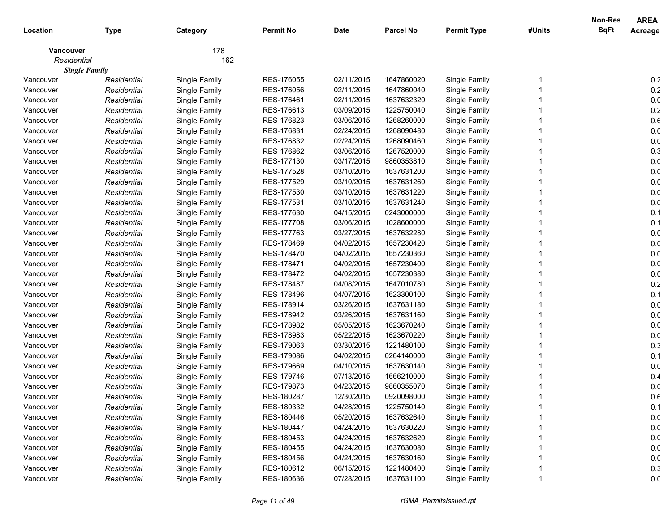|             |                      |               |                  |             |                  |                    |        | <b>Non-Res</b> | <b>AREA</b>     |
|-------------|----------------------|---------------|------------------|-------------|------------------|--------------------|--------|----------------|-----------------|
| Location    | <b>Type</b>          | Category      | <b>Permit No</b> | <b>Date</b> | <b>Parcel No</b> | <b>Permit Type</b> | #Units | <b>SqFt</b>    | Acreage         |
| Vancouver   |                      | 178           |                  |             |                  |                    |        |                |                 |
| Residential |                      | 162           |                  |             |                  |                    |        |                |                 |
|             | <b>Single Family</b> |               |                  |             |                  |                    |        |                |                 |
| Vancouver   | Residential          | Single Family | RES-176055       | 02/11/2015  | 1647860020       | Single Family      |        |                | 0.2             |
| Vancouver   | Residential          | Single Family | RES-176056       | 02/11/2015  | 1647860040       | Single Family      |        |                | 0.2             |
| Vancouver   | Residential          | Single Family | RES-176461       | 02/11/2015  | 1637632320       | Single Family      |        |                | 0. <sub>C</sub> |
| Vancouver   | Residential          | Single Family | RES-176613       | 03/09/2015  | 1225750040       | Single Family      |        |                | $0.2\,$         |
| Vancouver   | Residential          | Single Family | RES-176823       | 03/06/2015  | 1268260000       | Single Family      |        |                | $0.6\,$         |
| Vancouver   | Residential          | Single Family | RES-176831       | 02/24/2015  | 1268090480       | Single Family      |        |                | 0. <sub>C</sub> |
| Vancouver   | Residential          | Single Family | RES-176832       | 02/24/2015  | 1268090460       | Single Family      |        |                | 0. <sub>C</sub> |
| Vancouver   | Residential          | Single Family | RES-176862       | 03/06/2015  | 1267520000       | Single Family      |        |                | 0.3             |
| Vancouver   | Residential          | Single Family | RES-177130       | 03/17/2015  | 9860353810       | Single Family      |        |                | 0. <sub>C</sub> |
| Vancouver   | Residential          | Single Family | RES-177528       | 03/10/2015  | 1637631200       | Single Family      |        |                | 0. <sub>C</sub> |
| Vancouver   | Residential          | Single Family | RES-177529       | 03/10/2015  | 1637631260       | Single Family      |        |                | 0. <sub>C</sub> |
| Vancouver   | Residential          | Single Family | RES-177530       | 03/10/2015  | 1637631220       | Single Family      |        |                | 0. <sub>C</sub> |
| Vancouver   | Residential          | Single Family | RES-177531       | 03/10/2015  | 1637631240       | Single Family      |        |                | 0. <sub>C</sub> |
| Vancouver   | Residential          | Single Family | RES-177630       | 04/15/2015  | 0243000000       | Single Family      |        |                | 0.1             |
| Vancouver   | Residential          | Single Family | RES-177708       | 03/06/2015  | 1028600000       | Single Family      |        |                | 0.1             |
| Vancouver   | Residential          | Single Family | RES-177763       | 03/27/2015  | 1637632280       | Single Family      |        |                | 0. <sub>C</sub> |
| Vancouver   | Residential          | Single Family | RES-178469       | 04/02/2015  | 1657230420       | Single Family      |        |                | 0. <sub>C</sub> |
| Vancouver   | Residential          | Single Family | RES-178470       | 04/02/2015  | 1657230360       | Single Family      |        |                | 0. <sub>C</sub> |
| Vancouver   | Residential          | Single Family | RES-178471       | 04/02/2015  | 1657230400       | Single Family      |        |                | 0. <sub>C</sub> |
| Vancouver   | Residential          | Single Family | RES-178472       | 04/02/2015  | 1657230380       | Single Family      |        |                | 0. <sub>C</sub> |
| Vancouver   | Residential          | Single Family | RES-178487       | 04/08/2015  | 1647010780       | Single Family      |        |                | 0.2             |
| Vancouver   | Residential          | Single Family | RES-178496       | 04/07/2015  | 1623300100       | Single Family      |        |                | 0.1             |
| Vancouver   | Residential          | Single Family | RES-178914       | 03/26/2015  | 1637631180       | Single Family      |        |                | 0. <sub>C</sub> |
| Vancouver   | Residential          | Single Family | RES-178942       | 03/26/2015  | 1637631160       | Single Family      |        |                | 0. <sub>C</sub> |
| Vancouver   | Residential          | Single Family | RES-178982       | 05/05/2015  | 1623670240       | Single Family      |        |                | 0. <sub>C</sub> |
| Vancouver   | Residential          | Single Family | RES-178983       | 05/22/2015  | 1623670220       | Single Family      |        |                | 0. <sub>C</sub> |
| Vancouver   | Residential          | Single Family | RES-179063       | 03/30/2015  | 1221480100       | Single Family      |        |                | 0.3             |
| Vancouver   | Residential          | Single Family | RES-179086       | 04/02/2015  | 0264140000       | Single Family      |        |                | 0.1             |
| Vancouver   | Residential          | Single Family | RES-179669       | 04/10/2015  | 1637630140       | Single Family      |        |                | 0. <sub>C</sub> |
| Vancouver   | Residential          | Single Family | RES-179746       | 07/13/2015  | 1666210000       | Single Family      |        |                | 0.4             |
| Vancouver   | Residential          | Single Family | RES-179873       | 04/23/2015  | 9860355070       | Single Family      |        |                | 0. <sub>C</sub> |
| Vancouver   | Residential          | Single Family | RES-180287       | 12/30/2015  | 0920098000       | Single Family      |        |                | 0.6             |
| Vancouver   | Residential          | Single Family | RES-180332       | 04/28/2015  | 1225750140       | Single Family      |        |                | 0.1             |
| Vancouver   | Residential          | Single Family | RES-180446       | 05/20/2015  | 1637632640       | Single Family      |        |                | 0.0             |
| Vancouver   | Residential          | Single Family | RES-180447       | 04/24/2015  | 1637630220       | Single Family      |        |                | 0.0             |
| Vancouver   | Residential          | Single Family | RES-180453       | 04/24/2015  | 1637632620       | Single Family      |        |                | 0.0             |
| Vancouver   | Residential          | Single Family | RES-180455       | 04/24/2015  | 1637630080       | Single Family      |        |                | 0.0             |
| Vancouver   | Residential          | Single Family | RES-180456       | 04/24/2015  | 1637630160       | Single Family      |        |                | 0.0             |
| Vancouver   | Residential          | Single Family | RES-180612       | 06/15/2015  | 1221480400       | Single Family      |        |                | 0.3             |
| Vancouver   | Residential          | Single Family | RES-180636       | 07/28/2015  | 1637631100       | Single Family      |        |                | 0.0             |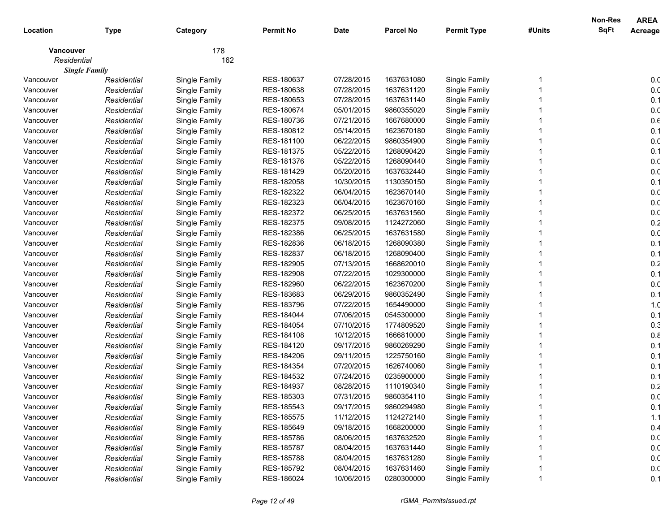|             |                      |               |                  |             |                  |                    |        | Non-Res     | <b>AREA</b>     |
|-------------|----------------------|---------------|------------------|-------------|------------------|--------------------|--------|-------------|-----------------|
| Location    | <b>Type</b>          | Category      | <b>Permit No</b> | <b>Date</b> | <b>Parcel No</b> | <b>Permit Type</b> | #Units | <b>SqFt</b> | Acreage         |
| Vancouver   |                      | 178           |                  |             |                  |                    |        |             |                 |
| Residential |                      | 162           |                  |             |                  |                    |        |             |                 |
|             | <b>Single Family</b> |               |                  |             |                  |                    |        |             |                 |
| Vancouver   | Residential          | Single Family | RES-180637       | 07/28/2015  | 1637631080       | Single Family      |        |             | 0.0             |
| Vancouver   | Residential          | Single Family | RES-180638       | 07/28/2015  | 1637631120       | Single Family      |        |             | 0. <sub>C</sub> |
| Vancouver   | Residential          | Single Family | RES-180653       | 07/28/2015  | 1637631140       | Single Family      |        |             | 0.1             |
| Vancouver   | Residential          | Single Family | RES-180674       | 05/01/2015  | 9860355020       | Single Family      |        |             | 0.0             |
| Vancouver   | Residential          | Single Family | RES-180736       | 07/21/2015  | 1667680000       | Single Family      |        |             | $0.6\,$         |
| Vancouver   | Residential          | Single Family | RES-180812       | 05/14/2015  | 1623670180       | Single Family      |        |             | 0.1             |
| Vancouver   | Residential          | Single Family | RES-181100       | 06/22/2015  | 9860354900       | Single Family      |        |             | 0. <sub>C</sub> |
| Vancouver   | Residential          | Single Family | RES-181375       | 05/22/2015  | 1268090420       | Single Family      |        |             | 0.1             |
| Vancouver   | Residential          | Single Family | RES-181376       | 05/22/2015  | 1268090440       | Single Family      |        |             | 0.0             |
| Vancouver   | Residential          | Single Family | RES-181429       | 05/20/2015  | 1637632440       | Single Family      |        |             | 0. <sub>C</sub> |
| Vancouver   | Residential          | Single Family | RES-182058       | 10/30/2015  | 1130350150       | Single Family      |        |             | 0.1             |
| Vancouver   | Residential          | Single Family | RES-182322       | 06/04/2015  | 1623670140       | Single Family      |        |             | 0. <sub>C</sub> |
| Vancouver   | Residential          | Single Family | RES-182323       | 06/04/2015  | 1623670160       | Single Family      |        |             | 0. <sub>C</sub> |
| Vancouver   | Residential          | Single Family | RES-182372       | 06/25/2015  | 1637631560       | Single Family      |        |             | 0. <sub>C</sub> |
| Vancouver   | Residential          | Single Family | RES-182375       | 09/08/2015  | 1124272060       | Single Family      |        |             | 0.2             |
| Vancouver   | Residential          | Single Family | RES-182386       | 06/25/2015  | 1637631580       | Single Family      |        |             | 0. <sub>C</sub> |
| Vancouver   | Residential          | Single Family | RES-182836       | 06/18/2015  | 1268090380       | Single Family      |        |             | 0.1             |
| Vancouver   | Residential          | Single Family | RES-182837       | 06/18/2015  | 1268090400       | Single Family      |        |             | 0.1             |
| Vancouver   | Residential          | Single Family | RES-182905       | 07/13/2015  | 1668620010       | Single Family      |        |             | 0.2             |
| Vancouver   | Residential          | Single Family | RES-182908       | 07/22/2015  | 1029300000       | Single Family      |        |             | 0.1             |
| Vancouver   | Residential          | Single Family | RES-182960       | 06/22/2015  | 1623670200       | Single Family      |        |             | 0. <sub>C</sub> |
| Vancouver   | Residential          | Single Family | RES-183683       | 06/29/2015  | 9860352490       | Single Family      |        |             | 0.1             |
| Vancouver   | Residential          | Single Family | RES-183796       | 07/22/2015  | 1654490000       | Single Family      |        |             | 1. <sub>C</sub> |
| Vancouver   | Residential          | Single Family | RES-184044       | 07/06/2015  | 0545300000       | Single Family      |        |             | 0.1             |
| Vancouver   | Residential          | Single Family | RES-184054       | 07/10/2015  | 1774809520       | Single Family      |        |             | 0.3             |
| Vancouver   | Residential          | Single Family | RES-184108       | 10/12/2015  | 1666810000       | Single Family      |        |             | 0.8             |
| Vancouver   | Residential          | Single Family | RES-184120       | 09/17/2015  | 9860269290       | Single Family      |        |             | 0.1             |
| Vancouver   | Residential          | Single Family | RES-184206       | 09/11/2015  | 1225750160       | Single Family      |        |             | 0.1             |
| Vancouver   | Residential          | Single Family | RES-184354       | 07/20/2015  | 1626740060       | Single Family      |        |             | 0.1             |
| Vancouver   | Residential          | Single Family | RES-184532       | 07/24/2015  | 0235900000       | Single Family      |        |             | 0.1             |
| Vancouver   | Residential          | Single Family | RES-184937       | 08/28/2015  | 1110190340       | Single Family      |        |             | $0.2\,$         |
| Vancouver   | Residential          | Single Family | RES-185303       | 07/31/2015  | 9860354110       | Single Family      |        |             | 0.0             |
| Vancouver   | Residential          | Single Family | RES-185543       | 09/17/2015  | 9860294980       | Single Family      |        |             | 0.1             |
| Vancouver   | Residential          | Single Family | RES-185575       | 11/12/2015  | 1124272140       | Single Family      |        |             | 1.1             |
| Vancouver   | Residential          | Single Family | RES-185649       | 09/18/2015  | 1668200000       | Single Family      |        |             | 0.4             |
| Vancouver   | Residential          | Single Family | RES-185786       | 08/06/2015  | 1637632520       | Single Family      |        |             | 0.0             |
| Vancouver   | Residential          | Single Family | RES-185787       | 08/04/2015  | 1637631440       | Single Family      |        |             | 0.0             |
| Vancouver   | Residential          | Single Family | RES-185788       | 08/04/2015  | 1637631280       | Single Family      |        |             | 0.0             |
| Vancouver   | Residential          | Single Family | RES-185792       | 08/04/2015  | 1637631460       | Single Family      |        |             | 0.0             |
| Vancouver   | Residential          | Single Family | RES-186024       | 10/06/2015  | 0280300000       | Single Family      |        |             | 0.1             |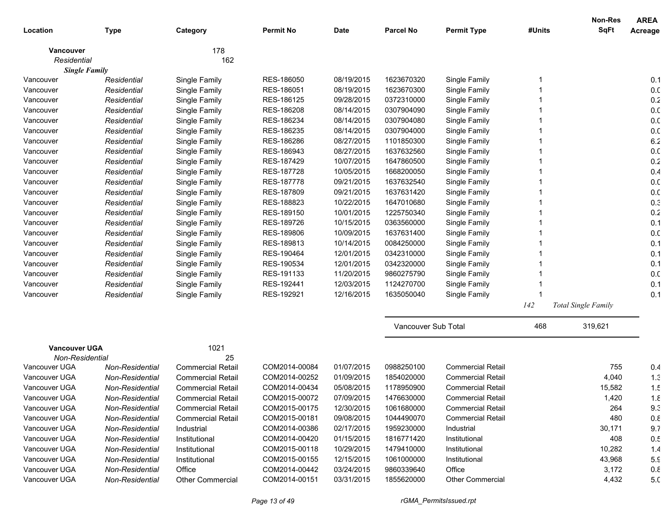|                      |                 |                          |                  |             |                     |                          |        | Non-Res                    | <b>AREA</b>     |
|----------------------|-----------------|--------------------------|------------------|-------------|---------------------|--------------------------|--------|----------------------------|-----------------|
| Location             | <b>Type</b>     | Category                 | <b>Permit No</b> | <b>Date</b> | <b>Parcel No</b>    | <b>Permit Type</b>       | #Units | <b>SqFt</b>                | Acreage         |
| <b>Vancouver</b>     |                 | 178                      |                  |             |                     |                          |        |                            |                 |
| Residential          |                 | 162                      |                  |             |                     |                          |        |                            |                 |
| <b>Single Family</b> |                 |                          |                  |             |                     |                          |        |                            |                 |
| Vancouver            | Residential     | Single Family            | RES-186050       | 08/19/2015  | 1623670320          | Single Family            |        |                            | 0.1             |
| Vancouver            | Residential     | Single Family            | RES-186051       | 08/19/2015  | 1623670300          | Single Family            |        |                            | 0. <sub>C</sub> |
| Vancouver            | Residential     | Single Family            | RES-186125       | 09/28/2015  | 0372310000          | Single Family            |        |                            | 0.2             |
| Vancouver            | Residential     | Single Family            | RES-186208       | 08/14/2015  | 0307904090          | Single Family            |        |                            | 0. <sub>C</sub> |
| Vancouver            | Residential     | Single Family            | RES-186234       | 08/14/2015  | 0307904080          | Single Family            |        |                            | 0. <sub>C</sub> |
| Vancouver            | Residential     | Single Family            | RES-186235       | 08/14/2015  | 0307904000          | Single Family            |        |                            | 0. <sub>C</sub> |
| Vancouver            | Residential     | Single Family            | RES-186286       | 08/27/2015  | 1101850300          | Single Family            |        |                            | 6.2             |
| Vancouver            | Residential     | Single Family            | RES-186943       | 08/27/2015  | 1637632560          | Single Family            |        |                            | 0. <sub>C</sub> |
| Vancouver            | Residential     | Single Family            | RES-187429       | 10/07/2015  | 1647860500          | Single Family            |        |                            | 0.2             |
| Vancouver            | Residential     | Single Family            | RES-187728       | 10/05/2015  | 1668200050          | Single Family            |        |                            | 0.4             |
| Vancouver            | Residential     | Single Family            | RES-187778       | 09/21/2015  | 1637632540          | Single Family            |        |                            | 0. <sub>C</sub> |
| Vancouver            | Residential     | Single Family            | RES-187809       | 09/21/2015  | 1637631420          | Single Family            |        |                            | 0. <sub>C</sub> |
| Vancouver            | Residential     | Single Family            | RES-188823       | 10/22/2015  | 1647010680          | Single Family            |        |                            | 0.3             |
| Vancouver            | Residential     | Single Family            | RES-189150       | 10/01/2015  | 1225750340          | Single Family            |        |                            | 0.2             |
| Vancouver            | Residential     | Single Family            | RES-189726       | 10/15/2015  | 0363560000          | Single Family            |        |                            | 0.1             |
| Vancouver            | Residential     | Single Family            | RES-189806       | 10/09/2015  | 1637631400          | Single Family            |        |                            | 0.0             |
| Vancouver            | Residential     | Single Family            | RES-189813       | 10/14/2015  | 0084250000          | Single Family            |        |                            | 0.1             |
| Vancouver            | Residential     | Single Family            | RES-190464       | 12/01/2015  | 0342310000          | Single Family            |        |                            | 0.1             |
| Vancouver            | Residential     | Single Family            | RES-190534       | 12/01/2015  | 0342320000          | Single Family            |        |                            | 0.1             |
| Vancouver            | Residential     | Single Family            | RES-191133       | 11/20/2015  | 9860275790          | Single Family            |        |                            | 0.0             |
| Vancouver            | Residential     | Single Family            | RES-192441       | 12/03/2015  | 1124270700          | Single Family            |        |                            | 0.1             |
| Vancouver            | Residential     | Single Family            | RES-192921       | 12/16/2015  | 1635050040          | Single Family            |        |                            | 0.1             |
|                      |                 |                          |                  |             |                     |                          | 142    | <b>Total Single Family</b> |                 |
|                      |                 |                          |                  |             | Vancouver Sub Total |                          | 468    | 319,621                    |                 |
| <b>Vancouver UGA</b> |                 | 1021                     |                  |             |                     |                          |        |                            |                 |
| Non-Residential      |                 | 25                       |                  |             |                     |                          |        |                            |                 |
| Vancouver UGA        | Non-Residential | <b>Commercial Retail</b> | COM2014-00084    | 01/07/2015  | 0988250100          | <b>Commercial Retail</b> |        | 755                        | 0.4             |
| Vancouver UGA        | Non-Residential | <b>Commercial Retail</b> | COM2014-00252    | 01/09/2015  | 1854020000          | <b>Commercial Retail</b> |        | 4,040                      | 1.3             |
| Vancouver UGA        | Non-Residential | <b>Commercial Retail</b> | COM2014-00434    | 05/08/2015  | 1178950900          | <b>Commercial Retail</b> |        | 15,582                     | 1.5             |
| Vancouver UGA        | Non-Residential | <b>Commercial Retail</b> | COM2015-00072    | 07/09/2015  | 1476630000          | <b>Commercial Retail</b> |        | 1,420                      | 1.8             |
| Vancouver UGA        | Non-Residential | <b>Commercial Retail</b> | COM2015-00175    | 12/30/2015  | 1061680000          | <b>Commercial Retail</b> |        | 264                        | 9.3             |
| Vancouver UGA        | Non-Residential | <b>Commercial Retail</b> | COM2015-00181    | 09/08/2015  | 1044490070          | <b>Commercial Retail</b> |        | 480                        | 0.8             |
| Vancouver UGA        | Non-Residential | Industrial               | COM2014-00386    | 02/17/2015  | 1959230000          | Industrial               |        | 30,171                     | 9.7             |
| Vancouver UGA        | Non-Residential | Institutional            | COM2014-00420    | 01/15/2015  | 1816771420          | Institutional            |        | 408                        | 0.5             |
| Vancouver UGA        | Non-Residential | Institutional            | COM2015-00118    | 10/29/2015  | 1479410000          | Institutional            |        | 10,282                     | 1.4             |
| Vancouver UGA        | Non-Residential | Institutional            | COM2015-00155    | 12/15/2015  | 1061000000          | Institutional            |        | 43,968                     | 5.9             |
| Vancouver UGA        | Non-Residential | Office                   | COM2014-00442    | 03/24/2015  | 9860339640          | Office                   |        | 3,172                      | 0.8             |
| Vancouver UGA        | Non-Residential | Other Commercial         | COM2014-00151    | 03/31/2015  | 1855620000          | Other Commercial         |        | 4,432                      | 5. <sub>C</sub> |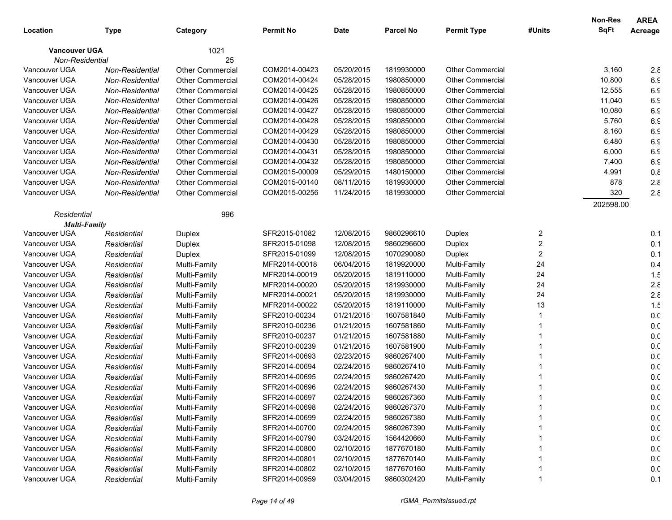|                      |                 |                         |                  |             |                  |                         |                | Non-Res   | <b>AREA</b>     |
|----------------------|-----------------|-------------------------|------------------|-------------|------------------|-------------------------|----------------|-----------|-----------------|
| Location             | Type            | Category                | <b>Permit No</b> | <b>Date</b> | <b>Parcel No</b> | <b>Permit Type</b>      | #Units         | SqFt      | Acreage         |
| <b>Vancouver UGA</b> |                 | 1021                    |                  |             |                  |                         |                |           |                 |
| Non-Residential      |                 | 25                      |                  |             |                  |                         |                |           |                 |
| Vancouver UGA        | Non-Residential | <b>Other Commercial</b> | COM2014-00423    | 05/20/2015  | 1819930000       | <b>Other Commercial</b> |                | 3,160     | $2.\epsilon$    |
| Vancouver UGA        | Non-Residential | <b>Other Commercial</b> | COM2014-00424    | 05/28/2015  | 1980850000       | <b>Other Commercial</b> |                | 10,800    | 6.5             |
| Vancouver UGA        | Non-Residential | <b>Other Commercial</b> | COM2014-00425    | 05/28/2015  | 1980850000       | <b>Other Commercial</b> |                | 12,555    | 6.5             |
| Vancouver UGA        | Non-Residential | <b>Other Commercial</b> | COM2014-00426    | 05/28/2015  | 1980850000       | Other Commercial        |                | 11,040    | 6.5             |
| Vancouver UGA        | Non-Residential | <b>Other Commercial</b> | COM2014-00427    | 05/28/2015  | 1980850000       | <b>Other Commercial</b> |                | 10,080    | 6.5             |
| Vancouver UGA        | Non-Residential | <b>Other Commercial</b> | COM2014-00428    | 05/28/2015  | 1980850000       | <b>Other Commercial</b> |                | 5,760     | 6.5             |
| Vancouver UGA        | Non-Residential | <b>Other Commercial</b> | COM2014-00429    | 05/28/2015  | 1980850000       | <b>Other Commercial</b> |                | 8,160     | 6.5             |
| Vancouver UGA        | Non-Residential | <b>Other Commercial</b> | COM2014-00430    | 05/28/2015  | 1980850000       | <b>Other Commercial</b> |                | 6,480     | 6.5             |
| Vancouver UGA        | Non-Residential | <b>Other Commercial</b> | COM2014-00431    | 05/28/2015  | 1980850000       | <b>Other Commercial</b> |                | 6,000     | 6.5             |
| Vancouver UGA        | Non-Residential | <b>Other Commercial</b> | COM2014-00432    | 05/28/2015  | 1980850000       | <b>Other Commercial</b> |                | 7,400     | 6.5             |
| Vancouver UGA        | Non-Residential | <b>Other Commercial</b> | COM2015-00009    | 05/29/2015  | 1480150000       | <b>Other Commercial</b> |                | 4,991     | 0.8             |
| Vancouver UGA        | Non-Residential | <b>Other Commercial</b> | COM2015-00140    | 08/11/2015  | 1819930000       | <b>Other Commercial</b> |                | 878       | $2.\epsilon$    |
| Vancouver UGA        | Non-Residential | <b>Other Commercial</b> | COM2015-00256    | 11/24/2015  | 1819930000       | <b>Other Commercial</b> |                | 320       | $2.\epsilon$    |
|                      |                 |                         |                  |             |                  |                         |                | 202598.00 |                 |
| Residential          |                 | 996                     |                  |             |                  |                         |                |           |                 |
| <b>Multi-Family</b>  |                 |                         |                  |             |                  |                         |                |           |                 |
| Vancouver UGA        | Residential     | Duplex                  | SFR2015-01082    | 12/08/2015  | 9860296610       | Duplex                  | 2              |           | 0.1             |
| Vancouver UGA        | Residential     | <b>Duplex</b>           | SFR2015-01098    | 12/08/2015  | 9860296600       | Duplex                  | $\overline{2}$ |           | 0.1             |
| Vancouver UGA        | Residential     | <b>Duplex</b>           | SFR2015-01099    | 12/08/2015  | 1070290080       | Duplex                  | $\overline{2}$ |           | 0.1             |
| Vancouver UGA        | Residential     | Multi-Family            | MFR2014-00018    | 06/04/2015  | 1819920000       | Multi-Family            | 24             |           | 0.4             |
| Vancouver UGA        | Residential     | Multi-Family            | MFR2014-00019    | 05/20/2015  | 1819110000       | Multi-Family            | 24             |           | 1.5             |
| Vancouver UGA        | Residential     | Multi-Family            | MFR2014-00020    | 05/20/2015  | 1819930000       | Multi-Family            | 24             |           | $2.\epsilon$    |
| Vancouver UGA        | Residential     | Multi-Family            | MFR2014-00021    | 05/20/2015  | 1819930000       | Multi-Family            | 24             |           | $2.\epsilon$    |
| Vancouver UGA        | Residential     | Multi-Family            | MFR2014-00022    | 05/20/2015  | 1819110000       | Multi-Family            | 13             |           | 1.5             |
| Vancouver UGA        | Residential     | Multi-Family            | SFR2010-00234    | 01/21/2015  | 1607581840       | Multi-Family            |                |           | 0. <sub>C</sub> |
| Vancouver UGA        | Residential     | Multi-Family            | SFR2010-00236    | 01/21/2015  | 1607581860       | Multi-Family            |                |           | 0. <sub>C</sub> |
| Vancouver UGA        | Residential     | Multi-Family            | SFR2010-00237    | 01/21/2015  | 1607581880       | Multi-Family            |                |           | 0.0             |
| Vancouver UGA        | Residential     | Multi-Family            | SFR2010-00239    | 01/21/2015  | 1607581900       | Multi-Family            |                |           | 0.0             |
| Vancouver UGA        | Residential     | Multi-Family            | SFR2014-00693    | 02/23/2015  | 9860267400       | Multi-Family            |                |           | 0.0             |
| Vancouver UGA        | Residential     | Multi-Family            | SFR2014-00694    | 02/24/2015  | 9860267410       | Multi-Family            |                |           | 0.0             |
| Vancouver UGA        | Residential     | Multi-Family            | SFR2014-00695    | 02/24/2015  | 9860267420       | Multi-Family            |                |           | 0.0             |
| Vancouver UGA        | Residential     | Multi-Family            | SFR2014-00696    | 02/24/2015  | 9860267430       | Multi-Family            |                |           | 0.0             |
| Vancouver UGA        | Residential     | Multi-Family            | SFR2014-00697    | 02/24/2015  | 9860267360       | Multi-Family            |                |           | 0.0             |
| Vancouver UGA        | Residential     | Multi-Family            | SFR2014-00698    | 02/24/2015  | 9860267370       | Multi-Family            |                |           | 0.0             |
| Vancouver UGA        | Residential     | Multi-Family            | SFR2014-00699    | 02/24/2015  | 9860267380       | Multi-Family            |                |           | 0.0             |
| Vancouver UGA        | Residential     | Multi-Family            | SFR2014-00700    | 02/24/2015  | 9860267390       | Multi-Family            |                |           | 0.0             |
| Vancouver UGA        | Residential     | Multi-Family            | SFR2014-00790    | 03/24/2015  | 1564420660       | Multi-Family            |                |           | 0.0             |
| Vancouver UGA        | Residential     | Multi-Family            | SFR2014-00800    | 02/10/2015  | 1877670180       | Multi-Family            |                |           | 0.0             |
| Vancouver UGA        | Residential     | Multi-Family            | SFR2014-00801    | 02/10/2015  | 1877670140       | Multi-Family            |                |           | 0.0             |
| Vancouver UGA        | Residential     | Multi-Family            | SFR2014-00802    | 02/10/2015  | 1877670160       | Multi-Family            |                |           | 0.0             |
| Vancouver UGA        | Residential     | Multi-Family            | SFR2014-00959    | 03/04/2015  | 9860302420       | Multi-Family            |                |           | 0.1             |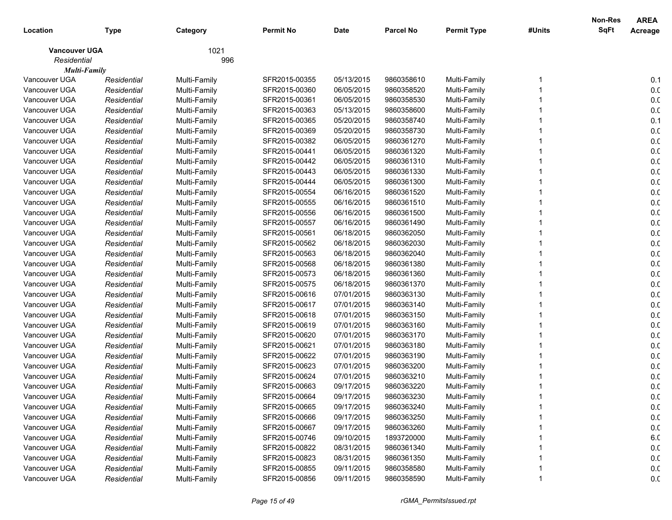|                      |             |              |                  |             |                  |                    |        | Non-Res     | <b>AREA</b>     |
|----------------------|-------------|--------------|------------------|-------------|------------------|--------------------|--------|-------------|-----------------|
| Location             | <b>Type</b> | Category     | <b>Permit No</b> | <b>Date</b> | <b>Parcel No</b> | <b>Permit Type</b> | #Units | <b>SqFt</b> | Acreage         |
| <b>Vancouver UGA</b> |             | 1021         |                  |             |                  |                    |        |             |                 |
| Residential          |             | 996          |                  |             |                  |                    |        |             |                 |
| <b>Multi-Family</b>  |             |              |                  |             |                  |                    |        |             |                 |
| Vancouver UGA        | Residential | Multi-Family | SFR2015-00355    | 05/13/2015  | 9860358610       | Multi-Family       |        |             | 0.1             |
| Vancouver UGA        | Residential | Multi-Family | SFR2015-00360    | 06/05/2015  | 9860358520       | Multi-Family       |        |             | 0.0             |
| Vancouver UGA        | Residential | Multi-Family | SFR2015-00361    | 06/05/2015  | 9860358530       | Multi-Family       |        |             | 0.0             |
| Vancouver UGA        | Residential | Multi-Family | SFR2015-00363    | 05/13/2015  | 9860358600       | Multi-Family       |        |             | 0.0             |
| Vancouver UGA        | Residential | Multi-Family | SFR2015-00365    | 05/20/2015  | 9860358740       | Multi-Family       |        |             | 0.1             |
| Vancouver UGA        | Residential | Multi-Family | SFR2015-00369    | 05/20/2015  | 9860358730       | Multi-Family       |        |             | 0. <sub>C</sub> |
| Vancouver UGA        | Residential | Multi-Family | SFR2015-00382    | 06/05/2015  | 9860361270       | Multi-Family       |        |             | 0. <sub>C</sub> |
| Vancouver UGA        | Residential | Multi-Family | SFR2015-00441    | 06/05/2015  | 9860361320       | Multi-Family       |        |             | 0. <sub>C</sub> |
| Vancouver UGA        | Residential | Multi-Family | SFR2015-00442    | 06/05/2015  | 9860361310       | Multi-Family       |        |             | 0.0             |
| Vancouver UGA        | Residential | Multi-Family | SFR2015-00443    | 06/05/2015  | 9860361330       | Multi-Family       |        |             | 0. <sub>C</sub> |
| Vancouver UGA        | Residential | Multi-Family | SFR2015-00444    | 06/05/2015  | 9860361300       | Multi-Family       |        |             | 0. <sub>C</sub> |
| Vancouver UGA        | Residential | Multi-Family | SFR2015-00554    | 06/16/2015  | 9860361520       | Multi-Family       |        |             | 0. <sub>C</sub> |
| Vancouver UGA        | Residential | Multi-Family | SFR2015-00555    | 06/16/2015  | 9860361510       | Multi-Family       |        |             | 0. <sub>C</sub> |
| Vancouver UGA        | Residential | Multi-Family | SFR2015-00556    | 06/16/2015  | 9860361500       | Multi-Family       |        |             | 0. <sub>C</sub> |
| Vancouver UGA        | Residential | Multi-Family | SFR2015-00557    | 06/16/2015  | 9860361490       | Multi-Family       |        |             | 0.0             |
| Vancouver UGA        | Residential | Multi-Family | SFR2015-00561    | 06/18/2015  | 9860362050       | Multi-Family       |        |             | 0.0             |
| Vancouver UGA        | Residential | Multi-Family | SFR2015-00562    | 06/18/2015  | 9860362030       | Multi-Family       |        |             | 0.0             |
| Vancouver UGA        | Residential | Multi-Family | SFR2015-00563    | 06/18/2015  | 9860362040       | Multi-Family       |        |             | 0.0             |
| Vancouver UGA        | Residential | Multi-Family | SFR2015-00568    | 06/18/2015  | 9860361380       | Multi-Family       |        |             | 0. <sub>C</sub> |
| Vancouver UGA        | Residential | Multi-Family | SFR2015-00573    | 06/18/2015  | 9860361360       | Multi-Family       |        |             | 0. <sub>C</sub> |
| Vancouver UGA        | Residential | Multi-Family | SFR2015-00575    | 06/18/2015  | 9860361370       | Multi-Family       |        |             | 0. <sub>C</sub> |
| Vancouver UGA        | Residential | Multi-Family | SFR2015-00616    | 07/01/2015  | 9860363130       | Multi-Family       |        |             | 0. <sub>C</sub> |
| Vancouver UGA        | Residential | Multi-Family | SFR2015-00617    | 07/01/2015  | 9860363140       | Multi-Family       |        |             | 0. <sub>C</sub> |
| Vancouver UGA        | Residential | Multi-Family | SFR2015-00618    | 07/01/2015  | 9860363150       | Multi-Family       |        |             | 0.0             |
| Vancouver UGA        | Residential | Multi-Family | SFR2015-00619    | 07/01/2015  | 9860363160       | Multi-Family       |        |             | 0.0             |
| Vancouver UGA        | Residential | Multi-Family | SFR2015-00620    | 07/01/2015  | 9860363170       | Multi-Family       |        |             | 0.0             |
| Vancouver UGA        | Residential | Multi-Family | SFR2015-00621    | 07/01/2015  | 9860363180       | Multi-Family       |        |             | 0. <sub>C</sub> |
| Vancouver UGA        | Residential | Multi-Family | SFR2015-00622    | 07/01/2015  | 9860363190       | Multi-Family       |        |             | 0. <sub>C</sub> |
| Vancouver UGA        | Residential | Multi-Family | SFR2015-00623    | 07/01/2015  | 9860363200       | Multi-Family       |        |             | 0. <sub>C</sub> |
| Vancouver UGA        | Residential | Multi-Family | SFR2015-00624    | 07/01/2015  | 9860363210       | Multi-Family       |        |             | 0. <sub>C</sub> |
| Vancouver UGA        | Residential | Multi-Family | SFR2015-00663    | 09/17/2015  | 9860363220       | Multi-Family       |        |             | 0.0             |
| Vancouver UGA        | Residential | Multi-Family | SFR2015-00664    | 09/17/2015  | 9860363230       | Multi-Family       |        |             | 0.0             |
| Vancouver UGA        | Residential | Multi-Family | SFR2015-00665    | 09/17/2015  | 9860363240       | Multi-Family       |        |             | 0.0             |
| Vancouver UGA        | Residential | Multi-Family | SFR2015-00666    | 09/17/2015  | 9860363250       | Multi-Family       |        |             | 0.0             |
| Vancouver UGA        | Residential | Multi-Family | SFR2015-00667    | 09/17/2015  | 9860363260       | Multi-Family       |        |             | 0.0             |
| Vancouver UGA        | Residential | Multi-Family | SFR2015-00746    | 09/10/2015  | 1893720000       | Multi-Family       |        |             | 6. <sub>C</sub> |
| Vancouver UGA        | Residential | Multi-Family | SFR2015-00822    | 08/31/2015  | 9860361340       | Multi-Family       |        |             | 0.0             |
| Vancouver UGA        | Residential | Multi-Family | SFR2015-00823    | 08/31/2015  | 9860361350       | Multi-Family       |        |             | 0.0             |
| Vancouver UGA        | Residential | Multi-Family | SFR2015-00855    | 09/11/2015  | 9860358580       | Multi-Family       |        |             | 0.0             |
| Vancouver UGA        | Residential | Multi-Family | SFR2015-00856    | 09/11/2015  | 9860358590       | Multi-Family       |        |             | 0.0             |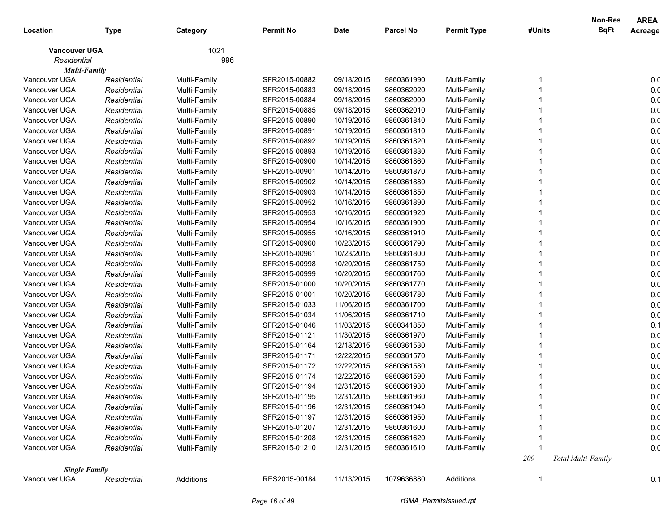|                      |             |              |                  |             |                  |                    |        | <b>Non-Res</b>            | <b>AREA</b>     |
|----------------------|-------------|--------------|------------------|-------------|------------------|--------------------|--------|---------------------------|-----------------|
| Location             | <b>Type</b> | Category     | <b>Permit No</b> | <b>Date</b> | <b>Parcel No</b> | <b>Permit Type</b> | #Units | <b>SqFt</b>               | Acreage         |
| <b>Vancouver UGA</b> |             | 1021         |                  |             |                  |                    |        |                           |                 |
| Residential          |             | 996          |                  |             |                  |                    |        |                           |                 |
| Multi-Family         |             |              |                  |             |                  |                    |        |                           |                 |
| Vancouver UGA        | Residential | Multi-Family | SFR2015-00882    | 09/18/2015  | 9860361990       | Multi-Family       |        |                           | 0. <sub>C</sub> |
| Vancouver UGA        | Residential | Multi-Family | SFR2015-00883    | 09/18/2015  | 9860362020       | Multi-Family       |        |                           | 0. <sub>C</sub> |
| Vancouver UGA        | Residential | Multi-Family | SFR2015-00884    | 09/18/2015  | 9860362000       | Multi-Family       |        |                           | 0. <sub>C</sub> |
| Vancouver UGA        | Residential | Multi-Family | SFR2015-00885    | 09/18/2015  | 9860362010       | Multi-Family       |        |                           | 0. <sub>C</sub> |
| Vancouver UGA        | Residential | Multi-Family | SFR2015-00890    | 10/19/2015  | 9860361840       | Multi-Family       |        |                           | 0. <sub>C</sub> |
| Vancouver UGA        | Residential | Multi-Family | SFR2015-00891    | 10/19/2015  | 9860361810       | Multi-Family       |        |                           | 0. <sub>C</sub> |
| Vancouver UGA        | Residential | Multi-Family | SFR2015-00892    | 10/19/2015  | 9860361820       | Multi-Family       |        |                           | 0. <sub>C</sub> |
| Vancouver UGA        | Residential | Multi-Family | SFR2015-00893    | 10/19/2015  | 9860361830       | Multi-Family       |        |                           | 0. <sub>C</sub> |
| Vancouver UGA        | Residential | Multi-Family | SFR2015-00900    | 10/14/2015  | 9860361860       | Multi-Family       |        |                           | 0. <sub>C</sub> |
| Vancouver UGA        | Residential | Multi-Family | SFR2015-00901    | 10/14/2015  | 9860361870       | Multi-Family       |        |                           | 0. <sub>C</sub> |
| Vancouver UGA        | Residential | Multi-Family | SFR2015-00902    | 10/14/2015  | 9860361880       | Multi-Family       |        |                           | 0. <sub>C</sub> |
| Vancouver UGA        | Residential | Multi-Family | SFR2015-00903    | 10/14/2015  | 9860361850       | Multi-Family       |        |                           | 0. <sub>C</sub> |
| Vancouver UGA        | Residential | Multi-Family | SFR2015-00952    | 10/16/2015  | 9860361890       | Multi-Family       |        |                           | 0. <sub>C</sub> |
| Vancouver UGA        | Residential | Multi-Family | SFR2015-00953    | 10/16/2015  | 9860361920       | Multi-Family       |        |                           | 0.0             |
| Vancouver UGA        | Residential | Multi-Family | SFR2015-00954    | 10/16/2015  | 9860361900       | Multi-Family       |        |                           | 0.0             |
| Vancouver UGA        | Residential | Multi-Family | SFR2015-00955    | 10/16/2015  | 9860361910       | Multi-Family       |        |                           | 0.0             |
| Vancouver UGA        | Residential | Multi-Family | SFR2015-00960    | 10/23/2015  | 9860361790       | Multi-Family       |        |                           | 0.0             |
| Vancouver UGA        | Residential | Multi-Family | SFR2015-00961    | 10/23/2015  | 9860361800       | Multi-Family       |        |                           | 0. <sub>C</sub> |
| Vancouver UGA        | Residential | Multi-Family | SFR2015-00998    | 10/20/2015  | 9860361750       | Multi-Family       |        |                           | 0.0             |
| Vancouver UGA        | Residential | Multi-Family | SFR2015-00999    | 10/20/2015  | 9860361760       | Multi-Family       |        |                           | 0.0             |
| Vancouver UGA        | Residential | Multi-Family | SFR2015-01000    | 10/20/2015  | 9860361770       | Multi-Family       |        |                           | 0.0             |
| Vancouver UGA        | Residential | Multi-Family | SFR2015-01001    | 10/20/2015  | 9860361780       | Multi-Family       |        |                           | 0.0             |
| Vancouver UGA        | Residential | Multi-Family | SFR2015-01033    | 11/06/2015  | 9860361700       | Multi-Family       |        |                           | 0.0             |
| Vancouver UGA        | Residential | Multi-Family | SFR2015-01034    | 11/06/2015  | 9860361710       | Multi-Family       |        |                           | 0. <sub>C</sub> |
| Vancouver UGA        | Residential | Multi-Family | SFR2015-01046    | 11/03/2015  | 9860341850       | Multi-Family       |        |                           | 0.1             |
| Vancouver UGA        | Residential | Multi-Family | SFR2015-01121    | 11/30/2015  | 9860361970       | Multi-Family       |        |                           | 0.0             |
| Vancouver UGA        | Residential | Multi-Family | SFR2015-01164    | 12/18/2015  | 9860361530       | Multi-Family       |        |                           | 0.0             |
| Vancouver UGA        | Residential | Multi-Family | SFR2015-01171    | 12/22/2015  | 9860361570       | Multi-Family       |        |                           | 0. <sub>C</sub> |
| Vancouver UGA        | Residential | Multi-Family | SFR2015-01172    | 12/22/2015  | 9860361580       | Multi-Family       |        |                           | 0. <sub>C</sub> |
| Vancouver UGA        | Residential | Multi-Family | SFR2015-01174    | 12/22/2015  | 9860361590       | Multi-Family       |        |                           | 0. <sub>C</sub> |
| Vancouver UGA        | Residential | Multi-Family | SFR2015-01194    | 12/31/2015  | 9860361930       | Multi-Family       |        |                           | 0. <sub>C</sub> |
| Vancouver UGA        | Residential | Multi-Family | SFR2015-01195    | 12/31/2015  | 9860361960       | Multi-Family       |        |                           | 0. <sub>C</sub> |
| Vancouver UGA        | Residential | Multi-Family | SFR2015-01196    | 12/31/2015  | 9860361940       | Multi-Family       |        |                           | 0.0             |
| Vancouver UGA        | Residential | Multi-Family | SFR2015-01197    | 12/31/2015  | 9860361950       | Multi-Family       |        |                           | 0.0             |
| Vancouver UGA        | Residential | Multi-Family | SFR2015-01207    | 12/31/2015  | 9860361600       | Multi-Family       |        |                           | 0.0             |
| Vancouver UGA        | Residential | Multi-Family | SFR2015-01208    | 12/31/2015  | 9860361620       | Multi-Family       |        |                           | 0.0             |
| Vancouver UGA        | Residential | Multi-Family | SFR2015-01210    | 12/31/2015  | 9860361610       | Multi-Family       |        |                           | 0.0             |
|                      |             |              |                  |             |                  |                    | 209    | <b>Total Multi-Family</b> |                 |
| <b>Single Family</b> |             |              |                  |             |                  |                    |        |                           |                 |
| Vancouver UGA        | Residential | Additions    | RES2015-00184    | 11/13/2015  | 1079636880       | Additions          | 1      |                           | 0.1             |
|                      |             |              |                  |             |                  |                    |        |                           |                 |
|                      |             |              |                  |             |                  |                    |        |                           |                 |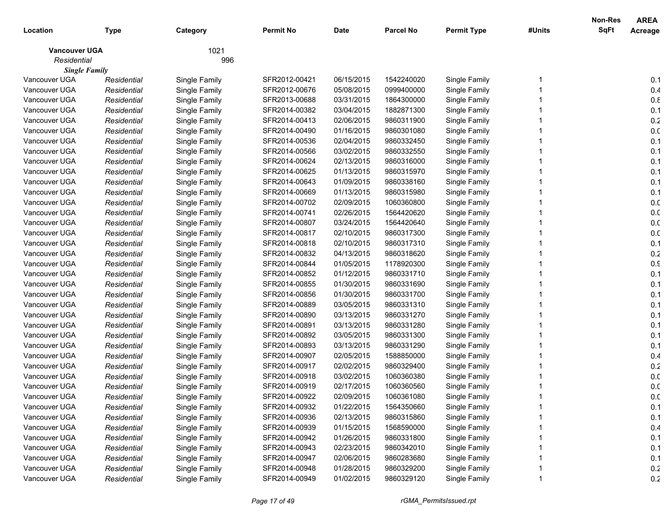|                      |             |               |                  |             |                  |                    |        | Non-Res     | <b>AREA</b>     |
|----------------------|-------------|---------------|------------------|-------------|------------------|--------------------|--------|-------------|-----------------|
| Location             | Type        | Category      | <b>Permit No</b> | <b>Date</b> | <b>Parcel No</b> | <b>Permit Type</b> | #Units | <b>SqFt</b> | Acreage         |
| <b>Vancouver UGA</b> |             | 1021          |                  |             |                  |                    |        |             |                 |
| Residential          |             | 996           |                  |             |                  |                    |        |             |                 |
| <b>Single Family</b> |             |               |                  |             |                  |                    |        |             |                 |
| Vancouver UGA        | Residential | Single Family | SFR2012-00421    | 06/15/2015  | 1542240020       | Single Family      |        |             | 0.1             |
| Vancouver UGA        | Residential | Single Family | SFR2012-00676    | 05/08/2015  | 0999400000       | Single Family      |        |             | 0.4             |
| Vancouver UGA        | Residential | Single Family | SFR2013-00688    | 03/31/2015  | 1864300000       | Single Family      |        |             | $0.8$           |
| Vancouver UGA        | Residential | Single Family | SFR2014-00382    | 03/04/2015  | 1882871300       | Single Family      |        |             | 0.1             |
| Vancouver UGA        | Residential | Single Family | SFR2014-00413    | 02/06/2015  | 9860311900       | Single Family      |        |             | 0.2             |
| Vancouver UGA        | Residential | Single Family | SFR2014-00490    | 01/16/2015  | 9860301080       | Single Family      |        |             | 0. <sub>C</sub> |
| Vancouver UGA        | Residential | Single Family | SFR2014-00536    | 02/04/2015  | 9860332450       | Single Family      |        |             | 0.1             |
| Vancouver UGA        | Residential | Single Family | SFR2014-00566    | 03/02/2015  | 9860332550       | Single Family      |        |             | 0.1             |
| Vancouver UGA        | Residential | Single Family | SFR2014-00624    | 02/13/2015  | 9860316000       | Single Family      |        |             | 0.1             |
| Vancouver UGA        | Residential | Single Family | SFR2014-00625    | 01/13/2015  | 9860315970       | Single Family      |        |             | 0.1             |
| Vancouver UGA        | Residential | Single Family | SFR2014-00643    | 01/09/2015  | 9860338160       | Single Family      |        |             | 0.1             |
| Vancouver UGA        | Residential | Single Family | SFR2014-00669    | 01/13/2015  | 9860315980       | Single Family      |        |             | 0.1             |
| Vancouver UGA        | Residential | Single Family | SFR2014-00702    | 02/09/2015  | 1060360800       | Single Family      |        |             | 0.0             |
| Vancouver UGA        | Residential | Single Family | SFR2014-00741    | 02/26/2015  | 1564420620       | Single Family      |        |             | 0. <sub>C</sub> |
| Vancouver UGA        | Residential | Single Family | SFR2014-00807    | 03/24/2015  | 1564420640       | Single Family      |        |             | 0. <sub>C</sub> |
| Vancouver UGA        | Residential | Single Family | SFR2014-00817    | 02/10/2015  | 9860317300       | Single Family      |        |             | 0. <sub>C</sub> |
| Vancouver UGA        | Residential | Single Family | SFR2014-00818    | 02/10/2015  | 9860317310       | Single Family      |        |             | 0.1             |
| Vancouver UGA        | Residential | Single Family | SFR2014-00832    | 04/13/2015  | 9860318620       | Single Family      |        |             | 0.2             |
| Vancouver UGA        | Residential | Single Family | SFR2014-00844    | 01/05/2015  | 1178920300       | Single Family      |        |             | 0.9             |
| Vancouver UGA        | Residential | Single Family | SFR2014-00852    | 01/12/2015  | 9860331710       | Single Family      |        |             | 0.1             |
| Vancouver UGA        | Residential | Single Family | SFR2014-00855    | 01/30/2015  | 9860331690       | Single Family      |        |             | 0.1             |
| Vancouver UGA        | Residential | Single Family | SFR2014-00856    | 01/30/2015  | 9860331700       | Single Family      |        |             | 0.1             |
| Vancouver UGA        | Residential | Single Family | SFR2014-00889    | 03/05/2015  | 9860331310       | Single Family      |        |             | 0.1             |
| Vancouver UGA        | Residential | Single Family | SFR2014-00890    | 03/13/2015  | 9860331270       | Single Family      |        |             | 0.1             |
| Vancouver UGA        | Residential | Single Family | SFR2014-00891    | 03/13/2015  | 9860331280       | Single Family      |        |             | 0.1             |
| Vancouver UGA        | Residential | Single Family | SFR2014-00892    | 03/05/2015  | 9860331300       | Single Family      |        |             | 0.1             |
| Vancouver UGA        | Residential | Single Family | SFR2014-00893    | 03/13/2015  | 9860331290       | Single Family      |        |             | 0.1             |
| Vancouver UGA        | Residential | Single Family | SFR2014-00907    | 02/05/2015  | 1588850000       | Single Family      |        |             | 0.4             |
| Vancouver UGA        | Residential | Single Family | SFR2014-00917    | 02/02/2015  | 9860329400       | Single Family      |        |             | 0.2             |
| Vancouver UGA        | Residential | Single Family | SFR2014-00918    | 03/02/2015  | 1060360380       | Single Family      |        |             | 0. <sub>C</sub> |
| Vancouver UGA        | Residential | Single Family | SFR2014-00919    | 02/17/2015  | 1060360560       | Single Family      |        |             | 0. <sub>C</sub> |
| Vancouver UGA        | Residential | Single Family | SFR2014-00922    | 02/09/2015  | 1060361080       | Single Family      |        |             | 0.0             |
| Vancouver UGA        | Residential | Single Family | SFR2014-00932    | 01/22/2015  | 1564350660       | Single Family      |        |             | 0.1             |
| Vancouver UGA        | Residential | Single Family | SFR2014-00936    | 02/13/2015  | 9860315860       | Single Family      |        |             | 0.1             |
| Vancouver UGA        | Residential | Single Family | SFR2014-00939    | 01/15/2015  | 1568590000       | Single Family      |        |             | 0.4             |
| Vancouver UGA        | Residential | Single Family | SFR2014-00942    | 01/26/2015  | 9860331800       | Single Family      |        |             | 0.1             |
| Vancouver UGA        | Residential | Single Family | SFR2014-00943    | 02/23/2015  | 9860342010       | Single Family      |        |             | 0.1             |
| Vancouver UGA        | Residential | Single Family | SFR2014-00947    | 02/06/2015  | 9860283680       | Single Family      |        |             | 0.1             |
| Vancouver UGA        | Residential | Single Family | SFR2014-00948    | 01/28/2015  | 9860329200       | Single Family      |        |             | 0.2             |
| Vancouver UGA        | Residential | Single Family | SFR2014-00949    | 01/02/2015  | 9860329120       | Single Family      |        |             | 0.2             |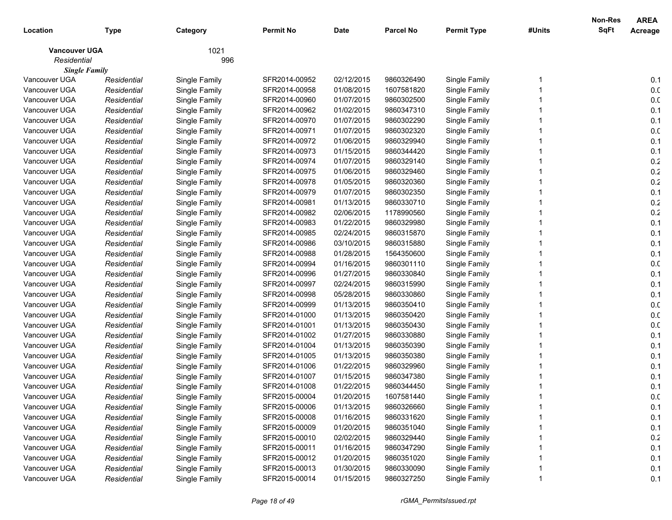|                      |             |               |                  |             |                  |                    |        | Non-Res     | <b>AREA</b>     |
|----------------------|-------------|---------------|------------------|-------------|------------------|--------------------|--------|-------------|-----------------|
| Location             | <b>Type</b> | Category      | <b>Permit No</b> | <b>Date</b> | <b>Parcel No</b> | <b>Permit Type</b> | #Units | <b>SqFt</b> | Acreage         |
| <b>Vancouver UGA</b> |             | 1021          |                  |             |                  |                    |        |             |                 |
| Residential          |             | 996           |                  |             |                  |                    |        |             |                 |
| <b>Single Family</b> |             |               |                  |             |                  |                    |        |             |                 |
| Vancouver UGA        | Residential | Single Family | SFR2014-00952    | 02/12/2015  | 9860326490       | Single Family      |        |             | 0.1             |
| Vancouver UGA        | Residential | Single Family | SFR2014-00958    | 01/08/2015  | 1607581820       | Single Family      |        |             | 0. <sub>C</sub> |
| Vancouver UGA        | Residential | Single Family | SFR2014-00960    | 01/07/2015  | 9860302500       | Single Family      |        |             | 0. <sub>C</sub> |
| Vancouver UGA        | Residential | Single Family | SFR2014-00962    | 01/02/2015  | 9860347310       | Single Family      |        |             | 0.1             |
| Vancouver UGA        | Residential | Single Family | SFR2014-00970    | 01/07/2015  | 9860302290       | Single Family      |        |             | 0.1             |
| Vancouver UGA        | Residential | Single Family | SFR2014-00971    | 01/07/2015  | 9860302320       | Single Family      |        |             | 0. <sub>C</sub> |
| Vancouver UGA        | Residential | Single Family | SFR2014-00972    | 01/06/2015  | 9860329940       | Single Family      |        |             | 0.1             |
| Vancouver UGA        | Residential | Single Family | SFR2014-00973    | 01/15/2015  | 9860344420       | Single Family      |        |             | 0.1             |
| Vancouver UGA        | Residential | Single Family | SFR2014-00974    | 01/07/2015  | 9860329140       | Single Family      |        |             | 0.2             |
| Vancouver UGA        | Residential | Single Family | SFR2014-00975    | 01/06/2015  | 9860329460       | Single Family      |        |             | $0.2\,$         |
| Vancouver UGA        | Residential | Single Family | SFR2014-00978    | 01/05/2015  | 9860320360       | Single Family      |        |             | 0.2             |
| Vancouver UGA        | Residential | Single Family | SFR2014-00979    | 01/07/2015  | 9860302350       | Single Family      |        |             | 0.1             |
| Vancouver UGA        | Residential | Single Family | SFR2014-00981    | 01/13/2015  | 9860330710       | Single Family      |        |             | 0.2             |
| Vancouver UGA        | Residential | Single Family | SFR2014-00982    | 02/06/2015  | 1178990560       | Single Family      |        |             | 0.2             |
| Vancouver UGA        | Residential | Single Family | SFR2014-00983    | 01/22/2015  | 9860329980       | Single Family      |        |             | 0.1             |
| Vancouver UGA        | Residential | Single Family | SFR2014-00985    | 02/24/2015  | 9860315870       | Single Family      |        |             | 0.1             |
| Vancouver UGA        | Residential | Single Family | SFR2014-00986    | 03/10/2015  | 9860315880       | Single Family      |        |             | 0.1             |
| Vancouver UGA        | Residential | Single Family | SFR2014-00988    | 01/28/2015  | 1564350600       | Single Family      |        |             | 0.1             |
| Vancouver UGA        | Residential | Single Family | SFR2014-00994    | 01/16/2015  | 9860301110       | Single Family      |        |             | 0. <sub>C</sub> |
| Vancouver UGA        | Residential | Single Family | SFR2014-00996    | 01/27/2015  | 9860330840       | Single Family      |        |             | 0.1             |
| Vancouver UGA        | Residential | Single Family | SFR2014-00997    | 02/24/2015  | 9860315990       | Single Family      |        |             | 0.1             |
| Vancouver UGA        | Residential | Single Family | SFR2014-00998    | 05/28/2015  | 9860330860       | Single Family      |        |             | 0.1             |
| Vancouver UGA        | Residential | Single Family | SFR2014-00999    | 01/13/2015  | 9860350410       | Single Family      |        |             | 0.0             |
| Vancouver UGA        | Residential | Single Family | SFR2014-01000    | 01/13/2015  | 9860350420       | Single Family      |        |             | 0.0             |
| Vancouver UGA        | Residential | Single Family | SFR2014-01001    | 01/13/2015  | 9860350430       | Single Family      |        |             | 0.0             |
| Vancouver UGA        | Residential | Single Family | SFR2014-01002    | 01/27/2015  | 9860330880       | Single Family      |        |             | 0.1             |
| Vancouver UGA        | Residential | Single Family | SFR2014-01004    | 01/13/2015  | 9860350390       | Single Family      |        |             | 0.1             |
| Vancouver UGA        | Residential | Single Family | SFR2014-01005    | 01/13/2015  | 9860350380       | Single Family      |        |             | 0.1             |
| Vancouver UGA        | Residential | Single Family | SFR2014-01006    | 01/22/2015  | 9860329960       | Single Family      |        |             | 0.1             |
| Vancouver UGA        | Residential | Single Family | SFR2014-01007    | 01/15/2015  | 9860347380       | Single Family      |        |             | 0.1             |
| Vancouver UGA        | Residential | Single Family | SFR2014-01008    | 01/22/2015  | 9860344450       | Single Family      |        |             | 0.1             |
| Vancouver UGA        | Residential | Single Family | SFR2015-00004    | 01/20/2015  | 1607581440       | Single Family      |        |             | 0. <sub>C</sub> |
| Vancouver UGA        | Residential | Single Family | SFR2015-00006    | 01/13/2015  | 9860326660       | Single Family      |        |             | 0.1             |
| Vancouver UGA        | Residential | Single Family | SFR2015-00008    | 01/16/2015  | 9860331620       | Single Family      |        |             | 0.1             |
| Vancouver UGA        | Residential | Single Family | SFR2015-00009    | 01/20/2015  | 9860351040       | Single Family      |        |             | 0.1             |
| Vancouver UGA        | Residential | Single Family | SFR2015-00010    | 02/02/2015  | 9860329440       | Single Family      |        |             | 0.2             |
| Vancouver UGA        | Residential | Single Family | SFR2015-00011    | 01/16/2015  | 9860347290       | Single Family      |        |             | 0.1             |
| Vancouver UGA        | Residential | Single Family | SFR2015-00012    | 01/20/2015  | 9860351020       | Single Family      |        |             | 0.1             |
| Vancouver UGA        | Residential | Single Family | SFR2015-00013    | 01/30/2015  | 9860330090       | Single Family      |        |             | 0.1             |
| Vancouver UGA        | Residential | Single Family | SFR2015-00014    | 01/15/2015  | 9860327250       | Single Family      |        |             | 0.1             |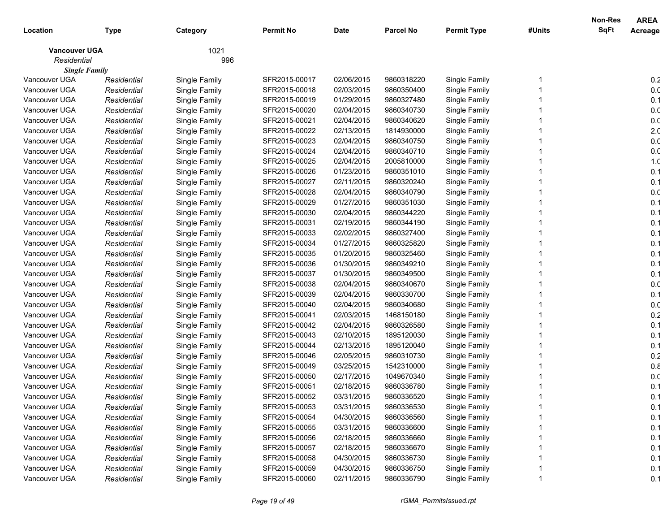|                      |             |               |                  |             |                  |                    |        | Non-Res     | <b>AREA</b>     |
|----------------------|-------------|---------------|------------------|-------------|------------------|--------------------|--------|-------------|-----------------|
| Location             | Type        | Category      | <b>Permit No</b> | <b>Date</b> | <b>Parcel No</b> | <b>Permit Type</b> | #Units | <b>SqFt</b> | Acreage         |
| <b>Vancouver UGA</b> |             | 1021          |                  |             |                  |                    |        |             |                 |
| Residential          |             | 996           |                  |             |                  |                    |        |             |                 |
| <b>Single Family</b> |             |               |                  |             |                  |                    |        |             |                 |
| Vancouver UGA        | Residential | Single Family | SFR2015-00017    | 02/06/2015  | 9860318220       | Single Family      |        |             | 0.2             |
| Vancouver UGA        | Residential | Single Family | SFR2015-00018    | 02/03/2015  | 9860350400       | Single Family      |        |             | 0. <sub>C</sub> |
| Vancouver UGA        | Residential | Single Family | SFR2015-00019    | 01/29/2015  | 9860327480       | Single Family      |        |             | 0.1             |
| Vancouver UGA        | Residential | Single Family | SFR2015-00020    | 02/04/2015  | 9860340730       | Single Family      |        |             | 0. <sub>C</sub> |
| Vancouver UGA        | Residential | Single Family | SFR2015-00021    | 02/04/2015  | 9860340620       | Single Family      |        |             | 0. <sub>C</sub> |
| Vancouver UGA        | Residential | Single Family | SFR2015-00022    | 02/13/2015  | 1814930000       | Single Family      |        |             | 2. <sub>C</sub> |
| Vancouver UGA        | Residential | Single Family | SFR2015-00023    | 02/04/2015  | 9860340750       | Single Family      |        |             | 0. <sub>C</sub> |
| Vancouver UGA        | Residential | Single Family | SFR2015-00024    | 02/04/2015  | 9860340710       | Single Family      |        |             | 0. <sub>C</sub> |
| Vancouver UGA        | Residential | Single Family | SFR2015-00025    | 02/04/2015  | 2005810000       | Single Family      |        |             | 1. <sub>C</sub> |
| Vancouver UGA        | Residential | Single Family | SFR2015-00026    | 01/23/2015  | 9860351010       | Single Family      |        |             | 0.1             |
| Vancouver UGA        | Residential | Single Family | SFR2015-00027    | 02/11/2015  | 9860320240       | Single Family      |        |             | 0.1             |
| Vancouver UGA        | Residential | Single Family | SFR2015-00028    | 02/04/2015  | 9860340790       | Single Family      |        |             | 0.0             |
| Vancouver UGA        | Residential | Single Family | SFR2015-00029    | 01/27/2015  | 9860351030       | Single Family      |        |             | 0.1             |
| Vancouver UGA        | Residential | Single Family | SFR2015-00030    | 02/04/2015  | 9860344220       | Single Family      |        |             | 0.1             |
| Vancouver UGA        | Residential | Single Family | SFR2015-00031    | 02/19/2015  | 9860344190       | Single Family      |        |             | 0.1             |
| Vancouver UGA        | Residential | Single Family | SFR2015-00033    | 02/02/2015  | 9860327400       | Single Family      |        |             | 0.1             |
| Vancouver UGA        | Residential | Single Family | SFR2015-00034    | 01/27/2015  | 9860325820       | Single Family      |        |             | 0.1             |
| Vancouver UGA        | Residential | Single Family | SFR2015-00035    | 01/20/2015  | 9860325460       | Single Family      |        |             | 0.1             |
| Vancouver UGA        | Residential | Single Family | SFR2015-00036    | 01/30/2015  | 9860349210       | Single Family      |        |             | 0.1             |
| Vancouver UGA        | Residential | Single Family | SFR2015-00037    | 01/30/2015  | 9860349500       | Single Family      |        |             | 0.1             |
| Vancouver UGA        | Residential | Single Family | SFR2015-00038    | 02/04/2015  | 9860340670       | Single Family      |        |             | 0. <sub>C</sub> |
| Vancouver UGA        | Residential | Single Family | SFR2015-00039    | 02/04/2015  | 9860330700       | Single Family      |        |             | 0.1             |
| Vancouver UGA        | Residential | Single Family | SFR2015-00040    | 02/04/2015  | 9860340680       | Single Family      |        |             | 0.0             |
| Vancouver UGA        | Residential | Single Family | SFR2015-00041    | 02/03/2015  | 1468150180       | Single Family      |        |             | 0.2             |
| Vancouver UGA        | Residential | Single Family | SFR2015-00042    | 02/04/2015  | 9860326580       | Single Family      |        |             | 0.1             |
| Vancouver UGA        | Residential | Single Family | SFR2015-00043    | 02/10/2015  | 1895120030       | Single Family      |        |             | 0.1             |
| Vancouver UGA        | Residential | Single Family | SFR2015-00044    | 02/13/2015  | 1895120040       | Single Family      |        |             | 0.1             |
| Vancouver UGA        | Residential | Single Family | SFR2015-00046    | 02/05/2015  | 9860310730       | Single Family      |        |             | 0.2             |
| Vancouver UGA        | Residential | Single Family | SFR2015-00049    | 03/25/2015  | 1542310000       | Single Family      |        |             | 0.8             |
| Vancouver UGA        | Residential | Single Family | SFR2015-00050    | 02/17/2015  | 1049670340       | Single Family      |        |             | 0. <sub>C</sub> |
| Vancouver UGA        | Residential | Single Family | SFR2015-00051    | 02/18/2015  | 9860336780       | Single Family      |        |             | 0.1             |
| Vancouver UGA        | Residential | Single Family | SFR2015-00052    | 03/31/2015  | 9860336520       | Single Family      |        |             | 0.1             |
| Vancouver UGA        | Residential | Single Family | SFR2015-00053    | 03/31/2015  | 9860336530       | Single Family      |        |             | 0.1             |
| Vancouver UGA        | Residential | Single Family | SFR2015-00054    | 04/30/2015  | 9860336560       | Single Family      |        |             | 0.1             |
| Vancouver UGA        | Residential | Single Family | SFR2015-00055    | 03/31/2015  | 9860336600       | Single Family      |        |             | 0.1             |
| Vancouver UGA        | Residential | Single Family | SFR2015-00056    | 02/18/2015  | 9860336660       | Single Family      |        |             | 0.1             |
| Vancouver UGA        | Residential | Single Family | SFR2015-00057    | 02/18/2015  | 9860336670       | Single Family      |        |             | 0.1             |
| Vancouver UGA        | Residential | Single Family | SFR2015-00058    | 04/30/2015  | 9860336730       | Single Family      |        |             | 0.1             |
| Vancouver UGA        | Residential | Single Family | SFR2015-00059    | 04/30/2015  | 9860336750       | Single Family      |        |             | 0.1             |
| Vancouver UGA        | Residential | Single Family | SFR2015-00060    | 02/11/2015  | 9860336790       | Single Family      |        |             | 0.1             |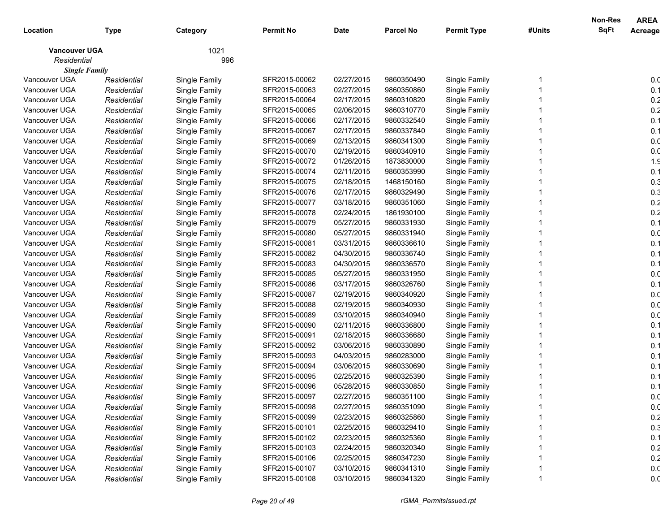|                      |             |               |                  |             |                  |                    |        | Non-Res     | <b>AREA</b>     |
|----------------------|-------------|---------------|------------------|-------------|------------------|--------------------|--------|-------------|-----------------|
| Location             | <b>Type</b> | Category      | <b>Permit No</b> | <b>Date</b> | <b>Parcel No</b> | <b>Permit Type</b> | #Units | <b>SqFt</b> | Acreage         |
| <b>Vancouver UGA</b> |             | 1021          |                  |             |                  |                    |        |             |                 |
| Residential          |             | 996           |                  |             |                  |                    |        |             |                 |
| <b>Single Family</b> |             |               |                  |             |                  |                    |        |             |                 |
| Vancouver UGA        | Residential | Single Family | SFR2015-00062    | 02/27/2015  | 9860350490       | Single Family      |        |             | 0. <sub>C</sub> |
| Vancouver UGA        | Residential | Single Family | SFR2015-00063    | 02/27/2015  | 9860350860       | Single Family      |        |             | 0.1             |
| Vancouver UGA        | Residential | Single Family | SFR2015-00064    | 02/17/2015  | 9860310820       | Single Family      |        |             | $0.2\,$         |
| Vancouver UGA        | Residential | Single Family | SFR2015-00065    | 02/06/2015  | 9860310770       | Single Family      |        |             | 0.2             |
| Vancouver UGA        | Residential | Single Family | SFR2015-00066    | 02/17/2015  | 9860332540       | Single Family      |        |             | 0.1             |
| Vancouver UGA        | Residential | Single Family | SFR2015-00067    | 02/17/2015  | 9860337840       | Single Family      |        |             | 0.1             |
| Vancouver UGA        | Residential | Single Family | SFR2015-00069    | 02/13/2015  | 9860341300       | Single Family      |        |             | 0. <sub>C</sub> |
| Vancouver UGA        | Residential | Single Family | SFR2015-00070    | 02/19/2015  | 9860340910       | Single Family      |        |             | 0. <sub>C</sub> |
| Vancouver UGA        | Residential | Single Family | SFR2015-00072    | 01/26/2015  | 1873830000       | Single Family      |        |             | 1.9             |
| Vancouver UGA        | Residential | Single Family | SFR2015-00074    | 02/11/2015  | 9860353990       | Single Family      |        |             | 0.1             |
| Vancouver UGA        | Residential | Single Family | SFR2015-00075    | 02/18/2015  | 1468150160       | Single Family      |        |             | 0.3             |
| Vancouver UGA        | Residential | Single Family | SFR2015-00076    | 02/17/2015  | 9860329490       | Single Family      |        |             | 0.3             |
| Vancouver UGA        | Residential | Single Family | SFR2015-00077    | 03/18/2015  | 9860351060       | Single Family      |        |             | 0.2             |
| Vancouver UGA        | Residential | Single Family | SFR2015-00078    | 02/24/2015  | 1861930100       | Single Family      |        |             | 0.2             |
| Vancouver UGA        | Residential | Single Family | SFR2015-00079    | 05/27/2015  | 9860331930       | Single Family      |        |             | 0.1             |
| Vancouver UGA        | Residential | Single Family | SFR2015-00080    | 05/27/2015  | 9860331940       | Single Family      |        |             | 0. <sub>C</sub> |
| Vancouver UGA        | Residential | Single Family | SFR2015-00081    | 03/31/2015  | 9860336610       | Single Family      |        |             | 0.1             |
| Vancouver UGA        | Residential | Single Family | SFR2015-00082    | 04/30/2015  | 9860336740       | Single Family      |        |             | 0.1             |
| Vancouver UGA        | Residential | Single Family | SFR2015-00083    | 04/30/2015  | 9860336570       | Single Family      |        |             | 0.1             |
| Vancouver UGA        | Residential | Single Family | SFR2015-00085    | 05/27/2015  | 9860331950       | Single Family      |        |             | 0. <sub>C</sub> |
| Vancouver UGA        | Residential | Single Family | SFR2015-00086    | 03/17/2015  | 9860326760       | Single Family      |        |             | 0.1             |
| Vancouver UGA        | Residential | Single Family | SFR2015-00087    | 02/19/2015  | 9860340920       | Single Family      |        |             | 0. <sub>C</sub> |
| Vancouver UGA        | Residential | Single Family | SFR2015-00088    | 02/19/2015  | 9860340930       | Single Family      |        |             | 0. <sub>C</sub> |
| Vancouver UGA        | Residential | Single Family | SFR2015-00089    | 03/10/2015  | 9860340940       | Single Family      |        |             | 0. <sub>C</sub> |
| Vancouver UGA        | Residential | Single Family | SFR2015-00090    | 02/11/2015  | 9860336800       | Single Family      |        |             | 0.1             |
| Vancouver UGA        | Residential | Single Family | SFR2015-00091    | 02/18/2015  | 9860336680       | Single Family      |        |             | 0.1             |
| Vancouver UGA        | Residential | Single Family | SFR2015-00092    | 03/06/2015  | 9860330890       | Single Family      |        |             | 0.1             |
| Vancouver UGA        | Residential | Single Family | SFR2015-00093    | 04/03/2015  | 9860283000       | Single Family      |        |             | 0.1             |
| Vancouver UGA        | Residential | Single Family | SFR2015-00094    | 03/06/2015  | 9860330690       | Single Family      |        |             | 0.1             |
| Vancouver UGA        | Residential | Single Family | SFR2015-00095    | 02/25/2015  | 9860325390       | Single Family      |        |             | 0.1             |
| Vancouver UGA        | Residential | Single Family | SFR2015-00096    | 05/28/2015  | 9860330850       | Single Family      |        |             | 0.1             |
| Vancouver UGA        | Residential | Single Family | SFR2015-00097    | 02/27/2015  | 9860351100       | Single Family      |        |             | 0. <sub>C</sub> |
| Vancouver UGA        | Residential | Single Family | SFR2015-00098    | 02/27/2015  | 9860351090       | Single Family      |        |             | 0.0             |
| Vancouver UGA        | Residential | Single Family | SFR2015-00099    | 02/23/2015  | 9860325860       | Single Family      |        |             | 0.2             |
| Vancouver UGA        | Residential | Single Family | SFR2015-00101    | 02/25/2015  | 9860329410       | Single Family      |        |             | 0.3             |
| Vancouver UGA        | Residential | Single Family | SFR2015-00102    | 02/23/2015  | 9860325360       | Single Family      |        |             | 0.1             |
| Vancouver UGA        | Residential | Single Family | SFR2015-00103    | 02/24/2015  | 9860320340       | Single Family      |        |             | 0.2             |
| Vancouver UGA        | Residential | Single Family | SFR2015-00106    | 02/25/2015  | 9860347230       | Single Family      |        |             | 0.2             |
| Vancouver UGA        | Residential | Single Family | SFR2015-00107    | 03/10/2015  | 9860341310       | Single Family      |        |             | 0.0             |
| Vancouver UGA        | Residential | Single Family | SFR2015-00108    | 03/10/2015  | 9860341320       | Single Family      |        |             | 0.0             |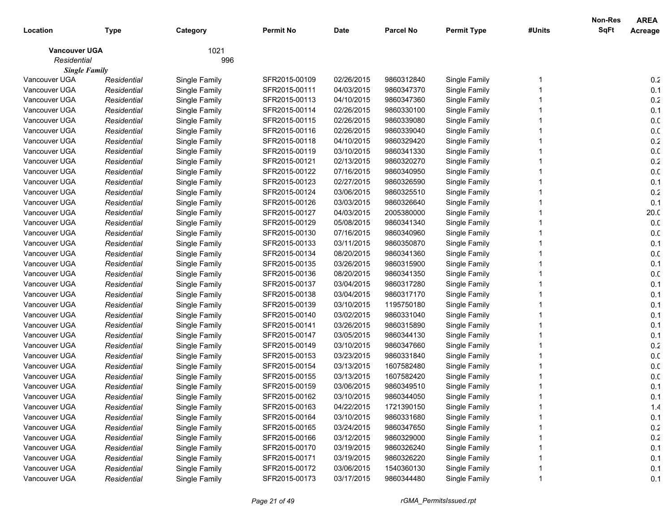|                      |             |               |                  |             |                  |                    |        | Non-Res     | <b>AREA</b>     |
|----------------------|-------------|---------------|------------------|-------------|------------------|--------------------|--------|-------------|-----------------|
| Location             | Type        | Category      | <b>Permit No</b> | <b>Date</b> | <b>Parcel No</b> | <b>Permit Type</b> | #Units | <b>SqFt</b> | Acreage         |
| <b>Vancouver UGA</b> |             | 1021          |                  |             |                  |                    |        |             |                 |
| Residential          |             | 996           |                  |             |                  |                    |        |             |                 |
| <b>Single Family</b> |             |               |                  |             |                  |                    |        |             |                 |
| Vancouver UGA        | Residential | Single Family | SFR2015-00109    | 02/26/2015  | 9860312840       | Single Family      |        |             | 0.2             |
| Vancouver UGA        | Residential | Single Family | SFR2015-00111    | 04/03/2015  | 9860347370       | Single Family      |        |             | 0.1             |
| Vancouver UGA        | Residential | Single Family | SFR2015-00113    | 04/10/2015  | 9860347360       | Single Family      |        |             | 0.2             |
| Vancouver UGA        | Residential | Single Family | SFR2015-00114    | 02/26/2015  | 9860330100       | Single Family      |        |             | 0.1             |
| Vancouver UGA        | Residential | Single Family | SFR2015-00115    | 02/26/2015  | 9860339080       | Single Family      |        |             | 0. <sub>C</sub> |
| Vancouver UGA        | Residential | Single Family | SFR2015-00116    | 02/26/2015  | 9860339040       | Single Family      |        |             | 0. <sub>C</sub> |
| Vancouver UGA        | Residential | Single Family | SFR2015-00118    | 04/10/2015  | 9860329420       | Single Family      |        |             | 0.2             |
| Vancouver UGA        | Residential | Single Family | SFR2015-00119    | 03/10/2015  | 9860341330       | Single Family      |        |             | 0. <sub>C</sub> |
| Vancouver UGA        | Residential | Single Family | SFR2015-00121    | 02/13/2015  | 9860320270       | Single Family      |        |             | 0.2             |
| Vancouver UGA        | Residential | Single Family | SFR2015-00122    | 07/16/2015  | 9860340950       | Single Family      |        |             | 0. <sub>C</sub> |
| Vancouver UGA        | Residential | Single Family | SFR2015-00123    | 02/27/2015  | 9860326590       | Single Family      |        |             | 0.1             |
| Vancouver UGA        | Residential | Single Family | SFR2015-00124    | 03/06/2015  | 9860325510       | Single Family      |        |             | 0.2             |
| Vancouver UGA        | Residential | Single Family | SFR2015-00126    | 03/03/2015  | 9860326640       | Single Family      |        |             | 0.1             |
| Vancouver UGA        | Residential | Single Family | SFR2015-00127    | 04/03/2015  | 2005380000       | Single Family      |        |             | 20.0            |
| Vancouver UGA        | Residential | Single Family | SFR2015-00129    | 05/08/2015  | 9860341340       | Single Family      |        |             | 0.0             |
| Vancouver UGA        | Residential | Single Family | SFR2015-00130    | 07/16/2015  | 9860340960       | Single Family      |        |             | 0.0             |
| Vancouver UGA        | Residential | Single Family | SFR2015-00133    | 03/11/2015  | 9860350870       | Single Family      |        |             | 0.1             |
| Vancouver UGA        | Residential | Single Family | SFR2015-00134    | 08/20/2015  | 9860341360       | Single Family      |        |             | 0. <sub>C</sub> |
| Vancouver UGA        | Residential | Single Family | SFR2015-00135    | 03/26/2015  | 9860315900       | Single Family      |        |             | 0.1             |
| Vancouver UGA        | Residential | Single Family | SFR2015-00136    | 08/20/2015  | 9860341350       | Single Family      |        |             | 0. <sub>C</sub> |
| Vancouver UGA        | Residential | Single Family | SFR2015-00137    | 03/04/2015  | 9860317280       | Single Family      |        |             | 0.1             |
| Vancouver UGA        | Residential | Single Family | SFR2015-00138    | 03/04/2015  | 9860317170       | Single Family      |        |             | 0.1             |
| Vancouver UGA        | Residential | Single Family | SFR2015-00139    | 03/10/2015  | 1195750180       | Single Family      |        |             | 0.1             |
| Vancouver UGA        | Residential | Single Family | SFR2015-00140    | 03/02/2015  | 9860331040       | Single Family      |        |             | 0.1             |
| Vancouver UGA        | Residential | Single Family | SFR2015-00141    | 03/26/2015  | 9860315890       | Single Family      |        |             | 0.1             |
| Vancouver UGA        | Residential | Single Family | SFR2015-00147    | 03/05/2015  | 9860344130       | Single Family      |        |             | 0.1             |
| Vancouver UGA        | Residential | Single Family | SFR2015-00149    | 03/10/2015  | 9860347660       | Single Family      |        |             | 0.2             |
| Vancouver UGA        | Residential | Single Family | SFR2015-00153    | 03/23/2015  | 9860331840       | Single Family      |        |             | 0. <sub>C</sub> |
| Vancouver UGA        | Residential | Single Family | SFR2015-00154    | 03/13/2015  | 1607582480       | Single Family      |        |             | 0.0             |
| Vancouver UGA        | Residential | Single Family | SFR2015-00155    | 03/13/2015  | 1607582420       | Single Family      |        |             | 0.0             |
| Vancouver UGA        | Residential | Single Family | SFR2015-00159    | 03/06/2015  | 9860349510       | Single Family      |        |             | 0.1             |
| Vancouver UGA        | Residential | Single Family | SFR2015-00162    | 03/10/2015  | 9860344050       | Single Family      |        |             | 0.1             |
| Vancouver UGA        | Residential | Single Family | SFR2015-00163    | 04/22/2015  | 1721390150       | Single Family      |        |             | 1.4             |
| Vancouver UGA        | Residential | Single Family | SFR2015-00164    | 03/10/2015  | 9860331680       | Single Family      |        |             | 0.1             |
| Vancouver UGA        | Residential | Single Family | SFR2015-00165    | 03/24/2015  | 9860347650       | Single Family      |        |             | 0.2             |
| Vancouver UGA        | Residential | Single Family | SFR2015-00166    | 03/12/2015  | 9860329000       | Single Family      |        |             | 0.2             |
| Vancouver UGA        | Residential | Single Family | SFR2015-00170    | 03/19/2015  | 9860326240       | Single Family      |        |             | 0.1             |
| Vancouver UGA        | Residential | Single Family | SFR2015-00171    | 03/19/2015  | 9860326220       | Single Family      |        |             | 0.1             |
| Vancouver UGA        | Residential | Single Family | SFR2015-00172    | 03/06/2015  | 1540360130       | Single Family      |        |             | 0.1             |
| Vancouver UGA        | Residential | Single Family | SFR2015-00173    | 03/17/2015  | 9860344480       | Single Family      |        |             | 0.1             |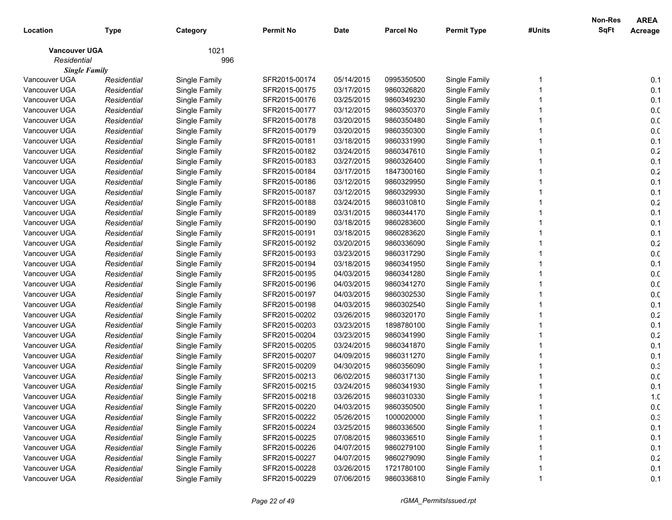|                      |             |               |                  |             |                  |                    |        | Non-Res     | <b>AREA</b>     |
|----------------------|-------------|---------------|------------------|-------------|------------------|--------------------|--------|-------------|-----------------|
| Location             | Type        | Category      | <b>Permit No</b> | <b>Date</b> | <b>Parcel No</b> | <b>Permit Type</b> | #Units | <b>SqFt</b> | Acreage         |
| <b>Vancouver UGA</b> |             | 1021          |                  |             |                  |                    |        |             |                 |
| Residential          |             | 996           |                  |             |                  |                    |        |             |                 |
| <b>Single Family</b> |             |               |                  |             |                  |                    |        |             |                 |
| Vancouver UGA        | Residential | Single Family | SFR2015-00174    | 05/14/2015  | 0995350500       | Single Family      |        |             | 0.1             |
| Vancouver UGA        | Residential | Single Family | SFR2015-00175    | 03/17/2015  | 9860326820       | Single Family      |        |             | 0.1             |
| Vancouver UGA        | Residential | Single Family | SFR2015-00176    | 03/25/2015  | 9860349230       | Single Family      |        |             | 0.1             |
| Vancouver UGA        | Residential | Single Family | SFR2015-00177    | 03/12/2015  | 9860350370       | Single Family      |        |             | 0. <sub>C</sub> |
| Vancouver UGA        | Residential | Single Family | SFR2015-00178    | 03/20/2015  | 9860350480       | Single Family      |        |             | 0. <sub>C</sub> |
| Vancouver UGA        | Residential | Single Family | SFR2015-00179    | 03/20/2015  | 9860350300       | Single Family      |        |             | 0. <sub>C</sub> |
| Vancouver UGA        | Residential | Single Family | SFR2015-00181    | 03/18/2015  | 9860331990       | Single Family      |        |             | 0.1             |
| Vancouver UGA        | Residential | Single Family | SFR2015-00182    | 03/24/2015  | 9860347610       | Single Family      |        |             | 0.2             |
| Vancouver UGA        | Residential | Single Family | SFR2015-00183    | 03/27/2015  | 9860326400       | Single Family      |        |             | 0.1             |
| Vancouver UGA        | Residential | Single Family | SFR2015-00184    | 03/17/2015  | 1847300160       | Single Family      |        |             | 0.2             |
| Vancouver UGA        | Residential | Single Family | SFR2015-00186    | 03/12/2015  | 9860329950       | Single Family      |        |             | 0.1             |
| Vancouver UGA        | Residential | Single Family | SFR2015-00187    | 03/12/2015  | 9860329930       | Single Family      |        |             | 0.1             |
| Vancouver UGA        | Residential | Single Family | SFR2015-00188    | 03/24/2015  | 9860310810       | Single Family      |        |             | 0.2             |
| Vancouver UGA        | Residential | Single Family | SFR2015-00189    | 03/31/2015  | 9860344170       | Single Family      |        |             | 0.1             |
| Vancouver UGA        | Residential | Single Family | SFR2015-00190    | 03/18/2015  | 9860283600       | Single Family      |        |             | 0.1             |
| Vancouver UGA        | Residential | Single Family | SFR2015-00191    | 03/18/2015  | 9860283620       | Single Family      |        |             | 0.1             |
| Vancouver UGA        | Residential | Single Family | SFR2015-00192    | 03/20/2015  | 9860336090       | Single Family      |        |             | 0.2             |
| Vancouver UGA        | Residential | Single Family | SFR2015-00193    | 03/23/2015  | 9860317290       | Single Family      |        |             | 0. <sub>C</sub> |
| Vancouver UGA        | Residential | Single Family | SFR2015-00194    | 03/18/2015  | 9860341950       | Single Family      |        |             | 0.1             |
| Vancouver UGA        | Residential | Single Family | SFR2015-00195    | 04/03/2015  | 9860341280       | Single Family      |        |             | 0.0             |
| Vancouver UGA        | Residential | Single Family | SFR2015-00196    | 04/03/2015  | 9860341270       | Single Family      |        |             | 0. <sub>C</sub> |
| Vancouver UGA        | Residential | Single Family | SFR2015-00197    | 04/03/2015  | 9860302530       | Single Family      |        |             | 0. <sub>C</sub> |
| Vancouver UGA        | Residential | Single Family | SFR2015-00198    | 04/03/2015  | 9860302540       | Single Family      |        |             | 0.1             |
| Vancouver UGA        | Residential | Single Family | SFR2015-00202    | 03/26/2015  | 9860320170       | Single Family      |        |             | 0.2             |
| Vancouver UGA        | Residential | Single Family | SFR2015-00203    | 03/23/2015  | 1898780100       | Single Family      |        |             | 0.1             |
| Vancouver UGA        | Residential | Single Family | SFR2015-00204    | 03/23/2015  | 9860341990       | Single Family      |        |             | 0.2             |
| Vancouver UGA        | Residential | Single Family | SFR2015-00205    | 03/24/2015  | 9860341870       | Single Family      |        |             | 0.1             |
| Vancouver UGA        | Residential | Single Family | SFR2015-00207    | 04/09/2015  | 9860311270       | Single Family      |        |             | 0.1             |
| Vancouver UGA        | Residential | Single Family | SFR2015-00209    | 04/30/2015  | 9860356090       | Single Family      |        |             | 0.3             |
| Vancouver UGA        | Residential | Single Family | SFR2015-00213    | 06/02/2015  | 9860317130       | Single Family      |        |             | 0.0             |
| Vancouver UGA        | Residential | Single Family | SFR2015-00215    | 03/24/2015  | 9860341930       | Single Family      |        |             | 0.1             |
| Vancouver UGA        | Residential | Single Family | SFR2015-00218    | 03/26/2015  | 9860310330       | Single Family      |        |             | 1. <sub>C</sub> |
| Vancouver UGA        | Residential | Single Family | SFR2015-00220    | 04/03/2015  | 9860350500       | Single Family      |        |             | 0.0             |
| Vancouver UGA        | Residential | Single Family | SFR2015-00222    | 05/26/2015  | 1000020000       | Single Family      |        |             | 0.3             |
| Vancouver UGA        | Residential | Single Family | SFR2015-00224    | 03/25/2015  | 9860336500       | Single Family      |        |             | 0.1             |
| Vancouver UGA        | Residential | Single Family | SFR2015-00225    | 07/08/2015  | 9860336510       | Single Family      |        |             | 0.1             |
| Vancouver UGA        | Residential | Single Family | SFR2015-00226    | 04/07/2015  | 9860279100       | Single Family      |        |             | 0.1             |
| Vancouver UGA        | Residential | Single Family | SFR2015-00227    | 04/07/2015  | 9860279090       | Single Family      |        |             | 0.2             |
| Vancouver UGA        | Residential | Single Family | SFR2015-00228    | 03/26/2015  | 1721780100       | Single Family      |        |             | 0.1             |
| Vancouver UGA        | Residential | Single Family | SFR2015-00229    | 07/06/2015  | 9860336810       | Single Family      |        |             | 0.1             |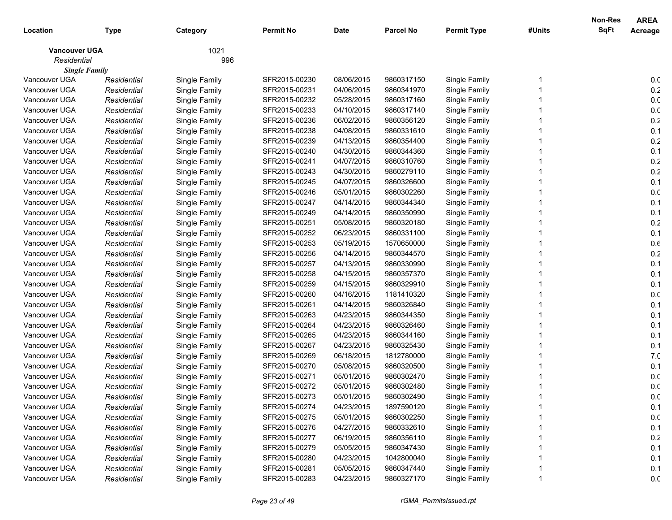|                      |             |               |                  |             |                  |                    |        | Non-Res     | <b>AREA</b>     |
|----------------------|-------------|---------------|------------------|-------------|------------------|--------------------|--------|-------------|-----------------|
| Location             | <b>Type</b> | Category      | <b>Permit No</b> | <b>Date</b> | <b>Parcel No</b> | <b>Permit Type</b> | #Units | <b>SqFt</b> | Acreage         |
| <b>Vancouver UGA</b> |             | 1021          |                  |             |                  |                    |        |             |                 |
| Residential          |             | 996           |                  |             |                  |                    |        |             |                 |
| <b>Single Family</b> |             |               |                  |             |                  |                    |        |             |                 |
| Vancouver UGA        | Residential | Single Family | SFR2015-00230    | 08/06/2015  | 9860317150       | Single Family      |        |             | 0.0             |
| Vancouver UGA        | Residential | Single Family | SFR2015-00231    | 04/06/2015  | 9860341970       | Single Family      |        |             | 0.2             |
| Vancouver UGA        | Residential | Single Family | SFR2015-00232    | 05/28/2015  | 9860317160       | Single Family      |        |             | 0. <sub>C</sub> |
| Vancouver UGA        | Residential | Single Family | SFR2015-00233    | 04/10/2015  | 9860317140       | Single Family      |        |             | 0. <sub>C</sub> |
| Vancouver UGA        | Residential | Single Family | SFR2015-00236    | 06/02/2015  | 9860356120       | Single Family      |        |             | 0.2             |
| Vancouver UGA        | Residential | Single Family | SFR2015-00238    | 04/08/2015  | 9860331610       | Single Family      |        |             | 0.1             |
| Vancouver UGA        | Residential | Single Family | SFR2015-00239    | 04/13/2015  | 9860354400       | Single Family      |        |             | 0.2             |
| Vancouver UGA        | Residential | Single Family | SFR2015-00240    | 04/30/2015  | 9860344360       | Single Family      |        |             | 0.1             |
| Vancouver UGA        | Residential | Single Family | SFR2015-00241    | 04/07/2015  | 9860310760       | Single Family      |        |             | 0.2             |
| Vancouver UGA        | Residential | Single Family | SFR2015-00243    | 04/30/2015  | 9860279110       | Single Family      |        |             | $0.2\,$         |
| Vancouver UGA        | Residential | Single Family | SFR2015-00245    | 04/07/2015  | 9860326600       | Single Family      |        |             | 0.1             |
| Vancouver UGA        | Residential | Single Family | SFR2015-00246    | 05/01/2015  | 9860302260       | Single Family      |        |             | 0. <sub>C</sub> |
| Vancouver UGA        | Residential | Single Family | SFR2015-00247    | 04/14/2015  | 9860344340       | Single Family      |        |             | 0.1             |
| Vancouver UGA        | Residential | Single Family | SFR2015-00249    | 04/14/2015  | 9860350990       | Single Family      |        |             | 0.1             |
| Vancouver UGA        | Residential | Single Family | SFR2015-00251    | 05/08/2015  | 9860320180       | Single Family      |        |             | 0.2             |
| Vancouver UGA        | Residential | Single Family | SFR2015-00252    | 06/23/2015  | 9860331100       | Single Family      |        |             | 0.1             |
| Vancouver UGA        | Residential | Single Family | SFR2015-00253    | 05/19/2015  | 1570650000       | Single Family      |        |             | 0.6             |
| Vancouver UGA        | Residential | Single Family | SFR2015-00256    | 04/14/2015  | 9860344570       | Single Family      |        |             | 0.2             |
| Vancouver UGA        | Residential | Single Family | SFR2015-00257    | 04/13/2015  | 9860330990       | Single Family      |        |             | 0.1             |
| Vancouver UGA        | Residential | Single Family | SFR2015-00258    | 04/15/2015  | 9860357370       | Single Family      |        |             | 0.1             |
| Vancouver UGA        | Residential | Single Family | SFR2015-00259    | 04/15/2015  | 9860329910       | Single Family      |        |             | 0.1             |
| Vancouver UGA        | Residential | Single Family | SFR2015-00260    | 04/16/2015  | 1181410320       | Single Family      |        |             | 0. <sub>C</sub> |
| Vancouver UGA        | Residential | Single Family | SFR2015-00261    | 04/14/2015  | 9860326840       | Single Family      |        |             | 0.1             |
| Vancouver UGA        | Residential | Single Family | SFR2015-00263    | 04/23/2015  | 9860344350       | Single Family      |        |             | 0.1             |
| Vancouver UGA        | Residential | Single Family | SFR2015-00264    | 04/23/2015  | 9860326460       | Single Family      |        |             | 0.1             |
| Vancouver UGA        | Residential | Single Family | SFR2015-00265    | 04/23/2015  | 9860344160       | Single Family      |        |             | 0.1             |
| Vancouver UGA        | Residential | Single Family | SFR2015-00267    | 04/23/2015  | 9860325430       | Single Family      |        |             | 0.1             |
| Vancouver UGA        | Residential | Single Family | SFR2015-00269    | 06/18/2015  | 1812780000       | Single Family      |        |             | 7. <sub>C</sub> |
| Vancouver UGA        | Residential | Single Family | SFR2015-00270    | 05/08/2015  | 9860320500       | Single Family      |        |             | 0.1             |
| Vancouver UGA        | Residential | Single Family | SFR2015-00271    | 05/01/2015  | 9860302470       | Single Family      |        |             | 0.0             |
| Vancouver UGA        | Residential | Single Family | SFR2015-00272    | 05/01/2015  | 9860302480       | Single Family      |        |             | 0. <sub>C</sub> |
| Vancouver UGA        | Residential | Single Family | SFR2015-00273    | 05/01/2015  | 9860302490       | Single Family      |        |             | 0. <sub>C</sub> |
| Vancouver UGA        | Residential | Single Family | SFR2015-00274    | 04/23/2015  | 1897590120       | Single Family      |        |             | 0.1             |
| Vancouver UGA        | Residential | Single Family | SFR2015-00275    | 05/01/2015  | 9860302250       | Single Family      |        |             | 0.0             |
| Vancouver UGA        | Residential | Single Family | SFR2015-00276    | 04/27/2015  | 9860332610       | Single Family      |        |             | 0.1             |
| Vancouver UGA        | Residential | Single Family | SFR2015-00277    | 06/19/2015  | 9860356110       | Single Family      |        |             | 0.2             |
| Vancouver UGA        | Residential | Single Family | SFR2015-00279    | 05/05/2015  | 9860347430       | Single Family      |        |             | 0.1             |
| Vancouver UGA        | Residential | Single Family | SFR2015-00280    | 04/23/2015  | 1042800040       | Single Family      |        |             | 0.1             |
| Vancouver UGA        | Residential | Single Family | SFR2015-00281    | 05/05/2015  | 9860347440       | Single Family      |        |             | 0.1             |
| Vancouver UGA        | Residential | Single Family | SFR2015-00283    | 04/23/2015  | 9860327170       | Single Family      |        |             | 0.0             |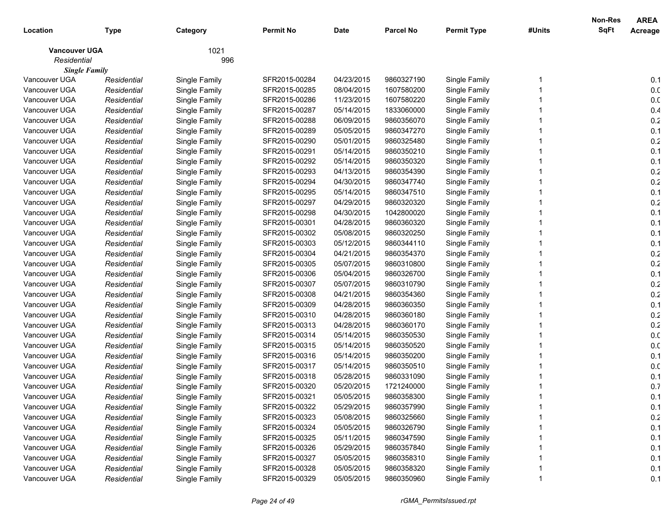|                      |             |               |                  |             |                  |                    |        | Non-Res     | <b>AREA</b>     |
|----------------------|-------------|---------------|------------------|-------------|------------------|--------------------|--------|-------------|-----------------|
| Location             | <b>Type</b> | Category      | <b>Permit No</b> | <b>Date</b> | <b>Parcel No</b> | <b>Permit Type</b> | #Units | <b>SqFt</b> | Acreage         |
| <b>Vancouver UGA</b> |             | 1021          |                  |             |                  |                    |        |             |                 |
| Residential          |             | 996           |                  |             |                  |                    |        |             |                 |
| <b>Single Family</b> |             |               |                  |             |                  |                    |        |             |                 |
| Vancouver UGA        | Residential | Single Family | SFR2015-00284    | 04/23/2015  | 9860327190       | Single Family      |        |             | 0.1             |
| Vancouver UGA        | Residential | Single Family | SFR2015-00285    | 08/04/2015  | 1607580200       | Single Family      |        |             | 0.0             |
| Vancouver UGA        | Residential | Single Family | SFR2015-00286    | 11/23/2015  | 1607580220       | Single Family      |        |             | 0. <sub>C</sub> |
| Vancouver UGA        | Residential | Single Family | SFR2015-00287    | 05/14/2015  | 1833060000       | Single Family      |        |             | 0.4             |
| Vancouver UGA        | Residential | Single Family | SFR2015-00288    | 06/09/2015  | 9860356070       | Single Family      |        |             | 0.2             |
| Vancouver UGA        | Residential | Single Family | SFR2015-00289    | 05/05/2015  | 9860347270       | Single Family      |        |             | 0.1             |
| Vancouver UGA        | Residential | Single Family | SFR2015-00290    | 05/01/2015  | 9860325480       | Single Family      |        |             | 0.2             |
| Vancouver UGA        | Residential | Single Family | SFR2015-00291    | 05/14/2015  | 9860350210       | Single Family      |        |             | 0.1             |
| Vancouver UGA        | Residential | Single Family | SFR2015-00292    | 05/14/2015  | 9860350320       | Single Family      |        |             | 0.1             |
| Vancouver UGA        | Residential | Single Family | SFR2015-00293    | 04/13/2015  | 9860354390       | Single Family      |        |             | 0.2             |
| Vancouver UGA        | Residential | Single Family | SFR2015-00294    | 04/30/2015  | 9860347740       | Single Family      |        |             | 0.2             |
| Vancouver UGA        | Residential | Single Family | SFR2015-00295    | 05/14/2015  | 9860347510       | Single Family      |        |             | 0.1             |
| Vancouver UGA        | Residential | Single Family | SFR2015-00297    | 04/29/2015  | 9860320320       | Single Family      |        |             | 0.2             |
| Vancouver UGA        | Residential | Single Family | SFR2015-00298    | 04/30/2015  | 1042800020       | Single Family      |        |             | 0.1             |
| Vancouver UGA        | Residential | Single Family | SFR2015-00301    | 04/28/2015  | 9860360320       | Single Family      |        |             | 0.1             |
| Vancouver UGA        | Residential | Single Family | SFR2015-00302    | 05/08/2015  | 9860320250       | Single Family      |        |             | 0.1             |
| Vancouver UGA        | Residential | Single Family | SFR2015-00303    | 05/12/2015  | 9860344110       | Single Family      |        |             | 0.1             |
| Vancouver UGA        | Residential | Single Family | SFR2015-00304    | 04/21/2015  | 9860354370       | Single Family      |        |             | 0.2             |
| Vancouver UGA        | Residential | Single Family | SFR2015-00305    | 05/07/2015  | 9860310800       | Single Family      |        |             | 0.2             |
| Vancouver UGA        | Residential | Single Family | SFR2015-00306    | 05/04/2015  | 9860326700       | Single Family      |        |             | 0.1             |
| Vancouver UGA        | Residential | Single Family | SFR2015-00307    | 05/07/2015  | 9860310790       | Single Family      |        |             | 0.2             |
| Vancouver UGA        | Residential | Single Family | SFR2015-00308    | 04/21/2015  | 9860354360       | Single Family      |        |             | 0.2             |
| Vancouver UGA        | Residential | Single Family | SFR2015-00309    | 04/28/2015  | 9860360350       | Single Family      |        |             | 0.1             |
| Vancouver UGA        | Residential | Single Family | SFR2015-00310    | 04/28/2015  | 9860360180       | Single Family      |        |             | 0.2             |
| Vancouver UGA        | Residential | Single Family | SFR2015-00313    | 04/28/2015  | 9860360170       | Single Family      |        |             | 0.2             |
| Vancouver UGA        | Residential | Single Family | SFR2015-00314    | 05/14/2015  | 9860350530       | Single Family      |        |             | 0. <sub>C</sub> |
| Vancouver UGA        | Residential | Single Family | SFR2015-00315    | 05/14/2015  | 9860350520       | Single Family      |        |             | 0. <sub>C</sub> |
| Vancouver UGA        | Residential | Single Family | SFR2015-00316    | 05/14/2015  | 9860350200       | Single Family      |        |             | 0.1             |
| Vancouver UGA        | Residential | Single Family | SFR2015-00317    | 05/14/2015  | 9860350510       | Single Family      |        |             | 0.0             |
| Vancouver UGA        | Residential | Single Family | SFR2015-00318    | 05/28/2015  | 9860331090       | Single Family      |        |             | 0.1             |
| Vancouver UGA        | Residential | Single Family | SFR2015-00320    | 05/20/2015  | 1721240000       | Single Family      |        |             | 0.7             |
| Vancouver UGA        | Residential | Single Family | SFR2015-00321    | 05/05/2015  | 9860358300       | Single Family      |        |             | 0.1             |
| Vancouver UGA        | Residential | Single Family | SFR2015-00322    | 05/29/2015  | 9860357990       | Single Family      |        |             | 0.1             |
| Vancouver UGA        | Residential | Single Family | SFR2015-00323    | 05/08/2015  | 9860325660       | Single Family      |        |             | 0.2             |
| Vancouver UGA        | Residential | Single Family | SFR2015-00324    | 05/05/2015  | 9860326790       | Single Family      |        |             | 0.1             |
| Vancouver UGA        | Residential | Single Family | SFR2015-00325    | 05/11/2015  | 9860347590       | Single Family      |        |             | 0.1             |
| Vancouver UGA        | Residential | Single Family | SFR2015-00326    | 05/29/2015  | 9860357840       | Single Family      |        |             | 0.1             |
| Vancouver UGA        | Residential | Single Family | SFR2015-00327    | 05/05/2015  | 9860358310       | Single Family      |        |             | 0.1             |
| Vancouver UGA        | Residential | Single Family | SFR2015-00328    | 05/05/2015  | 9860358320       | Single Family      |        |             | 0.1             |
| Vancouver UGA        | Residential | Single Family | SFR2015-00329    | 05/05/2015  | 9860350960       | Single Family      |        |             | 0.1             |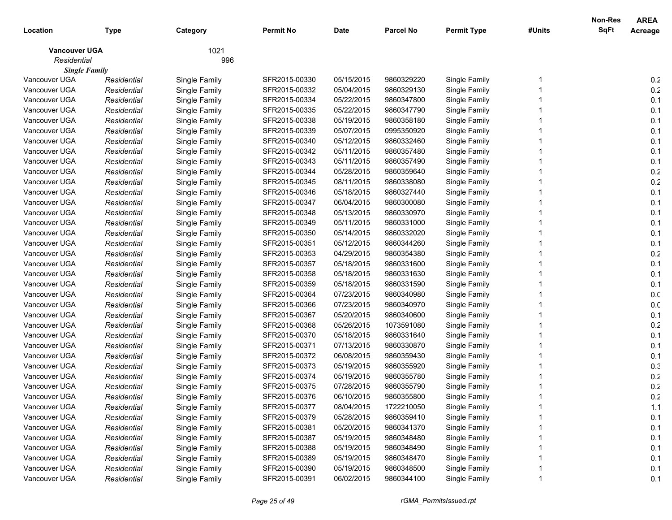|                      |             |               |                  |             |                  |                    |        | Non-Res     | <b>AREA</b>     |
|----------------------|-------------|---------------|------------------|-------------|------------------|--------------------|--------|-------------|-----------------|
| Location             | <b>Type</b> | Category      | <b>Permit No</b> | <b>Date</b> | <b>Parcel No</b> | <b>Permit Type</b> | #Units | <b>SqFt</b> | Acreage         |
| <b>Vancouver UGA</b> |             | 1021          |                  |             |                  |                    |        |             |                 |
| Residential          |             | 996           |                  |             |                  |                    |        |             |                 |
| <b>Single Family</b> |             |               |                  |             |                  |                    |        |             |                 |
| Vancouver UGA        | Residential | Single Family | SFR2015-00330    | 05/15/2015  | 9860329220       | Single Family      |        |             | 0.2             |
| Vancouver UGA        | Residential | Single Family | SFR2015-00332    | 05/04/2015  | 9860329130       | Single Family      |        |             | 0.2             |
| Vancouver UGA        | Residential | Single Family | SFR2015-00334    | 05/22/2015  | 9860347800       | Single Family      |        |             | 0.1             |
| Vancouver UGA        | Residential | Single Family | SFR2015-00335    | 05/22/2015  | 9860347790       | Single Family      |        |             | 0.1             |
| Vancouver UGA        | Residential | Single Family | SFR2015-00338    | 05/19/2015  | 9860358180       | Single Family      |        |             | 0.1             |
| Vancouver UGA        | Residential | Single Family | SFR2015-00339    | 05/07/2015  | 0995350920       | Single Family      |        |             | 0.1             |
| Vancouver UGA        | Residential | Single Family | SFR2015-00340    | 05/12/2015  | 9860332460       | Single Family      |        |             | 0.1             |
| Vancouver UGA        | Residential | Single Family | SFR2015-00342    | 05/11/2015  | 9860357480       | Single Family      |        |             | 0.1             |
| Vancouver UGA        | Residential | Single Family | SFR2015-00343    | 05/11/2015  | 9860357490       | Single Family      |        |             | 0.1             |
| Vancouver UGA        | Residential | Single Family | SFR2015-00344    | 05/28/2015  | 9860359640       | Single Family      |        |             | 0.2             |
| Vancouver UGA        | Residential | Single Family | SFR2015-00345    | 08/11/2015  | 9860338080       | Single Family      |        |             | 0.2             |
| Vancouver UGA        | Residential | Single Family | SFR2015-00346    | 05/18/2015  | 9860327440       | Single Family      |        |             | 0.1             |
| Vancouver UGA        | Residential | Single Family | SFR2015-00347    | 06/04/2015  | 9860300080       | Single Family      |        |             | 0.1             |
| Vancouver UGA        | Residential | Single Family | SFR2015-00348    | 05/13/2015  | 9860330970       | Single Family      |        |             | 0.1             |
| Vancouver UGA        | Residential | Single Family | SFR2015-00349    | 05/11/2015  | 9860331000       | Single Family      |        |             | 0.1             |
| Vancouver UGA        | Residential | Single Family | SFR2015-00350    | 05/14/2015  | 9860332020       | Single Family      |        |             | 0.1             |
| Vancouver UGA        | Residential | Single Family | SFR2015-00351    | 05/12/2015  | 9860344260       | Single Family      |        |             | 0.1             |
| Vancouver UGA        | Residential | Single Family | SFR2015-00353    | 04/29/2015  | 9860354380       | Single Family      |        |             | 0.2             |
| Vancouver UGA        | Residential | Single Family | SFR2015-00357    | 05/18/2015  | 9860331600       | Single Family      |        |             | 0.1             |
| Vancouver UGA        | Residential | Single Family | SFR2015-00358    | 05/18/2015  | 9860331630       | Single Family      |        |             | 0.1             |
| Vancouver UGA        | Residential | Single Family | SFR2015-00359    | 05/18/2015  | 9860331590       | Single Family      |        |             | 0.1             |
| Vancouver UGA        | Residential | Single Family | SFR2015-00364    | 07/23/2015  | 9860340980       | Single Family      |        |             | 0. <sub>C</sub> |
| Vancouver UGA        | Residential | Single Family | SFR2015-00366    | 07/23/2015  | 9860340970       | Single Family      |        |             | 0. <sub>C</sub> |
| Vancouver UGA        | Residential | Single Family | SFR2015-00367    | 05/20/2015  | 9860340600       | Single Family      |        |             | 0.1             |
| Vancouver UGA        | Residential | Single Family | SFR2015-00368    | 05/26/2015  | 1073591080       | Single Family      |        |             | 0.2             |
| Vancouver UGA        | Residential | Single Family | SFR2015-00370    | 05/18/2015  | 9860331640       | Single Family      |        |             | 0.1             |
| Vancouver UGA        | Residential | Single Family | SFR2015-00371    | 07/13/2015  | 9860330870       | Single Family      |        |             | 0.1             |
| Vancouver UGA        | Residential | Single Family | SFR2015-00372    | 06/08/2015  | 9860359430       | Single Family      |        |             | 0.1             |
| Vancouver UGA        | Residential | Single Family | SFR2015-00373    | 05/19/2015  | 9860355920       | Single Family      |        |             | 0.3             |
| Vancouver UGA        | Residential | Single Family | SFR2015-00374    | 05/19/2015  | 9860355780       | Single Family      |        |             | 0.2             |
| Vancouver UGA        | Residential | Single Family | SFR2015-00375    | 07/28/2015  | 9860355790       | Single Family      |        |             | 0.2             |
| Vancouver UGA        | Residential | Single Family | SFR2015-00376    | 06/10/2015  | 9860355800       | Single Family      |        |             | 0.2             |
| Vancouver UGA        | Residential | Single Family | SFR2015-00377    | 08/04/2015  | 1722210050       | Single Family      |        |             | 1.1             |
| Vancouver UGA        | Residential | Single Family | SFR2015-00379    | 05/28/2015  | 9860359410       | Single Family      |        |             | 0.1             |
| Vancouver UGA        | Residential | Single Family | SFR2015-00381    | 05/20/2015  | 9860341370       | Single Family      |        |             | 0.1             |
| Vancouver UGA        | Residential | Single Family | SFR2015-00387    | 05/19/2015  | 9860348480       | Single Family      |        |             | 0.1             |
| Vancouver UGA        | Residential | Single Family | SFR2015-00388    | 05/19/2015  | 9860348490       | Single Family      |        |             | 0.1             |
| Vancouver UGA        | Residential | Single Family | SFR2015-00389    | 05/19/2015  | 9860348470       | Single Family      |        |             | 0.1             |
| Vancouver UGA        | Residential | Single Family | SFR2015-00390    | 05/19/2015  | 9860348500       | Single Family      |        |             | 0.1             |
| Vancouver UGA        | Residential | Single Family | SFR2015-00391    | 06/02/2015  | 9860344100       | Single Family      |        |             | 0.1             |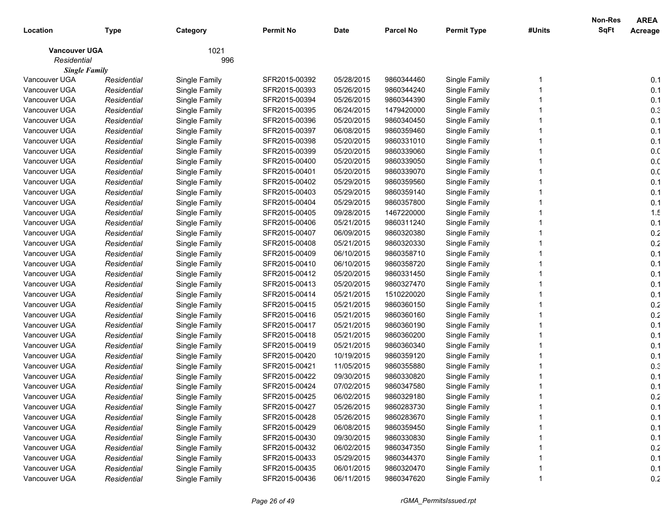|                      |             |               |                  |             |                  |                    |        | Non-Res     | <b>AREA</b>     |
|----------------------|-------------|---------------|------------------|-------------|------------------|--------------------|--------|-------------|-----------------|
| Location             | <b>Type</b> | Category      | <b>Permit No</b> | <b>Date</b> | <b>Parcel No</b> | <b>Permit Type</b> | #Units | <b>SqFt</b> | Acreage         |
| <b>Vancouver UGA</b> |             | 1021          |                  |             |                  |                    |        |             |                 |
| Residential          |             | 996           |                  |             |                  |                    |        |             |                 |
| <b>Single Family</b> |             |               |                  |             |                  |                    |        |             |                 |
| Vancouver UGA        | Residential | Single Family | SFR2015-00392    | 05/28/2015  | 9860344460       | Single Family      |        |             | 0.1             |
| Vancouver UGA        | Residential | Single Family | SFR2015-00393    | 05/26/2015  | 9860344240       | Single Family      |        |             | 0.1             |
| Vancouver UGA        | Residential | Single Family | SFR2015-00394    | 05/26/2015  | 9860344390       | Single Family      |        |             | 0.1             |
| Vancouver UGA        | Residential | Single Family | SFR2015-00395    | 06/24/2015  | 1479420000       | Single Family      |        |             | 0.3             |
| Vancouver UGA        | Residential | Single Family | SFR2015-00396    | 05/20/2015  | 9860340450       | Single Family      |        |             | 0.1             |
| Vancouver UGA        | Residential | Single Family | SFR2015-00397    | 06/08/2015  | 9860359460       | Single Family      |        |             | 0.1             |
| Vancouver UGA        | Residential | Single Family | SFR2015-00398    | 05/20/2015  | 9860331010       | Single Family      |        |             | 0.1             |
| Vancouver UGA        | Residential | Single Family | SFR2015-00399    | 05/20/2015  | 9860339060       | Single Family      |        |             | 0. <sub>C</sub> |
| Vancouver UGA        | Residential | Single Family | SFR2015-00400    | 05/20/2015  | 9860339050       | Single Family      |        |             | 0. <sub>C</sub> |
| Vancouver UGA        | Residential | Single Family | SFR2015-00401    | 05/20/2015  | 9860339070       | Single Family      |        |             | 0. <sub>C</sub> |
| Vancouver UGA        | Residential | Single Family | SFR2015-00402    | 05/29/2015  | 9860359560       | Single Family      |        |             | 0.1             |
| Vancouver UGA        | Residential | Single Family | SFR2015-00403    | 05/29/2015  | 9860359140       | Single Family      |        |             | 0.1             |
| Vancouver UGA        | Residential | Single Family | SFR2015-00404    | 05/29/2015  | 9860357800       | Single Family      |        |             | 0.1             |
| Vancouver UGA        | Residential | Single Family | SFR2015-00405    | 09/28/2015  | 1467220000       | Single Family      |        |             | 1.5             |
| Vancouver UGA        | Residential | Single Family | SFR2015-00406    | 05/21/2015  | 9860311240       | Single Family      |        |             | 0.1             |
| Vancouver UGA        | Residential | Single Family | SFR2015-00407    | 06/09/2015  | 9860320380       | Single Family      |        |             | 0.2             |
| Vancouver UGA        | Residential | Single Family | SFR2015-00408    | 05/21/2015  | 9860320330       | Single Family      |        |             | 0.2             |
| Vancouver UGA        | Residential | Single Family | SFR2015-00409    | 06/10/2015  | 9860358710       | Single Family      |        |             | 0.1             |
| Vancouver UGA        | Residential | Single Family | SFR2015-00410    | 06/10/2015  | 9860358720       | Single Family      |        |             | 0.1             |
| Vancouver UGA        | Residential | Single Family | SFR2015-00412    | 05/20/2015  | 9860331450       | Single Family      |        |             | 0.1             |
| Vancouver UGA        | Residential | Single Family | SFR2015-00413    | 05/20/2015  | 9860327470       | Single Family      |        |             | 0.1             |
| Vancouver UGA        | Residential | Single Family | SFR2015-00414    | 05/21/2015  | 1510220020       | Single Family      |        |             | 0.1             |
| Vancouver UGA        | Residential | Single Family | SFR2015-00415    | 05/21/2015  | 9860360150       | Single Family      |        |             | 0.2             |
| Vancouver UGA        | Residential | Single Family | SFR2015-00416    | 05/21/2015  | 9860360160       | Single Family      |        |             | 0.2             |
| Vancouver UGA        | Residential | Single Family | SFR2015-00417    | 05/21/2015  | 9860360190       | Single Family      |        |             | 0.1             |
| Vancouver UGA        | Residential | Single Family | SFR2015-00418    | 05/21/2015  | 9860360200       | Single Family      |        |             | 0.1             |
| Vancouver UGA        | Residential | Single Family | SFR2015-00419    | 05/21/2015  | 9860360340       | Single Family      |        |             | 0.1             |
| Vancouver UGA        | Residential | Single Family | SFR2015-00420    | 10/19/2015  | 9860359120       | Single Family      |        |             | 0.1             |
| Vancouver UGA        | Residential | Single Family | SFR2015-00421    | 11/05/2015  | 9860355880       | Single Family      |        |             | 0.3             |
| Vancouver UGA        | Residential | Single Family | SFR2015-00422    | 09/30/2015  | 9860330820       | Single Family      |        |             | 0.1             |
| Vancouver UGA        | Residential | Single Family | SFR2015-00424    | 07/02/2015  | 9860347580       | Single Family      |        |             | 0.1             |
| Vancouver UGA        | Residential | Single Family | SFR2015-00425    | 06/02/2015  | 9860329180       | Single Family      |        |             | 0.2             |
| Vancouver UGA        | Residential | Single Family | SFR2015-00427    | 05/26/2015  | 9860283730       | Single Family      |        |             | 0.1             |
| Vancouver UGA        | Residential | Single Family | SFR2015-00428    | 05/26/2015  | 9860283670       | Single Family      |        |             | 0.1             |
| Vancouver UGA        | Residential | Single Family | SFR2015-00429    | 06/08/2015  | 9860359450       | Single Family      |        |             | 0.1             |
| Vancouver UGA        | Residential | Single Family | SFR2015-00430    | 09/30/2015  | 9860330830       | Single Family      |        |             | 0.1             |
| Vancouver UGA        | Residential | Single Family | SFR2015-00432    | 06/02/2015  | 9860347350       | Single Family      |        |             | 0.2             |
| Vancouver UGA        | Residential | Single Family | SFR2015-00433    | 05/29/2015  | 9860344370       | Single Family      |        |             | 0.1             |
| Vancouver UGA        | Residential | Single Family | SFR2015-00435    | 06/01/2015  | 9860320470       | Single Family      |        |             | 0.1             |
| Vancouver UGA        | Residential | Single Family | SFR2015-00436    | 06/11/2015  | 9860347620       | Single Family      |        |             | 0.2             |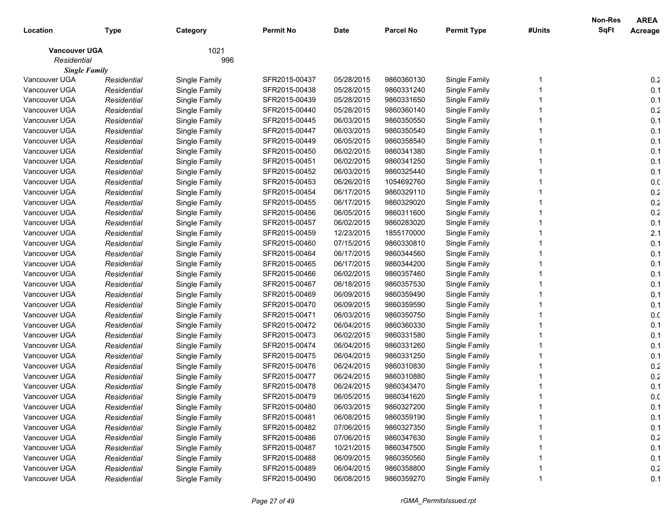|                      |             |               |                  |             |                  |                    |        | Non-Res     | <b>AREA</b> |
|----------------------|-------------|---------------|------------------|-------------|------------------|--------------------|--------|-------------|-------------|
| Location             | Type        | Category      | <b>Permit No</b> | <b>Date</b> | <b>Parcel No</b> | <b>Permit Type</b> | #Units | <b>SqFt</b> | Acreage     |
| <b>Vancouver UGA</b> |             | 1021          |                  |             |                  |                    |        |             |             |
| Residential          |             | 996           |                  |             |                  |                    |        |             |             |
| <b>Single Family</b> |             |               |                  |             |                  |                    |        |             |             |
| Vancouver UGA        | Residential | Single Family | SFR2015-00437    | 05/28/2015  | 9860360130       | Single Family      |        |             | 0.2         |
| Vancouver UGA        | Residential | Single Family | SFR2015-00438    | 05/28/2015  | 9860331240       | Single Family      |        |             | 0.1         |
| Vancouver UGA        | Residential | Single Family | SFR2015-00439    | 05/28/2015  | 9860331650       | Single Family      |        |             | 0.1         |
| Vancouver UGA        | Residential | Single Family | SFR2015-00440    | 05/28/2015  | 9860360140       | Single Family      |        |             | 0.2         |
| Vancouver UGA        | Residential | Single Family | SFR2015-00445    | 06/03/2015  | 9860350550       | Single Family      |        |             | 0.1         |
| Vancouver UGA        | Residential | Single Family | SFR2015-00447    | 06/03/2015  | 9860350540       | Single Family      |        |             | 0.1         |
| Vancouver UGA        | Residential | Single Family | SFR2015-00449    | 06/05/2015  | 9860358540       | Single Family      |        |             | 0.1         |
| Vancouver UGA        | Residential | Single Family | SFR2015-00450    | 06/02/2015  | 9860341380       | Single Family      |        |             | 0.1         |
| Vancouver UGA        | Residential | Single Family | SFR2015-00451    | 06/02/2015  | 9860341250       | Single Family      |        |             | 0.1         |
| Vancouver UGA        | Residential | Single Family | SFR2015-00452    | 06/03/2015  | 9860325440       | Single Family      |        |             | 0.1         |
| Vancouver UGA        | Residential | Single Family | SFR2015-00453    | 06/26/2015  | 1054692760       | Single Family      |        |             | 0.0         |
| Vancouver UGA        | Residential | Single Family | SFR2015-00454    | 06/17/2015  | 9860329110       | Single Family      |        |             | 0.2         |
| Vancouver UGA        | Residential | Single Family | SFR2015-00455    | 06/17/2015  | 9860329020       | Single Family      |        |             | 0.2         |
| Vancouver UGA        | Residential | Single Family | SFR2015-00456    | 06/05/2015  | 9860311600       | Single Family      |        |             | 0.2         |
| Vancouver UGA        | Residential | Single Family | SFR2015-00457    | 06/02/2015  | 9860283020       | Single Family      |        |             | 0.1         |
| Vancouver UGA        | Residential | Single Family | SFR2015-00459    | 12/23/2015  | 1855170000       | Single Family      |        |             | 2.1         |
| Vancouver UGA        | Residential | Single Family | SFR2015-00460    | 07/15/2015  | 9860330810       | Single Family      |        |             | 0.1         |
| Vancouver UGA        | Residential | Single Family | SFR2015-00464    | 06/17/2015  | 9860344560       | Single Family      |        |             | 0.1         |
| Vancouver UGA        | Residential | Single Family | SFR2015-00465    | 06/17/2015  | 9860344200       | Single Family      |        |             | 0.1         |
| Vancouver UGA        | Residential | Single Family | SFR2015-00466    | 06/02/2015  | 9860357460       | Single Family      |        |             | 0.1         |
| Vancouver UGA        | Residential | Single Family | SFR2015-00467    | 06/18/2015  | 9860357530       | Single Family      |        |             | 0.1         |
| Vancouver UGA        | Residential | Single Family | SFR2015-00469    | 06/09/2015  | 9860359490       | Single Family      |        |             | 0.1         |
| Vancouver UGA        | Residential | Single Family | SFR2015-00470    | 06/09/2015  | 9860359590       | Single Family      |        |             | 0.1         |
| Vancouver UGA        | Residential | Single Family | SFR2015-00471    | 06/03/2015  | 9860350750       | Single Family      |        |             | 0.0         |
| Vancouver UGA        | Residential | Single Family | SFR2015-00472    | 06/04/2015  | 9860360330       | Single Family      |        |             | 0.1         |
| Vancouver UGA        | Residential | Single Family | SFR2015-00473    | 06/02/2015  | 9860331580       | Single Family      |        |             | 0.1         |
| Vancouver UGA        | Residential | Single Family | SFR2015-00474    | 06/04/2015  | 9860331260       | Single Family      |        |             | 0.1         |
| Vancouver UGA        | Residential | Single Family | SFR2015-00475    | 06/04/2015  | 9860331250       | Single Family      |        |             | 0.1         |
| Vancouver UGA        | Residential | Single Family | SFR2015-00476    | 06/24/2015  | 9860310830       | Single Family      |        |             | 0.2         |
| Vancouver UGA        | Residential | Single Family | SFR2015-00477    | 06/24/2015  | 9860310880       | Single Family      |        |             | 0.2         |
| Vancouver UGA        | Residential | Single Family | SFR2015-00478    | 06/24/2015  | 9860343470       | Single Family      |        |             | 0.1         |
| Vancouver UGA        | Residential | Single Family | SFR2015-00479    | 06/05/2015  | 9860341620       | Single Family      |        |             | 0.0         |
| Vancouver UGA        | Residential | Single Family | SFR2015-00480    | 06/03/2015  | 9860327200       | Single Family      |        |             | 0.1         |
| Vancouver UGA        | Residential | Single Family | SFR2015-00481    | 06/08/2015  | 9860359190       | Single Family      |        |             | 0.1         |
| Vancouver UGA        | Residential | Single Family | SFR2015-00482    | 07/06/2015  | 9860327350       | Single Family      |        |             | 0.1         |
| Vancouver UGA        | Residential | Single Family | SFR2015-00486    | 07/06/2015  | 9860347630       | Single Family      |        |             | 0.2         |
| Vancouver UGA        | Residential | Single Family | SFR2015-00487    | 10/21/2015  | 9860347500       | Single Family      |        |             | 0.1         |
| Vancouver UGA        | Residential | Single Family | SFR2015-00488    | 06/09/2015  | 9860350560       | Single Family      |        |             | 0.1         |
| Vancouver UGA        | Residential | Single Family | SFR2015-00489    | 06/04/2015  | 9860358800       | Single Family      |        |             | 0.2         |
| Vancouver UGA        | Residential | Single Family | SFR2015-00490    | 06/08/2015  | 9860359270       | Single Family      |        |             | 0.1         |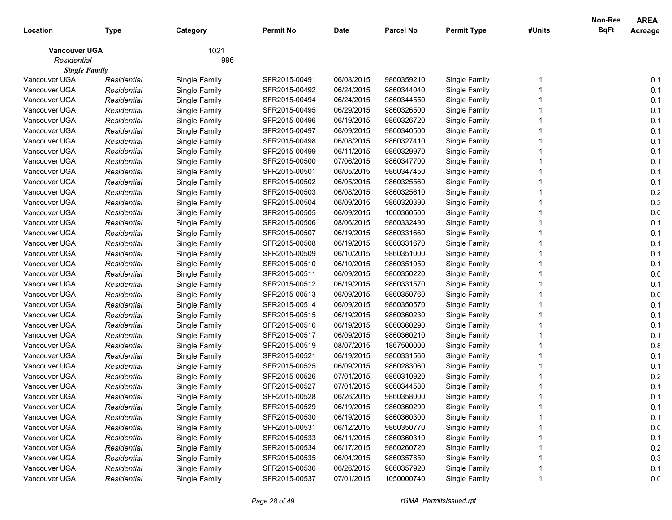| Location                              | <b>Type</b>                | Category                       | <b>Permit No</b> | <b>Date</b> | <b>Parcel No</b> | <b>Permit Type</b>             | #Units | Non-Res<br><b>SqFt</b> | <b>AREA</b><br>Acreage |
|---------------------------------------|----------------------------|--------------------------------|------------------|-------------|------------------|--------------------------------|--------|------------------------|------------------------|
|                                       |                            |                                |                  |             |                  |                                |        |                        |                        |
| <b>Vancouver UGA</b>                  |                            | 1021                           |                  |             |                  |                                |        |                        |                        |
| Residential                           |                            | 996                            |                  |             |                  |                                |        |                        |                        |
| <b>Single Family</b><br>Vancouver UGA |                            |                                | SFR2015-00491    | 06/08/2015  | 9860359210       |                                |        |                        | 0.1                    |
| Vancouver UGA                         | Residential<br>Residential | Single Family<br>Single Family | SFR2015-00492    | 06/24/2015  | 9860344040       | Single Family<br>Single Family |        |                        | 0.1                    |
| Vancouver UGA                         |                            |                                | SFR2015-00494    | 06/24/2015  | 9860344550       | Single Family                  |        |                        | 0.1                    |
| Vancouver UGA                         | Residential                | Single Family                  | SFR2015-00495    | 06/29/2015  | 9860326500       |                                |        |                        | 0.1                    |
| Vancouver UGA                         | Residential<br>Residential | Single Family<br>Single Family | SFR2015-00496    | 06/19/2015  | 9860326720       | Single Family<br>Single Family |        |                        | 0.1                    |
| Vancouver UGA                         |                            |                                | SFR2015-00497    | 06/09/2015  | 9860340500       | Single Family                  |        |                        | 0.1                    |
| Vancouver UGA                         | Residential                | Single Family                  | SFR2015-00498    | 06/08/2015  | 9860327410       |                                |        |                        | 0.1                    |
| Vancouver UGA                         | Residential                | Single Family                  | SFR2015-00499    | 06/11/2015  | 9860329970       | Single Family                  |        |                        | 0.1                    |
| Vancouver UGA                         | Residential<br>Residential | Single Family<br>Single Family | SFR2015-00500    | 07/06/2015  | 9860347700       | Single Family<br>Single Family |        |                        | 0.1                    |
| Vancouver UGA                         |                            |                                | SFR2015-00501    | 06/05/2015  | 9860347450       | Single Family                  |        |                        | 0.1                    |
| Vancouver UGA                         | Residential<br>Residential | Single Family<br>Single Family | SFR2015-00502    | 06/05/2015  | 9860325560       | Single Family                  |        |                        | 0.1                    |
| Vancouver UGA                         | Residential                | Single Family                  | SFR2015-00503    | 06/08/2015  | 9860325610       | Single Family                  |        |                        | $0.2\,$                |
| Vancouver UGA                         | Residential                | Single Family                  | SFR2015-00504    | 06/09/2015  | 9860320390       | Single Family                  |        |                        | 0.2                    |
| Vancouver UGA                         | Residential                | Single Family                  | SFR2015-00505    | 06/09/2015  | 1060360500       | Single Family                  |        |                        | 0.0                    |
| Vancouver UGA                         | Residential                | Single Family                  | SFR2015-00506    | 08/06/2015  | 9860332490       | Single Family                  |        |                        | 0.1                    |
| Vancouver UGA                         | Residential                | Single Family                  | SFR2015-00507    | 06/19/2015  | 9860331660       | Single Family                  |        |                        | 0.1                    |
| Vancouver UGA                         | Residential                | Single Family                  | SFR2015-00508    | 06/19/2015  | 9860331670       | Single Family                  |        |                        | 0.1                    |
| Vancouver UGA                         |                            |                                | SFR2015-00509    | 06/10/2015  | 9860351000       | Single Family                  |        |                        | 0.1                    |
| Vancouver UGA                         | Residential<br>Residential | Single Family<br>Single Family | SFR2015-00510    | 06/10/2015  | 9860351050       | Single Family                  |        |                        | 0.1                    |
| Vancouver UGA                         | Residential                | Single Family                  | SFR2015-00511    | 06/09/2015  | 9860350220       | Single Family                  |        |                        | 0.0                    |
| Vancouver UGA                         | Residential                | Single Family                  | SFR2015-00512    | 06/19/2015  | 9860331570       | Single Family                  |        |                        | 0.1                    |
| Vancouver UGA                         | Residential                | Single Family                  | SFR2015-00513    | 06/09/2015  | 9860350760       | Single Family                  |        |                        | 0.0                    |
| Vancouver UGA                         | Residential                | Single Family                  | SFR2015-00514    | 06/09/2015  | 9860350570       | Single Family                  |        |                        | 0.1                    |
| Vancouver UGA                         | Residential                | Single Family                  | SFR2015-00515    | 06/19/2015  | 9860360230       | Single Family                  |        |                        | 0.1                    |
| Vancouver UGA                         | Residential                | Single Family                  | SFR2015-00516    | 06/19/2015  | 9860360290       | Single Family                  |        |                        | 0.1                    |
| Vancouver UGA                         | Residential                | Single Family                  | SFR2015-00517    | 06/09/2015  | 9860360210       | Single Family                  |        |                        | 0.1                    |
| Vancouver UGA                         | Residential                | Single Family                  | SFR2015-00519    | 08/07/2015  | 1867500000       | Single Family                  |        |                        | 0.8                    |
| Vancouver UGA                         | Residential                | Single Family                  | SFR2015-00521    | 06/19/2015  | 9860331560       | Single Family                  |        |                        | 0.1                    |
| Vancouver UGA                         | Residential                | Single Family                  | SFR2015-00525    | 06/09/2015  | 9860283060       | Single Family                  |        |                        | 0.1                    |
| Vancouver UGA                         | Residential                | Single Family                  | SFR2015-00526    | 07/01/2015  | 9860310920       | Single Family                  |        |                        | 0.2                    |
| Vancouver UGA                         | Residential                | Single Family                  | SFR2015-00527    | 07/01/2015  | 9860344580       | Single Family                  |        |                        | 0.1                    |
| Vancouver UGA                         | Residential                | Single Family                  | SFR2015-00528    | 06/26/2015  | 9860358000       | Single Family                  |        |                        | 0.1                    |
| Vancouver UGA                         | Residential                | Single Family                  | SFR2015-00529    | 06/19/2015  | 9860360290       | Single Family                  |        |                        | 0.1                    |
| Vancouver UGA                         | Residential                | Single Family                  | SFR2015-00530    | 06/19/2015  | 9860360300       | Single Family                  |        |                        | 0.1                    |
| Vancouver UGA                         | Residential                | Single Family                  | SFR2015-00531    | 06/12/2015  | 9860350770       | Single Family                  |        |                        | 0.0                    |
| Vancouver UGA                         | Residential                | Single Family                  | SFR2015-00533    | 06/11/2015  | 9860360310       | Single Family                  |        |                        | 0.1                    |
| Vancouver UGA                         | Residential                | Single Family                  | SFR2015-00534    | 06/17/2015  | 9860260720       | Single Family                  |        |                        | 0.2                    |
| Vancouver UGA                         | Residential                | Single Family                  | SFR2015-00535    | 06/04/2015  | 9860357850       | Single Family                  |        |                        | 0.3                    |
| Vancouver UGA                         | Residential                | Single Family                  | SFR2015-00536    | 06/26/2015  | 9860357920       | Single Family                  |        |                        | 0.1                    |
| Vancouver UGA                         | Residential                | Single Family                  | SFR2015-00537    | 07/01/2015  | 1050000740       | Single Family                  | 1      |                        | 0.0                    |
|                                       |                            |                                |                  |             |                  |                                |        |                        |                        |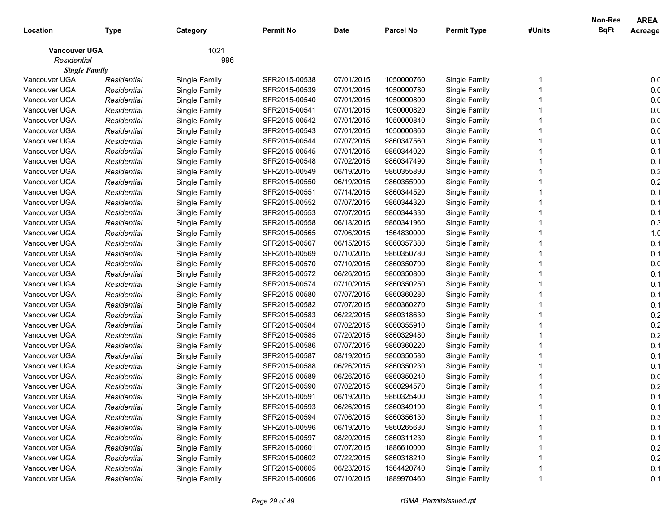|                      |             |               |                  |             |                  |                    |        | Non-Res     | <b>AREA</b>     |
|----------------------|-------------|---------------|------------------|-------------|------------------|--------------------|--------|-------------|-----------------|
| Location             | <b>Type</b> | Category      | <b>Permit No</b> | <b>Date</b> | <b>Parcel No</b> | <b>Permit Type</b> | #Units | <b>SqFt</b> | Acreage         |
| <b>Vancouver UGA</b> |             | 1021          |                  |             |                  |                    |        |             |                 |
| Residential          |             | 996           |                  |             |                  |                    |        |             |                 |
| <b>Single Family</b> |             |               |                  |             |                  |                    |        |             |                 |
| Vancouver UGA        | Residential | Single Family | SFR2015-00538    | 07/01/2015  | 1050000760       | Single Family      |        |             | 0.0             |
| Vancouver UGA        | Residential | Single Family | SFR2015-00539    | 07/01/2015  | 1050000780       | Single Family      |        |             | 0.0             |
| Vancouver UGA        | Residential | Single Family | SFR2015-00540    | 07/01/2015  | 1050000800       | Single Family      |        |             | 0. <sub>C</sub> |
| Vancouver UGA        | Residential | Single Family | SFR2015-00541    | 07/01/2015  | 1050000820       | Single Family      |        |             | 0. <sub>C</sub> |
| Vancouver UGA        | Residential | Single Family | SFR2015-00542    | 07/01/2015  | 1050000840       | Single Family      |        |             | 0. <sub>C</sub> |
| Vancouver UGA        | Residential | Single Family | SFR2015-00543    | 07/01/2015  | 1050000860       | Single Family      |        |             | 0. <sub>C</sub> |
| Vancouver UGA        | Residential | Single Family | SFR2015-00544    | 07/07/2015  | 9860347560       | Single Family      |        |             | 0.1             |
| Vancouver UGA        | Residential | Single Family | SFR2015-00545    | 07/01/2015  | 9860344020       | Single Family      |        |             | 0.1             |
| Vancouver UGA        | Residential | Single Family | SFR2015-00548    | 07/02/2015  | 9860347490       | Single Family      |        |             | 0.1             |
| Vancouver UGA        | Residential | Single Family | SFR2015-00549    | 06/19/2015  | 9860355890       | Single Family      |        |             | 0.2             |
| Vancouver UGA        | Residential | Single Family | SFR2015-00550    | 06/19/2015  | 9860355900       | Single Family      |        |             | 0.2             |
| Vancouver UGA        | Residential | Single Family | SFR2015-00551    | 07/14/2015  | 9860344520       | Single Family      |        |             | 0.1             |
| Vancouver UGA        | Residential | Single Family | SFR2015-00552    | 07/07/2015  | 9860344320       | Single Family      |        |             | 0.1             |
| Vancouver UGA        | Residential | Single Family | SFR2015-00553    | 07/07/2015  | 9860344330       | Single Family      |        |             | 0.1             |
| Vancouver UGA        | Residential | Single Family | SFR2015-00558    | 06/18/2015  | 9860341960       | Single Family      |        |             | 0.3             |
| Vancouver UGA        | Residential | Single Family | SFR2015-00565    | 07/06/2015  | 1564830000       | Single Family      |        |             | 1. <sub>C</sub> |
| Vancouver UGA        | Residential | Single Family | SFR2015-00567    | 06/15/2015  | 9860357380       | Single Family      |        |             | 0.1             |
| Vancouver UGA        | Residential | Single Family | SFR2015-00569    | 07/10/2015  | 9860350780       | Single Family      |        |             | 0.1             |
| Vancouver UGA        | Residential | Single Family | SFR2015-00570    | 07/10/2015  | 9860350790       | Single Family      |        |             | 0. <sub>C</sub> |
| Vancouver UGA        | Residential | Single Family | SFR2015-00572    | 06/26/2015  | 9860350800       | Single Family      |        |             | 0.1             |
| Vancouver UGA        | Residential | Single Family | SFR2015-00574    | 07/10/2015  | 9860350250       | Single Family      |        |             | 0.1             |
| Vancouver UGA        | Residential | Single Family | SFR2015-00580    | 07/07/2015  | 9860360280       | Single Family      |        |             | 0.1             |
| Vancouver UGA        | Residential | Single Family | SFR2015-00582    | 07/07/2015  | 9860360270       | Single Family      |        |             | 0.1             |
| Vancouver UGA        | Residential | Single Family | SFR2015-00583    | 06/22/2015  | 9860318630       | Single Family      |        |             | 0.2             |
| Vancouver UGA        | Residential | Single Family | SFR2015-00584    | 07/02/2015  | 9860355910       | Single Family      |        |             | 0.2             |
| Vancouver UGA        | Residential | Single Family | SFR2015-00585    | 07/20/2015  | 9860329480       | Single Family      |        |             | 0.2             |
| Vancouver UGA        | Residential | Single Family | SFR2015-00586    | 07/07/2015  | 9860360220       | Single Family      |        |             | 0.1             |
| Vancouver UGA        | Residential | Single Family | SFR2015-00587    | 08/19/2015  | 9860350580       | Single Family      |        |             | 0.1             |
| Vancouver UGA        | Residential | Single Family | SFR2015-00588    | 06/26/2015  | 9860350230       | Single Family      |        |             | 0.1             |
| Vancouver UGA        | Residential | Single Family | SFR2015-00589    | 06/26/2015  | 9860350240       | Single Family      |        |             | 0.0             |
| Vancouver UGA        | Residential | Single Family | SFR2015-00590    | 07/02/2015  | 9860294570       | Single Family      |        |             | 0.2             |
| Vancouver UGA        | Residential | Single Family | SFR2015-00591    | 06/19/2015  | 9860325400       | Single Family      |        |             | 0.1             |
| Vancouver UGA        | Residential | Single Family | SFR2015-00593    | 06/26/2015  | 9860349190       | Single Family      |        |             | 0.1             |
| Vancouver UGA        | Residential | Single Family | SFR2015-00594    | 07/06/2015  | 9860356130       | Single Family      |        |             | 0.3             |
| Vancouver UGA        | Residential | Single Family | SFR2015-00596    | 06/19/2015  | 9860265630       | Single Family      |        |             | 0.1             |
| Vancouver UGA        | Residential | Single Family | SFR2015-00597    | 08/20/2015  | 9860311230       | Single Family      |        |             | 0.1             |
| Vancouver UGA        | Residential | Single Family | SFR2015-00601    | 07/07/2015  | 1886610000       | Single Family      |        |             | 0.2             |
| Vancouver UGA        | Residential | Single Family | SFR2015-00602    | 07/22/2015  | 9860318210       | Single Family      |        |             | 0.2             |
| Vancouver UGA        | Residential | Single Family | SFR2015-00605    | 06/23/2015  | 1564420740       | Single Family      |        |             | 0.1             |
| Vancouver UGA        | Residential | Single Family | SFR2015-00606    | 07/10/2015  | 1889970460       | Single Family      |        |             | 0.1             |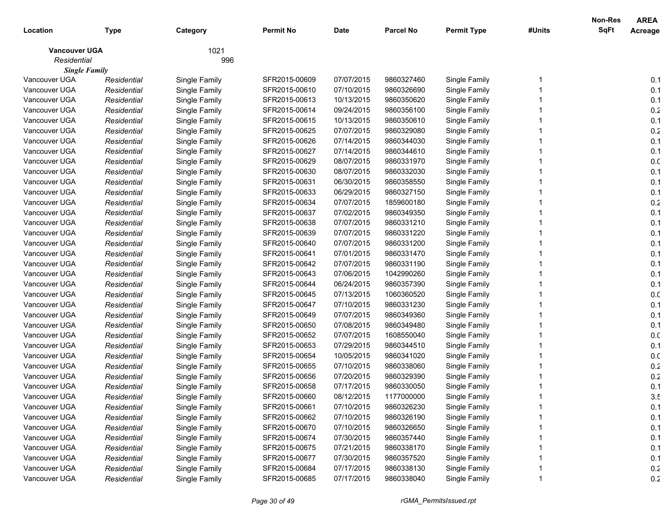|                      |             |               |                  |             |                  |                    |        | Non-Res     | <b>AREA</b>     |
|----------------------|-------------|---------------|------------------|-------------|------------------|--------------------|--------|-------------|-----------------|
| Location             | <b>Type</b> | Category      | <b>Permit No</b> | <b>Date</b> | <b>Parcel No</b> | <b>Permit Type</b> | #Units | <b>SqFt</b> | Acreage         |
| <b>Vancouver UGA</b> |             | 1021          |                  |             |                  |                    |        |             |                 |
| Residential          |             | 996           |                  |             |                  |                    |        |             |                 |
| <b>Single Family</b> |             |               |                  |             |                  |                    |        |             |                 |
| Vancouver UGA        | Residential | Single Family | SFR2015-00609    | 07/07/2015  | 9860327460       | Single Family      |        |             | 0.1             |
| Vancouver UGA        | Residential | Single Family | SFR2015-00610    | 07/10/2015  | 9860326690       | Single Family      |        |             | 0.1             |
| Vancouver UGA        | Residential | Single Family | SFR2015-00613    | 10/13/2015  | 9860350620       | Single Family      |        |             | 0.1             |
| Vancouver UGA        | Residential | Single Family | SFR2015-00614    | 09/24/2015  | 9860356100       | Single Family      |        |             | 0.2             |
| Vancouver UGA        | Residential | Single Family | SFR2015-00615    | 10/13/2015  | 9860350610       | Single Family      |        |             | 0.1             |
| Vancouver UGA        | Residential | Single Family | SFR2015-00625    | 07/07/2015  | 9860329080       | Single Family      |        |             | 0.2             |
| Vancouver UGA        | Residential | Single Family | SFR2015-00626    | 07/14/2015  | 9860344030       | Single Family      |        |             | 0.1             |
| Vancouver UGA        | Residential | Single Family | SFR2015-00627    | 07/14/2015  | 9860344610       | Single Family      |        |             | 0.1             |
| Vancouver UGA        | Residential | Single Family | SFR2015-00629    | 08/07/2015  | 9860331970       | Single Family      |        |             | 0. <sub>C</sub> |
| Vancouver UGA        | Residential | Single Family | SFR2015-00630    | 08/07/2015  | 9860332030       | Single Family      |        |             | 0.1             |
| Vancouver UGA        | Residential | Single Family | SFR2015-00631    | 06/30/2015  | 9860358550       | Single Family      |        |             | 0.1             |
| Vancouver UGA        | Residential | Single Family | SFR2015-00633    | 06/29/2015  | 9860327150       | Single Family      |        |             | 0.1             |
| Vancouver UGA        | Residential | Single Family | SFR2015-00634    | 07/07/2015  | 1859600180       | Single Family      |        |             | 0.2             |
| Vancouver UGA        | Residential | Single Family | SFR2015-00637    | 07/02/2015  | 9860349350       | Single Family      |        |             | 0.1             |
| Vancouver UGA        | Residential | Single Family | SFR2015-00638    | 07/07/2015  | 9860331210       | Single Family      |        |             | 0.1             |
| Vancouver UGA        | Residential | Single Family | SFR2015-00639    | 07/07/2015  | 9860331220       | Single Family      |        |             | 0.1             |
| Vancouver UGA        | Residential | Single Family | SFR2015-00640    | 07/07/2015  | 9860331200       | Single Family      |        |             | 0.1             |
| Vancouver UGA        | Residential | Single Family | SFR2015-00641    | 07/01/2015  | 9860331470       | Single Family      |        |             | 0.1             |
| Vancouver UGA        | Residential | Single Family | SFR2015-00642    | 07/07/2015  | 9860331190       | Single Family      |        |             | 0.1             |
| Vancouver UGA        | Residential | Single Family | SFR2015-00643    | 07/06/2015  | 1042990260       | Single Family      |        |             | 0.1             |
| Vancouver UGA        | Residential | Single Family | SFR2015-00644    | 06/24/2015  | 9860357390       | Single Family      |        |             | 0.1             |
| Vancouver UGA        | Residential | Single Family | SFR2015-00645    | 07/13/2015  | 1060360520       | Single Family      |        |             | 0.0             |
| Vancouver UGA        | Residential | Single Family | SFR2015-00647    | 07/10/2015  | 9860331230       | Single Family      |        |             | 0.1             |
| Vancouver UGA        | Residential | Single Family | SFR2015-00649    | 07/07/2015  | 9860349360       | Single Family      |        |             | 0.1             |
| Vancouver UGA        | Residential | Single Family | SFR2015-00650    | 07/08/2015  | 9860349480       | Single Family      |        |             | 0.1             |
| Vancouver UGA        | Residential | Single Family | SFR2015-00652    | 07/07/2015  | 1608550040       | Single Family      |        |             | 0.0             |
| Vancouver UGA        | Residential | Single Family | SFR2015-00653    | 07/29/2015  | 9860344510       | Single Family      |        |             | 0.1             |
| Vancouver UGA        | Residential | Single Family | SFR2015-00654    | 10/05/2015  | 9860341020       | Single Family      |        |             | 0.0             |
| Vancouver UGA        | Residential | Single Family | SFR2015-00655    | 07/10/2015  | 9860338060       | Single Family      |        |             | 0.2             |
| Vancouver UGA        | Residential | Single Family | SFR2015-00656    | 07/20/2015  | 9860329390       | Single Family      |        |             | 0.2             |
| Vancouver UGA        | Residential | Single Family | SFR2015-00658    | 07/17/2015  | 9860330050       | Single Family      |        |             | 0.1             |
| Vancouver UGA        | Residential | Single Family | SFR2015-00660    | 08/12/2015  | 1177000000       | Single Family      |        |             | 3.5             |
| Vancouver UGA        | Residential | Single Family | SFR2015-00661    | 07/10/2015  | 9860326230       | Single Family      |        |             | 0.1             |
| Vancouver UGA        | Residential | Single Family | SFR2015-00662    | 07/10/2015  | 9860326190       | Single Family      |        |             | 0.1             |
| Vancouver UGA        | Residential | Single Family | SFR2015-00670    | 07/10/2015  | 9860326650       | Single Family      |        |             | 0.1             |
| Vancouver UGA        | Residential | Single Family | SFR2015-00674    | 07/30/2015  | 9860357440       | Single Family      |        |             | 0.1             |
| Vancouver UGA        | Residential | Single Family | SFR2015-00675    | 07/21/2015  | 9860338170       | Single Family      |        |             | 0.1             |
| Vancouver UGA        | Residential | Single Family | SFR2015-00677    | 07/30/2015  | 9860357520       | Single Family      |        |             | 0.1             |
| Vancouver UGA        | Residential | Single Family | SFR2015-00684    | 07/17/2015  | 9860338130       | Single Family      |        |             | 0.2             |
| Vancouver UGA        | Residential | Single Family | SFR2015-00685    | 07/17/2015  | 9860338040       | Single Family      |        |             | 0.2             |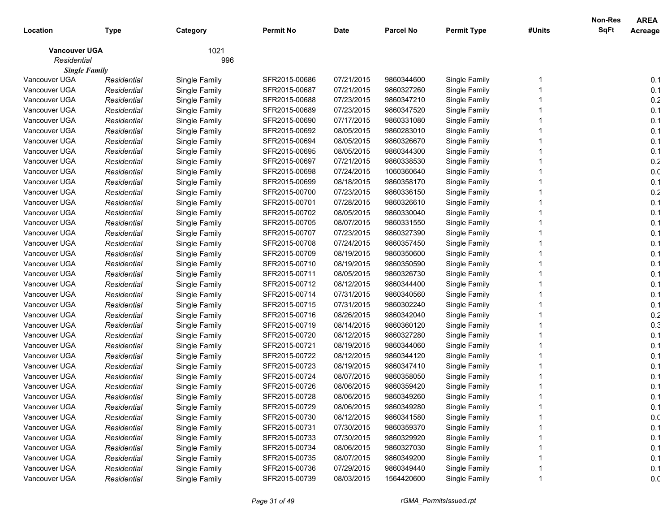|                      |             |               |                  |             |                  |                    |        | Non-Res     | <b>AREA</b>     |
|----------------------|-------------|---------------|------------------|-------------|------------------|--------------------|--------|-------------|-----------------|
| Location             | Type        | Category      | <b>Permit No</b> | <b>Date</b> | <b>Parcel No</b> | <b>Permit Type</b> | #Units | <b>SqFt</b> | Acreage         |
| <b>Vancouver UGA</b> |             | 1021          |                  |             |                  |                    |        |             |                 |
| Residential          |             | 996           |                  |             |                  |                    |        |             |                 |
| <b>Single Family</b> |             |               |                  |             |                  |                    |        |             |                 |
| Vancouver UGA        | Residential | Single Family | SFR2015-00686    | 07/21/2015  | 9860344600       | Single Family      |        |             | 0.1             |
| Vancouver UGA        | Residential | Single Family | SFR2015-00687    | 07/21/2015  | 9860327260       | Single Family      |        |             | 0.1             |
| Vancouver UGA        | Residential | Single Family | SFR2015-00688    | 07/23/2015  | 9860347210       | Single Family      |        |             | 0.2             |
| Vancouver UGA        | Residential | Single Family | SFR2015-00689    | 07/23/2015  | 9860347520       | Single Family      |        |             | 0.1             |
| Vancouver UGA        | Residential | Single Family | SFR2015-00690    | 07/17/2015  | 9860331080       | Single Family      |        |             | 0.1             |
| Vancouver UGA        | Residential | Single Family | SFR2015-00692    | 08/05/2015  | 9860283010       | Single Family      |        |             | 0.1             |
| Vancouver UGA        | Residential | Single Family | SFR2015-00694    | 08/05/2015  | 9860326670       | Single Family      |        |             | 0.1             |
| Vancouver UGA        | Residential | Single Family | SFR2015-00695    | 08/05/2015  | 9860344300       | Single Family      |        |             | 0.1             |
| Vancouver UGA        | Residential | Single Family | SFR2015-00697    | 07/21/2015  | 9860338530       | Single Family      |        |             | 0.2             |
| Vancouver UGA        | Residential | Single Family | SFR2015-00698    | 07/24/2015  | 1060360640       | Single Family      |        |             | 0. <sub>C</sub> |
| Vancouver UGA        | Residential | Single Family | SFR2015-00699    | 08/18/2015  | 9860358170       | Single Family      |        |             | 0.1             |
| Vancouver UGA        | Residential | Single Family | SFR2015-00700    | 07/23/2015  | 9860336150       | Single Family      |        |             | 0.2             |
| Vancouver UGA        | Residential | Single Family | SFR2015-00701    | 07/28/2015  | 9860326610       | Single Family      |        |             | 0.1             |
| Vancouver UGA        | Residential | Single Family | SFR2015-00702    | 08/05/2015  | 9860330040       | Single Family      |        |             | 0.1             |
| Vancouver UGA        | Residential | Single Family | SFR2015-00705    | 08/07/2015  | 9860331550       | Single Family      |        |             | 0.1             |
| Vancouver UGA        | Residential | Single Family | SFR2015-00707    | 07/23/2015  | 9860327390       | Single Family      |        |             | 0.1             |
| Vancouver UGA        | Residential | Single Family | SFR2015-00708    | 07/24/2015  | 9860357450       | Single Family      |        |             | 0.1             |
| Vancouver UGA        | Residential | Single Family | SFR2015-00709    | 08/19/2015  | 9860350600       | Single Family      |        |             | 0.1             |
| Vancouver UGA        | Residential | Single Family | SFR2015-00710    | 08/19/2015  | 9860350590       | Single Family      |        |             | 0.1             |
| Vancouver UGA        | Residential | Single Family | SFR2015-00711    | 08/05/2015  | 9860326730       | Single Family      |        |             | 0.1             |
| Vancouver UGA        | Residential | Single Family | SFR2015-00712    | 08/12/2015  | 9860344400       | Single Family      |        |             | 0.1             |
| Vancouver UGA        | Residential | Single Family | SFR2015-00714    | 07/31/2015  | 9860340560       | Single Family      |        |             | 0.1             |
| Vancouver UGA        | Residential | Single Family | SFR2015-00715    | 07/31/2015  | 9860302240       | Single Family      |        |             | 0.1             |
| Vancouver UGA        | Residential | Single Family | SFR2015-00716    | 08/26/2015  | 9860342040       | Single Family      |        |             | 0.2             |
| Vancouver UGA        | Residential | Single Family | SFR2015-00719    | 08/14/2015  | 9860360120       | Single Family      |        |             | 0.3             |
| Vancouver UGA        | Residential | Single Family | SFR2015-00720    | 08/12/2015  | 9860327280       | Single Family      |        |             | 0.1             |
| Vancouver UGA        | Residential | Single Family | SFR2015-00721    | 08/19/2015  | 9860344060       | Single Family      |        |             | 0.1             |
| Vancouver UGA        | Residential | Single Family | SFR2015-00722    | 08/12/2015  | 9860344120       | Single Family      |        |             | 0.1             |
| Vancouver UGA        | Residential | Single Family | SFR2015-00723    | 08/19/2015  | 9860347410       | Single Family      |        |             | 0.1             |
| Vancouver UGA        | Residential | Single Family | SFR2015-00724    | 08/07/2015  | 9860358050       | Single Family      |        |             | 0.1             |
| Vancouver UGA        | Residential | Single Family | SFR2015-00726    | 08/06/2015  | 9860359420       | Single Family      |        |             | 0.1             |
| Vancouver UGA        | Residential | Single Family | SFR2015-00728    | 08/06/2015  | 9860349260       | Single Family      |        |             | 0.1             |
| Vancouver UGA        | Residential | Single Family | SFR2015-00729    | 08/06/2015  | 9860349280       | Single Family      |        |             | 0.1             |
| Vancouver UGA        | Residential | Single Family | SFR2015-00730    | 08/12/2015  | 9860341580       | Single Family      |        |             | 0.0             |
| Vancouver UGA        | Residential | Single Family | SFR2015-00731    | 07/30/2015  | 9860359370       | Single Family      |        |             | 0.1             |
| Vancouver UGA        | Residential | Single Family | SFR2015-00733    | 07/30/2015  | 9860329920       | Single Family      |        |             | 0.1             |
| Vancouver UGA        | Residential | Single Family | SFR2015-00734    | 08/06/2015  | 9860327030       | Single Family      |        |             | 0.1             |
| Vancouver UGA        | Residential | Single Family | SFR2015-00735    | 08/07/2015  | 9860349200       | Single Family      |        |             | 0.1             |
| Vancouver UGA        | Residential | Single Family | SFR2015-00736    | 07/29/2015  | 9860349440       | Single Family      |        |             | 0.1             |
| Vancouver UGA        | Residential | Single Family | SFR2015-00739    | 08/03/2015  | 1564420600       | Single Family      |        |             | 0.0             |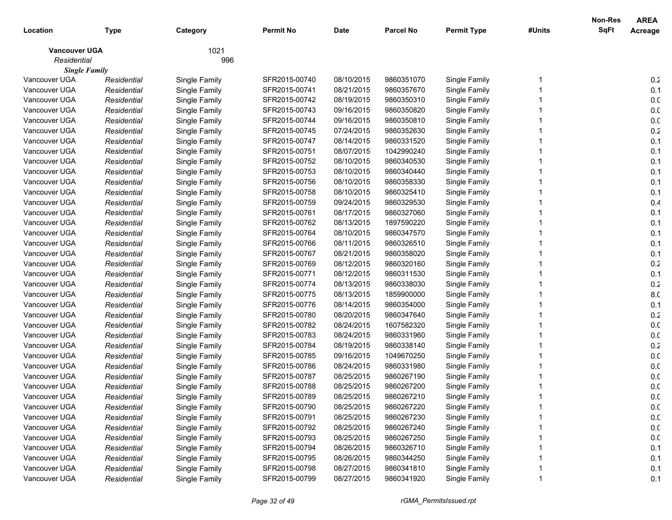|                      |             |               |                  |             |                  |                    |        | Non-Res     | <b>AREA</b>     |
|----------------------|-------------|---------------|------------------|-------------|------------------|--------------------|--------|-------------|-----------------|
| Location             | <b>Type</b> | Category      | <b>Permit No</b> | <b>Date</b> | <b>Parcel No</b> | <b>Permit Type</b> | #Units | <b>SqFt</b> | Acreage         |
| <b>Vancouver UGA</b> |             | 1021          |                  |             |                  |                    |        |             |                 |
| Residential          |             | 996           |                  |             |                  |                    |        |             |                 |
| <b>Single Family</b> |             |               |                  |             |                  |                    |        |             |                 |
| Vancouver UGA        | Residential | Single Family | SFR2015-00740    | 08/10/2015  | 9860351070       | Single Family      |        |             | 0.2             |
| Vancouver UGA        | Residential | Single Family | SFR2015-00741    | 08/21/2015  | 9860357670       | Single Family      |        |             | 0.1             |
| Vancouver UGA        | Residential | Single Family | SFR2015-00742    | 08/19/2015  | 9860350310       | Single Family      |        |             | 0. <sub>C</sub> |
| Vancouver UGA        | Residential | Single Family | SFR2015-00743    | 09/16/2015  | 9860350820       | Single Family      |        |             | 0. <sub>C</sub> |
| Vancouver UGA        | Residential | Single Family | SFR2015-00744    | 09/16/2015  | 9860350810       | Single Family      |        |             | 0. <sub>C</sub> |
| Vancouver UGA        | Residential | Single Family | SFR2015-00745    | 07/24/2015  | 9860352630       | Single Family      |        |             | 0.2             |
| Vancouver UGA        | Residential | Single Family | SFR2015-00747    | 08/14/2015  | 9860331520       | Single Family      |        |             | 0.1             |
| Vancouver UGA        | Residential | Single Family | SFR2015-00751    | 08/07/2015  | 1042990240       | Single Family      |        |             | 0.1             |
| Vancouver UGA        | Residential | Single Family | SFR2015-00752    | 08/10/2015  | 9860340530       | Single Family      |        |             | 0.1             |
| Vancouver UGA        | Residential | Single Family | SFR2015-00753    | 08/10/2015  | 9860340440       | Single Family      |        |             | 0.1             |
| Vancouver UGA        | Residential | Single Family | SFR2015-00756    | 08/10/2015  | 9860358330       | Single Family      |        |             | 0.1             |
| Vancouver UGA        | Residential | Single Family | SFR2015-00758    | 08/10/2015  | 9860325410       | Single Family      |        |             | 0.1             |
| Vancouver UGA        | Residential | Single Family | SFR2015-00759    | 09/24/2015  | 9860329530       | Single Family      |        |             | 0.4             |
| Vancouver UGA        | Residential | Single Family | SFR2015-00761    | 08/17/2015  | 9860327060       | Single Family      |        |             | 0.1             |
| Vancouver UGA        | Residential | Single Family | SFR2015-00762    | 08/13/2015  | 1897590220       | Single Family      |        |             | 0.1             |
| Vancouver UGA        | Residential | Single Family | SFR2015-00764    | 08/10/2015  | 9860347570       | Single Family      |        |             | 0.1             |
| Vancouver UGA        | Residential | Single Family | SFR2015-00766    | 08/11/2015  | 9860326510       | Single Family      |        |             | 0.1             |
| Vancouver UGA        | Residential | Single Family | SFR2015-00767    | 08/21/2015  | 9860358020       | Single Family      |        |             | 0.1             |
| Vancouver UGA        | Residential | Single Family | SFR2015-00769    | 08/12/2015  | 9860320160       | Single Family      |        |             | 0.2             |
| Vancouver UGA        | Residential | Single Family | SFR2015-00771    | 08/12/2015  | 9860311530       | Single Family      |        |             | 0.1             |
| Vancouver UGA        | Residential | Single Family | SFR2015-00774    | 08/13/2015  | 9860338030       | Single Family      |        |             | 0.2             |
| Vancouver UGA        | Residential | Single Family | SFR2015-00775    | 08/13/2015  | 1859900000       | Single Family      |        |             | 8.C             |
| Vancouver UGA        | Residential | Single Family | SFR2015-00776    | 08/14/2015  | 9860354000       | Single Family      |        |             | 0.1             |
| Vancouver UGA        | Residential | Single Family | SFR2015-00780    | 08/20/2015  | 9860347640       | Single Family      |        |             | 0.2             |
| Vancouver UGA        | Residential | Single Family | SFR2015-00782    | 08/24/2015  | 1607582320       | Single Family      |        |             | 0. <sub>C</sub> |
| Vancouver UGA        | Residential | Single Family | SFR2015-00783    | 08/24/2015  | 9860331960       | Single Family      |        |             | 0. <sub>C</sub> |
| Vancouver UGA        | Residential | Single Family | SFR2015-00784    | 08/19/2015  | 9860338140       | Single Family      |        |             | 0.2             |
| Vancouver UGA        | Residential | Single Family | SFR2015-00785    | 09/16/2015  | 1049670250       | Single Family      |        |             | 0. <sub>C</sub> |
| Vancouver UGA        | Residential | Single Family | SFR2015-00786    | 08/24/2015  | 9860331980       | Single Family      |        |             | 0. <sub>C</sub> |
| Vancouver UGA        | Residential | Single Family | SFR2015-00787    | 08/25/2015  | 9860267190       | Single Family      |        |             | 0. <sub>C</sub> |
| Vancouver UGA        | Residential | Single Family | SFR2015-00788    | 08/25/2015  | 9860267200       | Single Family      |        |             | 0. <sub>C</sub> |
| Vancouver UGA        | Residential | Single Family | SFR2015-00789    | 08/25/2015  | 9860267210       | Single Family      |        |             | 0. <sub>C</sub> |
| Vancouver UGA        | Residential | Single Family | SFR2015-00790    | 08/25/2015  | 9860267220       | Single Family      |        |             | 0.0             |
| Vancouver UGA        | Residential | Single Family | SFR2015-00791    | 08/25/2015  | 9860267230       | Single Family      |        |             | 0.0             |
| Vancouver UGA        | Residential | Single Family | SFR2015-00792    | 08/25/2015  | 9860267240       | Single Family      |        |             | 0.0             |
| Vancouver UGA        | Residential | Single Family | SFR2015-00793    | 08/25/2015  | 9860267250       | Single Family      |        |             | 0.0             |
| Vancouver UGA        | Residential | Single Family | SFR2015-00794    | 08/26/2015  | 9860326710       | Single Family      |        |             | 0.1             |
| Vancouver UGA        | Residential | Single Family | SFR2015-00795    | 08/26/2015  | 9860344250       | Single Family      |        |             | 0.1             |
| Vancouver UGA        | Residential | Single Family | SFR2015-00798    | 08/27/2015  | 9860341810       | Single Family      |        |             | 0.1             |
| Vancouver UGA        | Residential | Single Family | SFR2015-00799    | 08/27/2015  | 9860341920       | Single Family      |        |             | 0.1             |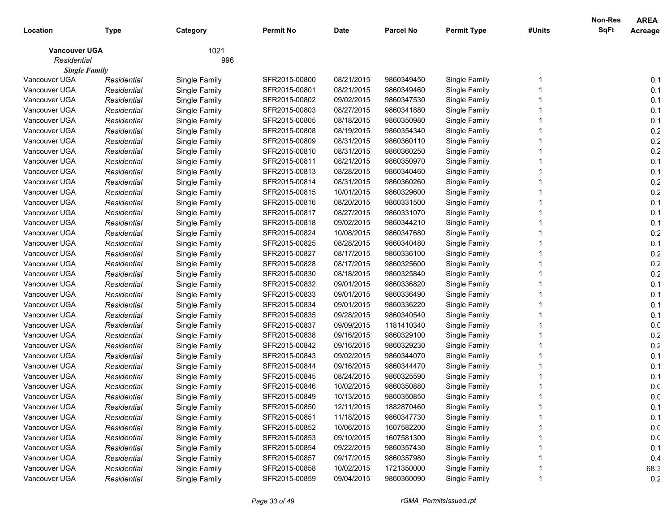|                      |             |               |                  |             |                  |                    |        | Non-Res     | <b>AREA</b> |
|----------------------|-------------|---------------|------------------|-------------|------------------|--------------------|--------|-------------|-------------|
| Location             | Type        | Category      | <b>Permit No</b> | <b>Date</b> | <b>Parcel No</b> | <b>Permit Type</b> | #Units | <b>SqFt</b> | Acreage     |
| <b>Vancouver UGA</b> |             | 1021          |                  |             |                  |                    |        |             |             |
| Residential          |             | 996           |                  |             |                  |                    |        |             |             |
| <b>Single Family</b> |             |               |                  |             |                  |                    |        |             |             |
| Vancouver UGA        | Residential | Single Family | SFR2015-00800    | 08/21/2015  | 9860349450       | Single Family      |        |             | 0.1         |
| Vancouver UGA        | Residential | Single Family | SFR2015-00801    | 08/21/2015  | 9860349460       | Single Family      |        |             | 0.1         |
| Vancouver UGA        | Residential | Single Family | SFR2015-00802    | 09/02/2015  | 9860347530       | Single Family      |        |             | 0.1         |
| Vancouver UGA        | Residential | Single Family | SFR2015-00803    | 08/27/2015  | 9860341880       | Single Family      |        |             | 0.1         |
| Vancouver UGA        | Residential | Single Family | SFR2015-00805    | 08/18/2015  | 9860350980       | Single Family      |        |             | 0.1         |
| Vancouver UGA        | Residential | Single Family | SFR2015-00808    | 08/19/2015  | 9860354340       | Single Family      |        |             | 0.2         |
| Vancouver UGA        | Residential | Single Family | SFR2015-00809    | 08/31/2015  | 9860360110       | Single Family      |        |             | 0.2         |
| Vancouver UGA        | Residential | Single Family | SFR2015-00810    | 08/31/2015  | 9860360250       | Single Family      |        |             | 0.2         |
| Vancouver UGA        | Residential | Single Family | SFR2015-00811    | 08/21/2015  | 9860350970       | Single Family      |        |             | 0.1         |
| Vancouver UGA        | Residential | Single Family | SFR2015-00813    | 08/28/2015  | 9860340460       | Single Family      |        |             | 0.1         |
| Vancouver UGA        | Residential | Single Family | SFR2015-00814    | 08/31/2015  | 9860360260       | Single Family      |        |             | 0.2         |
| Vancouver UGA        | Residential | Single Family | SFR2015-00815    | 10/01/2015  | 9860329600       | Single Family      |        |             | 0.2         |
| Vancouver UGA        | Residential | Single Family | SFR2015-00816    | 08/20/2015  | 9860331500       | Single Family      |        |             | 0.1         |
| Vancouver UGA        | Residential | Single Family | SFR2015-00817    | 08/27/2015  | 9860331070       | Single Family      |        |             | 0.1         |
| Vancouver UGA        | Residential | Single Family | SFR2015-00818    | 09/02/2015  | 9860344210       | Single Family      |        |             | 0.1         |
| Vancouver UGA        | Residential | Single Family | SFR2015-00824    | 10/08/2015  | 9860347680       | Single Family      |        |             | 0.2         |
| Vancouver UGA        | Residential | Single Family | SFR2015-00825    | 08/28/2015  | 9860340480       | Single Family      |        |             | 0.1         |
| Vancouver UGA        | Residential | Single Family | SFR2015-00827    | 08/17/2015  | 9860336100       | Single Family      |        |             | 0.2         |
| Vancouver UGA        | Residential | Single Family | SFR2015-00828    | 08/17/2015  | 9860325600       | Single Family      |        |             | 0.2         |
| Vancouver UGA        | Residential | Single Family | SFR2015-00830    | 08/18/2015  | 9860325840       | Single Family      |        |             | 0.2         |
| Vancouver UGA        | Residential | Single Family | SFR2015-00832    | 09/01/2015  | 9860336820       | Single Family      |        |             | 0.1         |
| Vancouver UGA        | Residential | Single Family | SFR2015-00833    | 09/01/2015  | 9860336490       | Single Family      |        |             | 0.1         |
| Vancouver UGA        | Residential | Single Family | SFR2015-00834    | 09/01/2015  | 9860336220       | Single Family      |        |             | 0.1         |
| Vancouver UGA        | Residential | Single Family | SFR2015-00835    | 09/28/2015  | 9860340540       | Single Family      |        |             | 0.1         |
| Vancouver UGA        | Residential | Single Family | SFR2015-00837    | 09/09/2015  | 1181410340       | Single Family      |        |             | 0.0         |
| Vancouver UGA        | Residential | Single Family | SFR2015-00838    | 09/16/2015  | 9860329100       | Single Family      |        |             | 0.2         |
| Vancouver UGA        | Residential | Single Family | SFR2015-00842    | 09/16/2015  | 9860329230       | Single Family      |        |             | 0.2         |
| Vancouver UGA        | Residential | Single Family | SFR2015-00843    | 09/02/2015  | 9860344070       | Single Family      |        |             | 0.1         |
| Vancouver UGA        | Residential | Single Family | SFR2015-00844    | 09/16/2015  | 9860344470       | Single Family      |        |             | 0.1         |
| Vancouver UGA        | Residential | Single Family | SFR2015-00845    | 08/24/2015  | 9860325590       | Single Family      |        |             | 0.1         |
| Vancouver UGA        | Residential | Single Family | SFR2015-00846    | 10/02/2015  | 9860350880       | Single Family      |        |             | 0.0         |
| Vancouver UGA        | Residential | Single Family | SFR2015-00849    | 10/13/2015  | 9860350850       | Single Family      |        |             | 0.0         |
| Vancouver UGA        | Residential | Single Family | SFR2015-00850    | 12/11/2015  | 1882870460       | Single Family      |        |             | 0.1         |
| Vancouver UGA        | Residential | Single Family | SFR2015-00851    | 11/18/2015  | 9860347730       | Single Family      |        |             | 0.1         |
| Vancouver UGA        | Residential | Single Family | SFR2015-00852    | 10/06/2015  | 1607582200       | Single Family      |        |             | 0.0         |
| Vancouver UGA        | Residential | Single Family | SFR2015-00853    | 09/10/2015  | 1607581300       | Single Family      |        |             | 0.0         |
| Vancouver UGA        | Residential | Single Family | SFR2015-00854    | 09/22/2015  | 9860357430       | Single Family      |        |             | 0.1         |
| Vancouver UGA        | Residential | Single Family | SFR2015-00857    | 09/17/2015  | 9860357980       | Single Family      |        |             | 0.4         |
| Vancouver UGA        | Residential | Single Family | SFR2015-00858    | 10/02/2015  | 1721350000       | Single Family      |        |             | 68.3        |
| Vancouver UGA        | Residential | Single Family | SFR2015-00859    | 09/04/2015  | 9860360090       | Single Family      |        |             | 0.2         |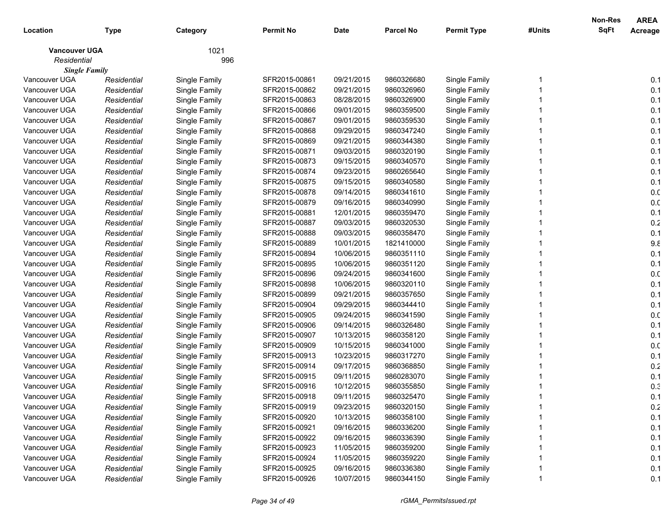|                      |             |               |                  |             |                  |                    |        | Non-Res     | <b>AREA</b>     |
|----------------------|-------------|---------------|------------------|-------------|------------------|--------------------|--------|-------------|-----------------|
| Location             | <b>Type</b> | Category      | <b>Permit No</b> | <b>Date</b> | <b>Parcel No</b> | <b>Permit Type</b> | #Units | <b>SqFt</b> | Acreage         |
| <b>Vancouver UGA</b> |             | 1021          |                  |             |                  |                    |        |             |                 |
| Residential          |             | 996           |                  |             |                  |                    |        |             |                 |
| <b>Single Family</b> |             |               |                  |             |                  |                    |        |             |                 |
| Vancouver UGA        | Residential | Single Family | SFR2015-00861    | 09/21/2015  | 9860326680       | Single Family      |        |             | 0.1             |
| Vancouver UGA        | Residential | Single Family | SFR2015-00862    | 09/21/2015  | 9860326960       | Single Family      |        |             | 0.1             |
| Vancouver UGA        | Residential | Single Family | SFR2015-00863    | 08/28/2015  | 9860326900       | Single Family      |        |             | 0.1             |
| Vancouver UGA        | Residential | Single Family | SFR2015-00866    | 09/01/2015  | 9860359500       | Single Family      |        |             | 0.1             |
| Vancouver UGA        | Residential | Single Family | SFR2015-00867    | 09/01/2015  | 9860359530       | Single Family      |        |             | 0.1             |
| Vancouver UGA        | Residential | Single Family | SFR2015-00868    | 09/29/2015  | 9860347240       | Single Family      |        |             | 0.1             |
| Vancouver UGA        | Residential | Single Family | SFR2015-00869    | 09/21/2015  | 9860344380       | Single Family      |        |             | 0.1             |
| Vancouver UGA        | Residential | Single Family | SFR2015-00871    | 09/03/2015  | 9860320190       | Single Family      |        |             | 0.1             |
| Vancouver UGA        | Residential | Single Family | SFR2015-00873    | 09/15/2015  | 9860340570       | Single Family      |        |             | 0.1             |
| Vancouver UGA        | Residential | Single Family | SFR2015-00874    | 09/23/2015  | 9860265640       | Single Family      |        |             | 0.1             |
| Vancouver UGA        | Residential | Single Family | SFR2015-00875    | 09/15/2015  | 9860340580       | Single Family      |        |             | 0.1             |
| Vancouver UGA        | Residential | Single Family | SFR2015-00878    | 09/14/2015  | 9860341610       | Single Family      |        |             | 0.0             |
| Vancouver UGA        | Residential | Single Family | SFR2015-00879    | 09/16/2015  | 9860340990       | Single Family      |        |             | 0. <sub>C</sub> |
| Vancouver UGA        | Residential | Single Family | SFR2015-00881    | 12/01/2015  | 9860359470       | Single Family      |        |             | 0.1             |
| Vancouver UGA        | Residential | Single Family | SFR2015-00887    | 09/03/2015  | 9860320530       | Single Family      |        |             | 0.2             |
| Vancouver UGA        | Residential | Single Family | SFR2015-00888    | 09/03/2015  | 9860358470       | Single Family      |        |             | 0.1             |
| Vancouver UGA        | Residential | Single Family | SFR2015-00889    | 10/01/2015  | 1821410000       | Single Family      |        |             | 9.8             |
| Vancouver UGA        | Residential | Single Family | SFR2015-00894    | 10/06/2015  | 9860351110       | Single Family      |        |             | 0.1             |
| Vancouver UGA        | Residential | Single Family | SFR2015-00895    | 10/06/2015  | 9860351120       | Single Family      |        |             | 0.1             |
| Vancouver UGA        | Residential | Single Family | SFR2015-00896    | 09/24/2015  | 9860341600       | Single Family      |        |             | 0.0             |
| Vancouver UGA        | Residential | Single Family | SFR2015-00898    | 10/06/2015  | 9860320110       | Single Family      |        |             | 0.1             |
| Vancouver UGA        | Residential | Single Family | SFR2015-00899    | 09/21/2015  | 9860357650       | Single Family      |        |             | 0.1             |
| Vancouver UGA        | Residential | Single Family | SFR2015-00904    | 09/29/2015  | 9860344410       | Single Family      |        |             | 0.1             |
| Vancouver UGA        | Residential | Single Family | SFR2015-00905    | 09/24/2015  | 9860341590       | Single Family      |        |             | 0.0             |
| Vancouver UGA        | Residential | Single Family | SFR2015-00906    | 09/14/2015  | 9860326480       | Single Family      |        |             | 0.1             |
| Vancouver UGA        | Residential | Single Family | SFR2015-00907    | 10/13/2015  | 9860358120       | Single Family      |        |             | 0.1             |
| Vancouver UGA        | Residential | Single Family | SFR2015-00909    | 10/15/2015  | 9860341000       | Single Family      |        |             | 0.0             |
| Vancouver UGA        | Residential | Single Family | SFR2015-00913    | 10/23/2015  | 9860317270       | Single Family      |        |             | 0.1             |
| Vancouver UGA        | Residential | Single Family | SFR2015-00914    | 09/17/2015  | 9860368850       | Single Family      |        |             | 0.2             |
| Vancouver UGA        | Residential | Single Family | SFR2015-00915    | 09/11/2015  | 9860283070       | Single Family      |        |             | 0.1             |
| Vancouver UGA        | Residential | Single Family | SFR2015-00916    | 10/12/2015  | 9860355850       | Single Family      |        |             | 0.3             |
| Vancouver UGA        | Residential | Single Family | SFR2015-00918    | 09/11/2015  | 9860325470       | Single Family      |        |             | 0.1             |
| Vancouver UGA        | Residential | Single Family | SFR2015-00919    | 09/23/2015  | 9860320150       | Single Family      |        |             | 0.2             |
| Vancouver UGA        | Residential | Single Family | SFR2015-00920    | 10/13/2015  | 9860358100       | Single Family      |        |             | 0.1             |
| Vancouver UGA        | Residential | Single Family | SFR2015-00921    | 09/16/2015  | 9860336200       | Single Family      |        |             | 0.1             |
| Vancouver UGA        | Residential | Single Family | SFR2015-00922    | 09/16/2015  | 9860336390       | Single Family      |        |             | 0.1             |
| Vancouver UGA        | Residential | Single Family | SFR2015-00923    | 11/05/2015  | 9860359200       | Single Family      |        |             | 0.1             |
| Vancouver UGA        | Residential | Single Family | SFR2015-00924    | 11/05/2015  | 9860359220       | Single Family      |        |             | 0.1             |
| Vancouver UGA        | Residential | Single Family | SFR2015-00925    | 09/16/2015  | 9860336380       | Single Family      |        |             | 0.1             |
| Vancouver UGA        | Residential | Single Family | SFR2015-00926    | 10/07/2015  | 9860344150       | Single Family      |        |             | 0.1             |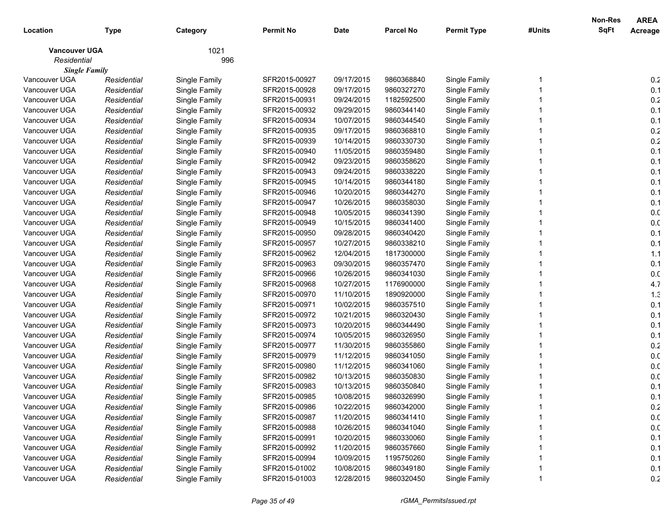|                      |             |               |                  |             |                  |                    |        | Non-Res     | <b>AREA</b>     |
|----------------------|-------------|---------------|------------------|-------------|------------------|--------------------|--------|-------------|-----------------|
| Location             | <b>Type</b> | Category      | <b>Permit No</b> | <b>Date</b> | <b>Parcel No</b> | <b>Permit Type</b> | #Units | <b>SqFt</b> | Acreage         |
| <b>Vancouver UGA</b> |             | 1021          |                  |             |                  |                    |        |             |                 |
| Residential          |             | 996           |                  |             |                  |                    |        |             |                 |
| <b>Single Family</b> |             |               |                  |             |                  |                    |        |             |                 |
| Vancouver UGA        | Residential | Single Family | SFR2015-00927    | 09/17/2015  | 9860368840       | Single Family      |        |             | 0.2             |
| Vancouver UGA        | Residential | Single Family | SFR2015-00928    | 09/17/2015  | 9860327270       | Single Family      |        |             | 0.1             |
| Vancouver UGA        | Residential | Single Family | SFR2015-00931    | 09/24/2015  | 1182592500       | Single Family      |        |             | 0.2             |
| Vancouver UGA        | Residential | Single Family | SFR2015-00932    | 09/29/2015  | 9860344140       | Single Family      |        |             | 0.1             |
| Vancouver UGA        | Residential | Single Family | SFR2015-00934    | 10/07/2015  | 9860344540       | Single Family      |        |             | 0.1             |
| Vancouver UGA        | Residential | Single Family | SFR2015-00935    | 09/17/2015  | 9860368810       | Single Family      |        |             | 0.2             |
| Vancouver UGA        | Residential | Single Family | SFR2015-00939    | 10/14/2015  | 9860330730       | Single Family      |        |             | 0.2             |
| Vancouver UGA        | Residential | Single Family | SFR2015-00940    | 11/05/2015  | 9860359480       | Single Family      |        |             | 0.1             |
| Vancouver UGA        | Residential | Single Family | SFR2015-00942    | 09/23/2015  | 9860358620       | Single Family      |        |             | 0.1             |
| Vancouver UGA        | Residential | Single Family | SFR2015-00943    | 09/24/2015  | 9860338220       | Single Family      |        |             | 0.1             |
| Vancouver UGA        | Residential | Single Family | SFR2015-00945    | 10/14/2015  | 9860344180       | Single Family      |        |             | 0.1             |
| Vancouver UGA        | Residential | Single Family | SFR2015-00946    | 10/20/2015  | 9860344270       | Single Family      |        |             | 0.1             |
| Vancouver UGA        | Residential | Single Family | SFR2015-00947    | 10/26/2015  | 9860358030       | Single Family      |        |             | 0.1             |
| Vancouver UGA        | Residential | Single Family | SFR2015-00948    | 10/05/2015  | 9860341390       | Single Family      |        |             | 0. <sub>C</sub> |
| Vancouver UGA        | Residential | Single Family | SFR2015-00949    | 10/15/2015  | 9860341400       | Single Family      |        |             | 0. <sub>C</sub> |
| Vancouver UGA        | Residential | Single Family | SFR2015-00950    | 09/28/2015  | 9860340420       | Single Family      |        |             | 0.1             |
| Vancouver UGA        | Residential | Single Family | SFR2015-00957    | 10/27/2015  | 9860338210       | Single Family      |        |             | 0.1             |
| Vancouver UGA        | Residential | Single Family | SFR2015-00962    | 12/04/2015  | 1817300000       | Single Family      |        |             | 1.1             |
| Vancouver UGA        | Residential | Single Family | SFR2015-00963    | 09/30/2015  | 9860357470       | Single Family      |        |             | 0.1             |
| Vancouver UGA        | Residential | Single Family | SFR2015-00966    | 10/26/2015  | 9860341030       | Single Family      |        |             | 0. <sub>C</sub> |
| Vancouver UGA        | Residential | Single Family | SFR2015-00968    | 10/27/2015  | 1176900000       | Single Family      |        |             | 4.7             |
| Vancouver UGA        | Residential | Single Family | SFR2015-00970    | 11/10/2015  | 1890920000       | Single Family      |        |             | 1.3             |
| Vancouver UGA        | Residential | Single Family | SFR2015-00971    | 10/02/2015  | 9860357510       | Single Family      |        |             | 0.1             |
| Vancouver UGA        | Residential | Single Family | SFR2015-00972    | 10/21/2015  | 9860320430       | Single Family      |        |             | 0.1             |
| Vancouver UGA        | Residential | Single Family | SFR2015-00973    | 10/20/2015  | 9860344490       | Single Family      |        |             | 0.1             |
| Vancouver UGA        | Residential | Single Family | SFR2015-00974    | 10/05/2015  | 9860326950       | Single Family      |        |             | 0.1             |
| Vancouver UGA        | Residential | Single Family | SFR2015-00977    | 11/30/2015  | 9860355860       | Single Family      |        |             | 0.2             |
| Vancouver UGA        | Residential | Single Family | SFR2015-00979    | 11/12/2015  | 9860341050       | Single Family      |        |             | 0. <sub>C</sub> |
| Vancouver UGA        | Residential | Single Family | SFR2015-00980    | 11/12/2015  | 9860341060       | Single Family      |        |             | 0. <sub>C</sub> |
| Vancouver UGA        | Residential | Single Family | SFR2015-00982    | 10/13/2015  | 9860350830       | Single Family      |        |             | 0. <sub>C</sub> |
| Vancouver UGA        | Residential | Single Family | SFR2015-00983    | 10/13/2015  | 9860350840       | Single Family      |        |             | 0.1             |
| Vancouver UGA        | Residential | Single Family | SFR2015-00985    | 10/08/2015  | 9860326990       | Single Family      |        |             | 0.1             |
| Vancouver UGA        | Residential | Single Family | SFR2015-00986    | 10/22/2015  | 9860342000       | Single Family      |        |             | 0.2             |
| Vancouver UGA        | Residential | Single Family | SFR2015-00987    | 11/20/2015  | 9860341410       | Single Family      |        |             | 0.0             |
| Vancouver UGA        | Residential | Single Family | SFR2015-00988    | 10/26/2015  | 9860341040       | Single Family      |        |             | 0.0             |
| Vancouver UGA        | Residential | Single Family | SFR2015-00991    | 10/20/2015  | 9860330060       | Single Family      |        |             | 0.1             |
| Vancouver UGA        | Residential | Single Family | SFR2015-00992    | 11/20/2015  | 9860357660       | Single Family      |        |             | 0.1             |
| Vancouver UGA        | Residential | Single Family | SFR2015-00994    | 10/09/2015  | 1195750260       | Single Family      |        |             | 0.1             |
| Vancouver UGA        | Residential | Single Family | SFR2015-01002    | 10/08/2015  | 9860349180       | Single Family      |        |             | 0.1             |
| Vancouver UGA        | Residential | Single Family | SFR2015-01003    | 12/28/2015  | 9860320450       | Single Family      |        |             | 0.2             |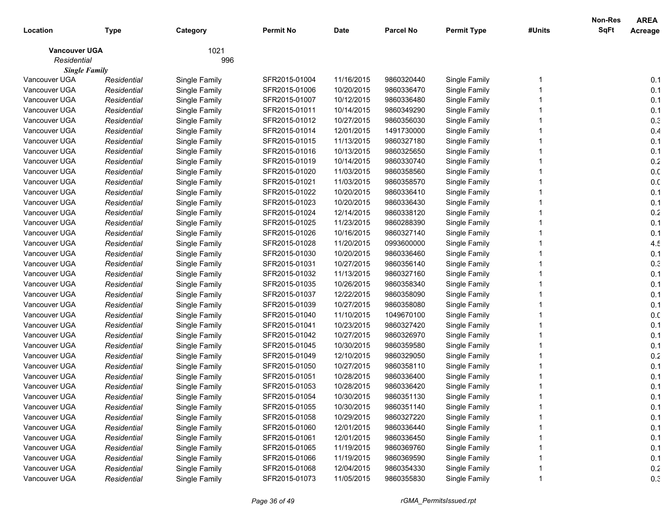| Location             | <b>Type</b> | Category      | <b>Permit No</b> | <b>Date</b> | <b>Parcel No</b> | <b>Permit Type</b> | #Units | Non-Res<br><b>SqFt</b> | <b>AREA</b><br>Acreage |
|----------------------|-------------|---------------|------------------|-------------|------------------|--------------------|--------|------------------------|------------------------|
| <b>Vancouver UGA</b> |             | 1021          |                  |             |                  |                    |        |                        |                        |
| Residential          |             | 996           |                  |             |                  |                    |        |                        |                        |
| <b>Single Family</b> |             |               |                  |             |                  |                    |        |                        |                        |
| Vancouver UGA        | Residential | Single Family | SFR2015-01004    | 11/16/2015  | 9860320440       | Single Family      |        |                        | 0.1                    |
| Vancouver UGA        | Residential | Single Family | SFR2015-01006    | 10/20/2015  | 9860336470       | Single Family      |        |                        | 0.1                    |
| Vancouver UGA        | Residential | Single Family | SFR2015-01007    | 10/12/2015  | 9860336480       | Single Family      |        |                        | 0.1                    |
| Vancouver UGA        | Residential | Single Family | SFR2015-01011    | 10/14/2015  | 9860349290       | Single Family      |        |                        | 0.1                    |
| Vancouver UGA        | Residential | Single Family | SFR2015-01012    | 10/27/2015  | 9860356030       | Single Family      |        |                        | 0.3                    |
| Vancouver UGA        | Residential | Single Family | SFR2015-01014    | 12/01/2015  | 1491730000       | Single Family      |        |                        | 0.4                    |
| Vancouver UGA        | Residential | Single Family | SFR2015-01015    | 11/13/2015  | 9860327180       | Single Family      |        |                        | 0.1                    |
| Vancouver UGA        | Residential | Single Family | SFR2015-01016    | 10/13/2015  | 9860325650       | Single Family      |        |                        | 0.1                    |
| Vancouver UGA        | Residential | Single Family | SFR2015-01019    | 10/14/2015  | 9860330740       | Single Family      |        |                        | 0.2                    |
| Vancouver UGA        | Residential | Single Family | SFR2015-01020    | 11/03/2015  | 9860358560       | Single Family      |        |                        | 0. <sub>C</sub>        |
| Vancouver UGA        | Residential | Single Family | SFR2015-01021    | 11/03/2015  | 9860358570       | Single Family      |        |                        | 0.0                    |
| Vancouver UGA        | Residential | Single Family | SFR2015-01022    | 10/20/2015  | 9860336410       | Single Family      |        |                        | 0.1                    |
| Vancouver UGA        | Residential | Single Family | SFR2015-01023    | 10/20/2015  | 9860336430       | Single Family      |        |                        | 0.1                    |
| Vancouver UGA        | Residential | Single Family | SFR2015-01024    | 12/14/2015  | 9860338120       | Single Family      |        |                        | 0.2                    |
| Vancouver UGA        | Residential | Single Family | SFR2015-01025    | 11/23/2015  | 9860288390       | Single Family      |        |                        | 0.1                    |
| Vancouver UGA        | Residential | Single Family | SFR2015-01026    | 10/16/2015  | 9860327140       | Single Family      |        |                        | 0.1                    |
| Vancouver UGA        | Residential | Single Family | SFR2015-01028    | 11/20/2015  | 0993600000       | Single Family      |        |                        | 4.5                    |
| Vancouver UGA        | Residential | Single Family | SFR2015-01030    | 10/20/2015  | 9860336460       | Single Family      |        |                        | 0.1                    |
| Vancouver UGA        | Residential | Single Family | SFR2015-01031    | 10/27/2015  | 9860356140       | Single Family      |        |                        | 0.3                    |
| Vancouver UGA        | Residential | Single Family | SFR2015-01032    | 11/13/2015  | 9860327160       | Single Family      |        |                        | 0.1                    |
| Vancouver UGA        | Residential | Single Family | SFR2015-01035    | 10/26/2015  | 9860358340       | Single Family      |        |                        | 0.1                    |
| Vancouver UGA        | Residential | Single Family | SFR2015-01037    | 12/22/2015  | 9860358090       | Single Family      |        |                        | 0.1                    |
| Vancouver UGA        | Residential | Single Family | SFR2015-01039    | 10/27/2015  | 9860358080       | Single Family      |        |                        | 0.1                    |
| Vancouver UGA        | Residential | Single Family | SFR2015-01040    | 11/10/2015  | 1049670100       | Single Family      |        |                        | 0.0                    |
| Vancouver UGA        | Residential | Single Family | SFR2015-01041    | 10/23/2015  | 9860327420       | Single Family      |        |                        | 0.1                    |
| Vancouver UGA        | Residential | Single Family | SFR2015-01042    | 10/27/2015  | 9860326970       | Single Family      |        |                        | 0.1                    |
| Vancouver UGA        | Residential | Single Family | SFR2015-01045    | 10/30/2015  | 9860359580       | Single Family      |        |                        | 0.1                    |
| Vancouver UGA        | Residential | Single Family | SFR2015-01049    | 12/10/2015  | 9860329050       | Single Family      |        |                        | 0.2                    |
| Vancouver UGA        | Residential | Single Family | SFR2015-01050    | 10/27/2015  | 9860358110       | Single Family      |        |                        | 0.1                    |
| Vancouver UGA        | Residential | Single Family | SFR2015-01051    | 10/28/2015  | 9860336400       | Single Family      |        |                        | 0.1                    |
| Vancouver UGA        | Residential | Single Family | SFR2015-01053    | 10/28/2015  | 9860336420       | Single Family      |        |                        | 0.1                    |
| Vancouver UGA        | Residential | Single Family | SFR2015-01054    | 10/30/2015  | 9860351130       | Single Family      |        |                        | 0.1                    |
| Vancouver UGA        | Residential | Single Family | SFR2015-01055    | 10/30/2015  | 9860351140       | Single Family      |        |                        | 0.1                    |
| Vancouver UGA        | Residential | Single Family | SFR2015-01058    | 10/29/2015  | 9860327220       | Single Family      |        |                        | 0.1                    |
| Vancouver UGA        | Residential | Single Family | SFR2015-01060    | 12/01/2015  | 9860336440       | Single Family      |        |                        | 0.1                    |
| Vancouver UGA        | Residential | Single Family | SFR2015-01061    | 12/01/2015  | 9860336450       | Single Family      |        |                        | 0.1                    |
| Vancouver UGA        | Residential | Single Family | SFR2015-01065    | 11/19/2015  | 9860369760       | Single Family      |        |                        | 0.1                    |
| Vancouver UGA        | Residential | Single Family | SFR2015-01066    | 11/19/2015  | 9860369590       | Single Family      |        |                        | 0.1                    |
| Vancouver UGA        | Residential | Single Family | SFR2015-01068    | 12/04/2015  | 9860354330       | Single Family      |        |                        | 0.2                    |
| Vancouver UGA        | Residential | Single Family | SFR2015-01073    | 11/05/2015  | 9860355830       | Single Family      |        |                        | 0.3                    |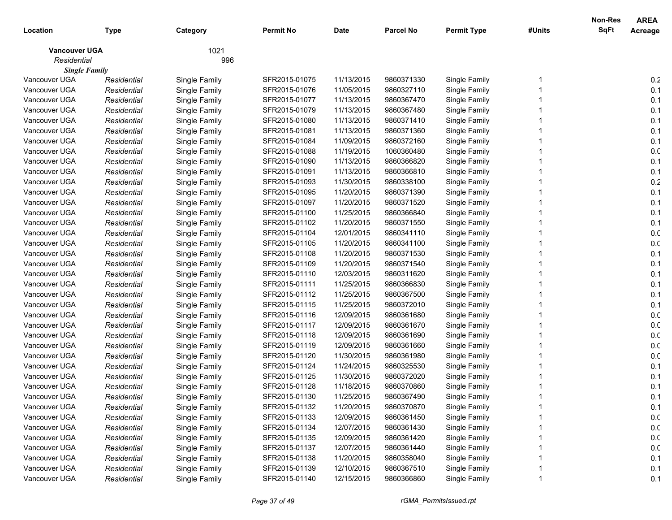| Location                            | <b>Type</b> | Category      | <b>Permit No</b> | <b>Date</b> | <b>Parcel No</b> | <b>Permit Type</b> | #Units | Non-Res<br><b>SqFt</b> | <b>AREA</b><br>Acreage |
|-------------------------------------|-------------|---------------|------------------|-------------|------------------|--------------------|--------|------------------------|------------------------|
|                                     |             |               |                  |             |                  |                    |        |                        |                        |
| <b>Vancouver UGA</b><br>Residential |             | 1021<br>996   |                  |             |                  |                    |        |                        |                        |
| <b>Single Family</b>                |             |               |                  |             |                  |                    |        |                        |                        |
| Vancouver UGA                       | Residential | Single Family | SFR2015-01075    | 11/13/2015  | 9860371330       | Single Family      |        |                        | 0.2                    |
| Vancouver UGA                       | Residential | Single Family | SFR2015-01076    | 11/05/2015  | 9860327110       | Single Family      |        |                        | 0.1                    |
| Vancouver UGA                       | Residential | Single Family | SFR2015-01077    | 11/13/2015  | 9860367470       | Single Family      |        |                        | 0.1                    |
| Vancouver UGA                       | Residential | Single Family | SFR2015-01079    | 11/13/2015  | 9860367480       | Single Family      |        |                        | 0.1                    |
| Vancouver UGA                       | Residential | Single Family | SFR2015-01080    | 11/13/2015  | 9860371410       | Single Family      |        |                        | 0.1                    |
| Vancouver UGA                       | Residential | Single Family | SFR2015-01081    | 11/13/2015  | 9860371360       | Single Family      |        |                        | 0.1                    |
| Vancouver UGA                       | Residential | Single Family | SFR2015-01084    | 11/09/2015  | 9860372160       | Single Family      |        |                        | 0.1                    |
| Vancouver UGA                       | Residential | Single Family | SFR2015-01088    | 11/19/2015  | 1060360480       | Single Family      |        |                        | 0.0                    |
| Vancouver UGA                       | Residential | Single Family | SFR2015-01090    | 11/13/2015  | 9860366820       | Single Family      |        |                        | 0.1                    |
| Vancouver UGA                       | Residential | Single Family | SFR2015-01091    | 11/13/2015  | 9860366810       | Single Family      |        |                        | 0.1                    |
| Vancouver UGA                       | Residential | Single Family | SFR2015-01093    | 11/30/2015  | 9860338100       | Single Family      |        |                        | $0.2\,$                |
| Vancouver UGA                       | Residential | Single Family | SFR2015-01095    | 11/20/2015  | 9860371390       | Single Family      |        |                        | 0.1                    |
| Vancouver UGA                       | Residential | Single Family | SFR2015-01097    | 11/20/2015  | 9860371520       | Single Family      |        |                        | 0.1                    |
| Vancouver UGA                       | Residential | Single Family | SFR2015-01100    | 11/25/2015  | 9860366840       | Single Family      |        |                        | 0.1                    |
| Vancouver UGA                       | Residential | Single Family | SFR2015-01102    | 11/20/2015  | 9860371550       | Single Family      |        |                        | 0.1                    |
| Vancouver UGA                       | Residential | Single Family | SFR2015-01104    | 12/01/2015  | 9860341110       | Single Family      |        |                        | 0.0                    |
| Vancouver UGA                       | Residential | Single Family | SFR2015-01105    | 11/20/2015  | 9860341100       | Single Family      |        |                        | 0. <sub>C</sub>        |
| Vancouver UGA                       | Residential | Single Family | SFR2015-01108    | 11/20/2015  | 9860371530       | Single Family      |        |                        | 0.1                    |
| Vancouver UGA                       | Residential | Single Family | SFR2015-01109    | 11/20/2015  | 9860371540       | Single Family      |        |                        | 0.1                    |
| Vancouver UGA                       | Residential | Single Family | SFR2015-01110    | 12/03/2015  | 9860311620       | Single Family      |        |                        | 0.1                    |
| Vancouver UGA                       | Residential | Single Family | SFR2015-01111    | 11/25/2015  | 9860366830       | Single Family      |        |                        | 0.1                    |
| Vancouver UGA                       | Residential | Single Family | SFR2015-01112    | 11/25/2015  | 9860367500       | Single Family      |        |                        | 0.1                    |
| Vancouver UGA                       | Residential | Single Family | SFR2015-01115    | 11/25/2015  | 9860372010       | Single Family      |        |                        | 0.1                    |
| Vancouver UGA                       | Residential | Single Family | SFR2015-01116    | 12/09/2015  | 9860361680       | Single Family      |        |                        | 0.0                    |
| Vancouver UGA                       | Residential | Single Family | SFR2015-01117    | 12/09/2015  | 9860361670       | Single Family      |        |                        | 0. <sub>C</sub>        |
| Vancouver UGA                       | Residential | Single Family | SFR2015-01118    | 12/09/2015  | 9860361690       | Single Family      |        |                        | 0.0                    |
| Vancouver UGA                       | Residential | Single Family | SFR2015-01119    | 12/09/2015  | 9860361660       | Single Family      |        |                        | 0.0                    |
| Vancouver UGA                       | Residential | Single Family | SFR2015-01120    | 11/30/2015  | 9860361980       | Single Family      |        |                        | 0.0                    |
| Vancouver UGA                       | Residential | Single Family | SFR2015-01124    | 11/24/2015  | 9860325530       | Single Family      |        |                        | 0.1                    |
| Vancouver UGA                       | Residential | Single Family | SFR2015-01125    | 11/30/2015  | 9860372020       | Single Family      |        |                        | 0.1                    |
| Vancouver UGA                       | Residential | Single Family | SFR2015-01128    | 11/18/2015  | 9860370860       | Single Family      |        |                        | 0.1                    |
| Vancouver UGA                       | Residential | Single Family | SFR2015-01130    | 11/25/2015  | 9860367490       | Single Family      |        |                        | 0.1                    |
| Vancouver UGA                       | Residential | Single Family | SFR2015-01132    | 11/20/2015  | 9860370870       | Single Family      |        |                        | 0.1                    |
| Vancouver UGA                       | Residential | Single Family | SFR2015-01133    | 12/09/2015  | 9860361450       | Single Family      |        |                        | 0.0                    |
| Vancouver UGA                       | Residential | Single Family | SFR2015-01134    | 12/07/2015  | 9860361430       | Single Family      |        |                        | 0.0                    |
| Vancouver UGA                       | Residential | Single Family | SFR2015-01135    | 12/09/2015  | 9860361420       | Single Family      |        |                        | 0.0                    |
| Vancouver UGA                       | Residential | Single Family | SFR2015-01137    | 12/07/2015  | 9860361440       | Single Family      |        |                        | 0.0                    |
| Vancouver UGA                       | Residential | Single Family | SFR2015-01138    | 11/20/2015  | 9860358040       | Single Family      |        |                        | 0.1                    |
| Vancouver UGA                       | Residential | Single Family | SFR2015-01139    | 12/10/2015  | 9860367510       | Single Family      |        |                        | 0.1                    |
| Vancouver UGA                       | Residential | Single Family | SFR2015-01140    | 12/15/2015  | 9860366860       | Single Family      |        |                        | 0.1                    |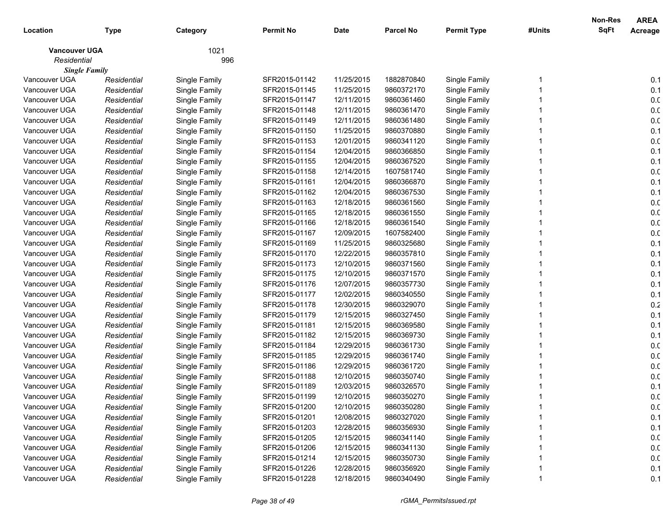| Location                            | <b>Type</b> | Category      | <b>Permit No</b> | <b>Date</b> | <b>Parcel No</b> | <b>Permit Type</b> | #Units | Non-Res<br><b>SqFt</b> | <b>AREA</b><br>Acreage |
|-------------------------------------|-------------|---------------|------------------|-------------|------------------|--------------------|--------|------------------------|------------------------|
|                                     |             |               |                  |             |                  |                    |        |                        |                        |
| <b>Vancouver UGA</b><br>Residential |             | 1021<br>996   |                  |             |                  |                    |        |                        |                        |
| <b>Single Family</b>                |             |               |                  |             |                  |                    |        |                        |                        |
| Vancouver UGA                       | Residential | Single Family | SFR2015-01142    | 11/25/2015  | 1882870840       | Single Family      |        |                        | 0.1                    |
| Vancouver UGA                       | Residential | Single Family | SFR2015-01145    | 11/25/2015  | 9860372170       | Single Family      |        |                        | 0.1                    |
| Vancouver UGA                       | Residential | Single Family | SFR2015-01147    | 12/11/2015  | 9860361460       | Single Family      |        |                        | 0. <sub>C</sub>        |
| Vancouver UGA                       | Residential | Single Family | SFR2015-01148    | 12/11/2015  | 9860361470       | Single Family      |        |                        | 0. <sub>C</sub>        |
| Vancouver UGA                       | Residential | Single Family | SFR2015-01149    | 12/11/2015  | 9860361480       | Single Family      |        |                        | 0.0                    |
| Vancouver UGA                       | Residential | Single Family | SFR2015-01150    | 11/25/2015  | 9860370880       | Single Family      |        |                        | 0.1                    |
| Vancouver UGA                       | Residential | Single Family | SFR2015-01153    | 12/01/2015  | 9860341120       | Single Family      |        |                        | 0.0                    |
| Vancouver UGA                       | Residential | Single Family | SFR2015-01154    | 12/04/2015  | 9860366850       | Single Family      |        |                        | 0.1                    |
| Vancouver UGA                       | Residential | Single Family | SFR2015-01155    | 12/04/2015  | 9860367520       | Single Family      |        |                        | 0.1                    |
| Vancouver UGA                       | Residential | Single Family | SFR2015-01158    | 12/14/2015  | 1607581740       | Single Family      |        |                        | 0.0                    |
| Vancouver UGA                       | Residential | Single Family | SFR2015-01161    | 12/04/2015  | 9860366870       | Single Family      |        |                        | 0.1                    |
| Vancouver UGA                       | Residential | Single Family | SFR2015-01162    | 12/04/2015  | 9860367530       | Single Family      |        |                        | 0.1                    |
| Vancouver UGA                       | Residential | Single Family | SFR2015-01163    | 12/18/2015  | 9860361560       | Single Family      |        |                        | 0.0                    |
| Vancouver UGA                       | Residential | Single Family | SFR2015-01165    | 12/18/2015  | 9860361550       | Single Family      |        |                        | 0.0                    |
| Vancouver UGA                       | Residential | Single Family | SFR2015-01166    | 12/18/2015  | 9860361540       | Single Family      |        |                        | 0.0                    |
| Vancouver UGA                       | Residential | Single Family | SFR2015-01167    | 12/09/2015  | 1607582400       | Single Family      |        |                        | 0.0                    |
| Vancouver UGA                       | Residential | Single Family | SFR2015-01169    | 11/25/2015  | 9860325680       | Single Family      |        |                        | 0.1                    |
| Vancouver UGA                       | Residential | Single Family | SFR2015-01170    | 12/22/2015  | 9860357810       | Single Family      |        |                        | 0.1                    |
| Vancouver UGA                       | Residential | Single Family | SFR2015-01173    | 12/10/2015  | 9860371560       | Single Family      |        |                        | 0.1                    |
| Vancouver UGA                       | Residential | Single Family | SFR2015-01175    | 12/10/2015  | 9860371570       | Single Family      |        |                        | 0.1                    |
| Vancouver UGA                       | Residential | Single Family | SFR2015-01176    | 12/07/2015  | 9860357730       | Single Family      |        |                        | 0.1                    |
| Vancouver UGA                       | Residential | Single Family | SFR2015-01177    | 12/02/2015  | 9860340550       | Single Family      |        |                        | 0.1                    |
| Vancouver UGA                       | Residential | Single Family | SFR2015-01178    | 12/30/2015  | 9860329070       | Single Family      |        |                        | 0.2                    |
| Vancouver UGA                       | Residential | Single Family | SFR2015-01179    | 12/15/2015  | 9860327450       | Single Family      |        |                        | 0.1                    |
| Vancouver UGA                       | Residential | Single Family | SFR2015-01181    | 12/15/2015  | 9860369580       | Single Family      |        |                        | 0.1                    |
| Vancouver UGA                       | Residential | Single Family | SFR2015-01182    | 12/15/2015  | 9860369730       | Single Family      |        |                        | 0.1                    |
| Vancouver UGA                       | Residential | Single Family | SFR2015-01184    | 12/29/2015  | 9860361730       | Single Family      |        |                        | 0.0                    |
| Vancouver UGA                       | Residential | Single Family | SFR2015-01185    | 12/29/2015  | 9860361740       | Single Family      |        |                        | 0.0                    |
| Vancouver UGA                       | Residential | Single Family | SFR2015-01186    | 12/29/2015  | 9860361720       | Single Family      |        |                        | 0. <sub>C</sub>        |
| Vancouver UGA                       | Residential | Single Family | SFR2015-01188    | 12/10/2015  | 9860350740       | Single Family      |        |                        | 0. <sub>C</sub>        |
| Vancouver UGA                       | Residential | Single Family | SFR2015-01189    | 12/03/2015  | 9860326570       | Single Family      |        |                        | 0.1                    |
| Vancouver UGA                       | Residential | Single Family | SFR2015-01199    | 12/10/2015  | 9860350270       | Single Family      |        |                        | 0.0                    |
| Vancouver UGA                       | Residential | Single Family | SFR2015-01200    | 12/10/2015  | 9860350280       | Single Family      |        |                        | 0.0                    |
| Vancouver UGA                       | Residential | Single Family | SFR2015-01201    | 12/08/2015  | 9860327020       | Single Family      |        |                        | 0.1                    |
| Vancouver UGA                       | Residential | Single Family | SFR2015-01203    | 12/28/2015  | 9860356930       | Single Family      |        |                        | 0.1                    |
| Vancouver UGA                       | Residential | Single Family | SFR2015-01205    | 12/15/2015  | 9860341140       | Single Family      |        |                        | 0.0                    |
| Vancouver UGA                       | Residential | Single Family | SFR2015-01206    | 12/15/2015  | 9860341130       | Single Family      |        |                        | 0.0                    |
| Vancouver UGA                       | Residential | Single Family | SFR2015-01214    | 12/15/2015  | 9860350730       | Single Family      |        |                        | 0.0                    |
| Vancouver UGA                       | Residential | Single Family | SFR2015-01226    | 12/28/2015  | 9860356920       | Single Family      |        |                        | 0.1                    |
| Vancouver UGA                       | Residential | Single Family | SFR2015-01228    | 12/18/2015  | 9860340490       | Single Family      |        |                        | 0.1                    |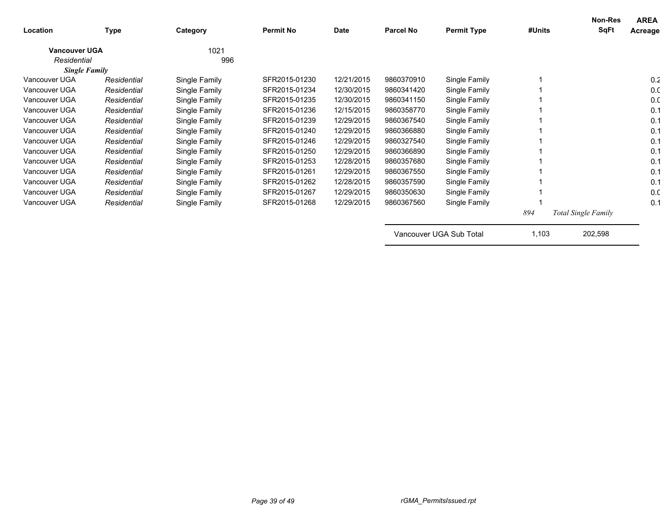| Location             | <b>Type</b> | Category      | <b>Permit No</b> | Date       | <b>Parcel No</b> | <b>Permit Type</b> | #Units | Non-Res<br>SqFt            | <b>AREA</b><br>Acreage |
|----------------------|-------------|---------------|------------------|------------|------------------|--------------------|--------|----------------------------|------------------------|
| <b>Vancouver UGA</b> |             | 1021          |                  |            |                  |                    |        |                            |                        |
| Residential          |             | 996           |                  |            |                  |                    |        |                            |                        |
| <b>Single Family</b> |             |               |                  |            |                  |                    |        |                            |                        |
| Vancouver UGA        | Residential | Single Family | SFR2015-01230    | 12/21/2015 | 9860370910       | Single Family      |        |                            | 0.2                    |
| Vancouver UGA        | Residential | Single Family | SFR2015-01234    | 12/30/2015 | 9860341420       | Single Family      |        |                            | 0.0                    |
| Vancouver UGA        | Residential | Single Family | SFR2015-01235    | 12/30/2015 | 9860341150       | Single Family      |        |                            | 0. <sub>C</sub>        |
| Vancouver UGA        | Residential | Single Family | SFR2015-01236    | 12/15/2015 | 9860358770       | Single Family      |        |                            | 0.1                    |
| Vancouver UGA        | Residential | Single Family | SFR2015-01239    | 12/29/2015 | 9860367540       | Single Family      |        |                            | 0.1                    |
| Vancouver UGA        | Residential | Single Family | SFR2015-01240    | 12/29/2015 | 9860366880       | Single Family      |        |                            | 0.1                    |
| Vancouver UGA        | Residential | Single Family | SFR2015-01246    | 12/29/2015 | 9860327540       | Single Family      |        |                            | 0.1                    |
| Vancouver UGA        | Residential | Single Family | SFR2015-01250    | 12/29/2015 | 9860366890       | Single Family      |        |                            | 0.1                    |
| Vancouver UGA        | Residential | Single Family | SFR2015-01253    | 12/28/2015 | 9860357680       | Single Family      |        |                            | 0.1                    |
| Vancouver UGA        | Residential | Single Family | SFR2015-01261    | 12/29/2015 | 9860367550       | Single Family      |        |                            | 0.1                    |
| Vancouver UGA        | Residential | Single Family | SFR2015-01262    | 12/28/2015 | 9860357590       | Single Family      |        |                            | 0.1                    |
| Vancouver UGA        | Residential | Single Family | SFR2015-01267    | 12/29/2015 | 9860350630       | Single Family      |        |                            | 0.0                    |
| Vancouver UGA        | Residential | Single Family | SFR2015-01268    | 12/29/2015 | 9860367560       | Single Family      |        |                            | 0.1                    |
|                      |             |               |                  |            |                  |                    | 894    | <b>Total Single Family</b> |                        |

Vancouver UGA Sub Total 1,103 202,598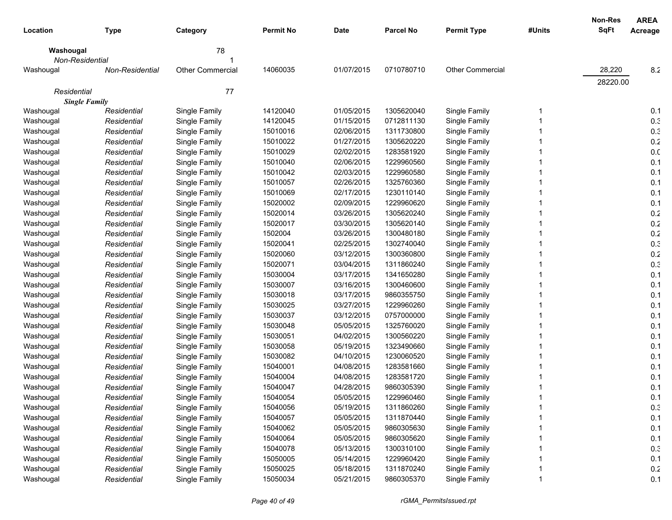|                      |                 |                  |                  |             |                  |                    |        | Non-Res     | <b>AREA</b>     |
|----------------------|-----------------|------------------|------------------|-------------|------------------|--------------------|--------|-------------|-----------------|
| Location             | <b>Type</b>     | Category         | <b>Permit No</b> | <b>Date</b> | <b>Parcel No</b> | <b>Permit Type</b> | #Units | <b>SqFt</b> | Acreage         |
| Washougal            |                 | 78               |                  |             |                  |                    |        |             |                 |
| Non-Residential      |                 |                  |                  |             |                  |                    |        |             |                 |
| Washougal            | Non-Residential | Other Commercial | 14060035         | 01/07/2015  | 0710780710       | Other Commercial   |        | 28,220      | 8.2             |
|                      |                 |                  |                  |             |                  |                    |        | 28220.00    |                 |
| Residential          |                 | 77               |                  |             |                  |                    |        |             |                 |
| <b>Single Family</b> |                 |                  |                  |             |                  |                    |        |             |                 |
| Washougal            | Residential     | Single Family    | 14120040         | 01/05/2015  | 1305620040       | Single Family      |        |             | 0.1             |
| Washougal            | Residential     | Single Family    | 14120045         | 01/15/2015  | 0712811130       | Single Family      |        |             | 0.3             |
| Washougal            | Residential     | Single Family    | 15010016         | 02/06/2015  | 1311730800       | Single Family      |        |             | 0.3             |
| Washougal            | Residential     | Single Family    | 15010022         | 01/27/2015  | 1305620220       | Single Family      |        |             | 0.2             |
| Washougal            | Residential     | Single Family    | 15010029         | 02/02/2015  | 1283581920       | Single Family      |        |             | 0. <sub>C</sub> |
| Washougal            | Residential     | Single Family    | 15010040         | 02/06/2015  | 1229960560       | Single Family      |        |             | 0.1             |
| Washougal            | Residential     | Single Family    | 15010042         | 02/03/2015  | 1229960580       | Single Family      |        |             | 0.1             |
| Washougal            | Residential     | Single Family    | 15010057         | 02/26/2015  | 1325760360       | Single Family      |        |             | 0.1             |
| Washougal            | Residential     | Single Family    | 15010069         | 02/17/2015  | 1230110140       | Single Family      |        |             | 0.1             |
| Washougal            | Residential     | Single Family    | 15020002         | 02/09/2015  | 1229960620       | Single Family      |        |             | 0.1             |
| Washougal            | Residential     | Single Family    | 15020014         | 03/26/2015  | 1305620240       | Single Family      |        |             | 0.2             |
| Washougal            | Residential     | Single Family    | 15020017         | 03/30/2015  | 1305620140       | Single Family      |        |             | 0.2             |
| Washougal            | Residential     | Single Family    | 1502004          | 03/26/2015  | 1300480180       | Single Family      |        |             | 0.2             |
| Washougal            | Residential     | Single Family    | 15020041         | 02/25/2015  | 1302740040       | Single Family      |        |             | 0.3             |
| Washougal            | Residential     | Single Family    | 15020060         | 03/12/2015  | 1300360800       | Single Family      |        |             | 0.2             |
| Washougal            | Residential     | Single Family    | 15020071         | 03/04/2015  | 1311860240       | Single Family      |        |             | 0.3             |
| Washougal            | Residential     | Single Family    | 15030004         | 03/17/2015  | 1341650280       | Single Family      |        |             | 0.1             |
| Washougal            | Residential     | Single Family    | 15030007         | 03/16/2015  | 1300460600       | Single Family      |        |             | 0.1             |
| Washougal            | Residential     | Single Family    | 15030018         | 03/17/2015  | 9860355750       | Single Family      |        |             | 0.1             |
| Washougal            | Residential     | Single Family    | 15030025         | 03/27/2015  | 1229960260       | Single Family      |        |             | 0.1             |
| Washougal            | Residential     | Single Family    | 15030037         | 03/12/2015  | 0757000000       | Single Family      |        |             | 0.1             |
| Washougal            | Residential     | Single Family    | 15030048         | 05/05/2015  | 1325760020       | Single Family      |        |             | 0.1             |
| Washougal            | Residential     | Single Family    | 15030051         | 04/02/2015  | 1300560220       | Single Family      |        |             | 0.1             |
| Washougal            | Residential     | Single Family    | 15030058         | 05/19/2015  | 1323490660       | Single Family      |        |             | 0.1             |
| Washougal            | Residential     | Single Family    | 15030082         | 04/10/2015  | 1230060520       | Single Family      |        |             | 0.1             |
| Washougal            | Residential     | Single Family    | 15040001         | 04/08/2015  | 1283581660       | Single Family      |        |             | 0.1             |
| Washougal            | Residential     | Single Family    | 15040004         | 04/08/2015  | 1283581720       | Single Family      |        |             | 0.1             |
| Washougal            | Residential     | Single Family    | 15040047         | 04/28/2015  | 9860305390       | Single Family      |        |             | 0.1             |
| Washougal            | Residential     | Single Family    | 15040054         | 05/05/2015  | 1229960460       | Single Family      |        |             | 0.1             |
| Washougal            | Residential     | Single Family    | 15040056         | 05/19/2015  | 1311860260       | Single Family      |        |             | 0.3             |
| Washougal            | Residential     | Single Family    | 15040057         | 05/05/2015  | 1311870440       | Single Family      |        |             | 0.1             |
| Washougal            | Residential     | Single Family    | 15040062         | 05/05/2015  | 9860305630       | Single Family      |        |             | 0.1             |
| Washougal            | Residential     | Single Family    | 15040064         | 05/05/2015  | 9860305620       | Single Family      |        |             | 0.1             |
| Washougal            | Residential     | Single Family    | 15040078         | 05/13/2015  | 1300310100       | Single Family      |        |             | 0.3             |
| Washougal            | Residential     | Single Family    | 15050005         | 05/14/2015  | 1229960420       | Single Family      |        |             | 0.1             |
| Washougal            | Residential     | Single Family    | 15050025         | 05/18/2015  | 1311870240       | Single Family      |        |             | 0.2             |
| Washougal            | Residential     | Single Family    | 15050034         | 05/21/2015  | 9860305370       | Single Family      |        |             | 0.1             |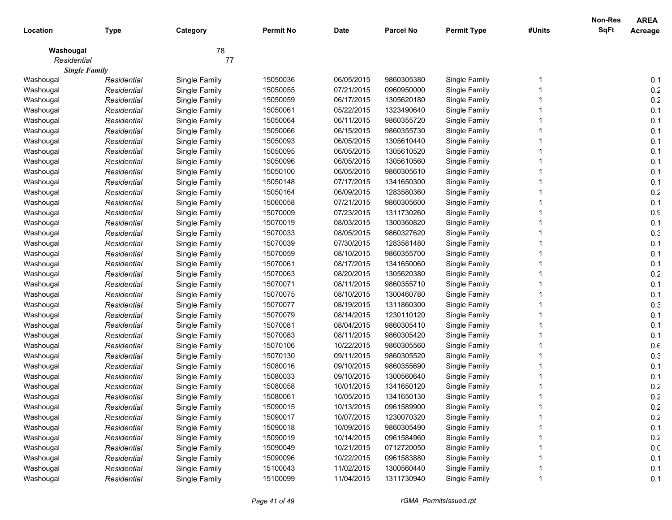|             |                      |               |                  |             |                  |                    |        | <b>Non-Res</b> | <b>AREA</b> |
|-------------|----------------------|---------------|------------------|-------------|------------------|--------------------|--------|----------------|-------------|
| Location    | <b>Type</b>          | Category      | <b>Permit No</b> | <b>Date</b> | <b>Parcel No</b> | <b>Permit Type</b> | #Units | <b>SqFt</b>    | Acreage     |
| Washougal   |                      | 78            |                  |             |                  |                    |        |                |             |
| Residential |                      | 77            |                  |             |                  |                    |        |                |             |
|             | <b>Single Family</b> |               |                  |             |                  |                    |        |                |             |
| Washougal   | Residential          | Single Family | 15050036         | 06/05/2015  | 9860305380       | Single Family      |        |                | 0.1         |
| Washougal   | Residential          | Single Family | 15050055         | 07/21/2015  | 0960950000       | Single Family      |        |                | $0.2\,$     |
| Washougal   | Residential          | Single Family | 15050059         | 06/17/2015  | 1305620180       | Single Family      |        |                | $0.2\,$     |
| Washougal   | Residential          | Single Family | 15050061         | 05/22/2015  | 1323490640       | Single Family      |        |                | 0.1         |
| Washougal   | Residential          | Single Family | 15050064         | 06/11/2015  | 9860355720       | Single Family      |        |                | 0.1         |
| Washougal   | Residential          | Single Family | 15050066         | 06/15/2015  | 9860355730       | Single Family      |        |                | 0.1         |
| Washougal   | Residential          | Single Family | 15050093         | 06/05/2015  | 1305610440       | Single Family      |        |                | 0.1         |
| Washougal   | Residential          | Single Family | 15050095         | 06/05/2015  | 1305610520       | Single Family      |        |                | 0.1         |
| Washougal   | Residential          | Single Family | 15050096         | 06/05/2015  | 1305610560       | Single Family      |        |                | 0.1         |
| Washougal   | Residential          | Single Family | 15050100         | 06/05/2015  | 9860305610       | Single Family      |        |                | 0.1         |
| Washougal   | Residential          | Single Family | 15050148         | 07/17/2015  | 1341650300       | Single Family      |        |                | 0.1         |
| Washougal   | Residential          | Single Family | 15050164         | 06/09/2015  | 1283580360       | Single Family      |        |                | $0.2\,$     |
| Washougal   | Residential          | Single Family | 15060058         | 07/21/2015  | 9860305600       | Single Family      |        |                | 0.1         |
| Washougal   | Residential          | Single Family | 15070009         | 07/23/2015  | 1311730260       | Single Family      |        |                | 0.9         |
| Washougal   | Residential          | Single Family | 15070019         | 08/03/2015  | 1300360820       | Single Family      |        |                | 0.1         |
| Washougal   | Residential          | Single Family | 15070033         | 08/05/2015  | 9860327620       | Single Family      |        |                | 0.3         |
| Washougal   | Residential          | Single Family | 15070039         | 07/30/2015  | 1283581480       | Single Family      |        |                | 0.1         |
| Washougal   | Residential          | Single Family | 15070059         | 08/10/2015  | 9860355700       | Single Family      |        |                | 0.1         |
| Washougal   | Residential          | Single Family | 15070061         | 08/17/2015  | 1341650060       | Single Family      |        |                | 0.1         |
| Washougal   | Residential          | Single Family | 15070063         | 08/20/2015  | 1305620380       | Single Family      |        |                | $0.2\,$     |
| Washougal   | Residential          | Single Family | 15070071         | 08/11/2015  | 9860355710       | Single Family      |        |                | 0.1         |
| Washougal   | Residential          | Single Family | 15070075         | 08/10/2015  | 1300460780       | Single Family      |        |                | 0.1         |
| Washougal   | Residential          | Single Family | 15070077         | 08/19/2015  | 1311860300       | Single Family      |        |                | 0.3         |
| Washougal   | Residential          | Single Family | 15070079         | 08/14/2015  | 1230110120       | Single Family      |        |                | 0.1         |
| Washougal   | Residential          | Single Family | 15070081         | 08/04/2015  | 9860305410       | Single Family      |        |                | 0.1         |
| Washougal   | Residential          | Single Family | 15070083         | 08/11/2015  | 9860305420       | Single Family      |        |                | 0.1         |
| Washougal   | Residential          | Single Family | 15070106         | 10/22/2015  | 9860305560       | Single Family      |        |                | 0.6         |
| Washougal   | Residential          | Single Family | 15070130         | 09/11/2015  | 9860305520       | Single Family      |        |                | 0.3         |
| Washougal   | Residential          | Single Family | 15080016         | 09/10/2015  | 9860355690       | Single Family      |        |                | 0.1         |
| Washougal   | Residential          | Single Family | 15080033         | 09/10/2015  | 1300560640       | Single Family      |        |                | 0.1         |
| Washougal   | Residential          | Single Family | 15080058         | 10/01/2015  | 1341650120       | Single Family      |        |                | $0.2\,$     |
| Washougal   | Residential          | Single Family | 15080061         | 10/05/2015  | 1341650130       | Single Family      |        |                | 0.2         |
| Washougal   | Residential          | Single Family | 15090015         | 10/13/2015  | 0961589900       | Single Family      |        |                | 0.2         |
| Washougal   | Residential          | Single Family | 15090017         | 10/07/2015  | 1230070320       | Single Family      |        |                | 0.2         |
| Washougal   | Residential          | Single Family | 15090018         | 10/09/2015  | 9860305490       | Single Family      |        |                | 0.1         |
| Washougal   | Residential          | Single Family | 15090019         | 10/14/2015  | 0961584960       | Single Family      |        |                | 0.2         |
| Washougal   | Residential          | Single Family | 15090049         | 10/21/2015  | 0712720050       | Single Family      |        |                | 0.0         |
| Washougal   | Residential          | Single Family | 15090096         | 10/22/2015  | 0961583880       | Single Family      |        |                | 0.1         |
| Washougal   | Residential          | Single Family | 15100043         | 11/02/2015  | 1300560440       | Single Family      |        |                | 0.1         |
| Washougal   | Residential          | Single Family | 15100099         | 11/04/2015  | 1311730940       | Single Family      |        |                | 0.1         |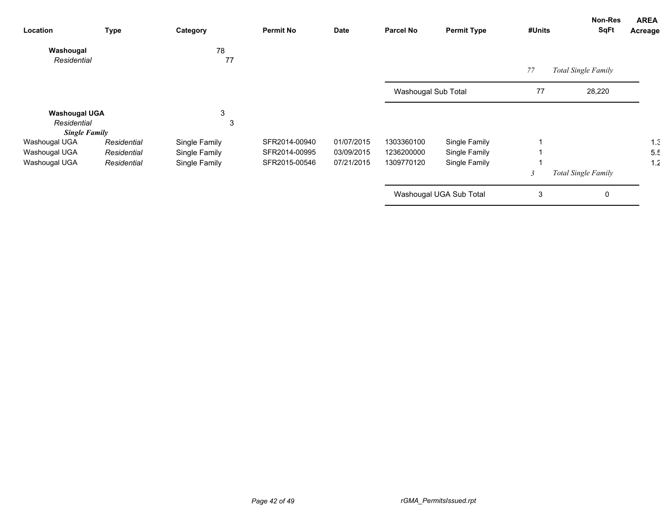| Location             | Type        | Category      | <b>Permit No</b> | Date       | <b>Parcel No</b>    | <b>Permit Type</b>      | #Units | Non-Res<br><b>SqFt</b> | <b>AREA</b><br>Acreage |
|----------------------|-------------|---------------|------------------|------------|---------------------|-------------------------|--------|------------------------|------------------------|
| Washougal            |             | 78            |                  |            |                     |                         |        |                        |                        |
| Residential          |             | 77            |                  |            |                     |                         | 77     | Total Single Family    |                        |
|                      |             |               |                  |            | Washougal Sub Total |                         | 77     | 28,220                 |                        |
| <b>Washougal UGA</b> |             | 3             |                  |            |                     |                         |        |                        |                        |
| Residential          |             | 3             |                  |            |                     |                         |        |                        |                        |
| <b>Single Family</b> |             |               |                  |            |                     |                         |        |                        |                        |
| Washougal UGA        | Residential | Single Family | SFR2014-00940    | 01/07/2015 | 1303360100          | Single Family           |        |                        | 1.3                    |
| Washougal UGA        | Residential | Single Family | SFR2014-00995    | 03/09/2015 | 1236200000          | Single Family           |        |                        | 5.5                    |
| Washougal UGA        | Residential | Single Family | SFR2015-00546    | 07/21/2015 | 1309770120          | Single Family           |        |                        | 1.2                    |
|                      |             |               |                  |            |                     |                         |        | Total Single Family    |                        |
|                      |             |               |                  |            |                     | Washougal UGA Sub Total | 3      | 0                      |                        |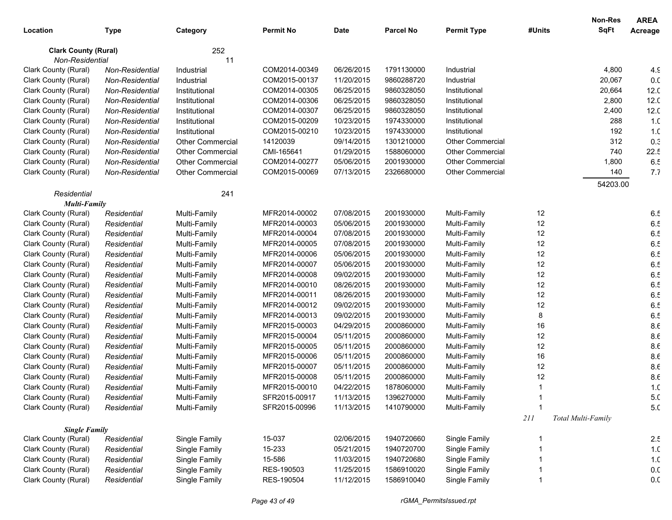|                             |                 |                         |                  |             |                  |                         |        | Non-Res            | <b>AREA</b>     |
|-----------------------------|-----------------|-------------------------|------------------|-------------|------------------|-------------------------|--------|--------------------|-----------------|
| Location                    | <b>Type</b>     | Category                | <b>Permit No</b> | <b>Date</b> | <b>Parcel No</b> | <b>Permit Type</b>      | #Units | <b>SqFt</b>        | Acreage         |
| <b>Clark County (Rural)</b> |                 | 252                     |                  |             |                  |                         |        |                    |                 |
| Non-Residential             |                 | 11                      |                  |             |                  |                         |        |                    |                 |
| Clark County (Rural)        | Non-Residential | Industrial              | COM2014-00349    | 06/26/2015  | 1791130000       | Industrial              |        | 4,800              | 4.9             |
| Clark County (Rural)        | Non-Residential | Industrial              | COM2015-00137    | 11/20/2015  | 9860288720       | Industrial              |        | 20,067             | 0.0             |
| Clark County (Rural)        | Non-Residential | Institutional           | COM2014-00305    | 06/25/2015  | 9860328050       | Institutional           |        | 20,664             | 12.0            |
| Clark County (Rural)        | Non-Residential | Institutional           | COM2014-00306    | 06/25/2015  | 9860328050       | Institutional           |        | 2,800              | 12.0            |
| Clark County (Rural)        | Non-Residential | Institutional           | COM2014-00307    | 06/25/2015  | 9860328050       | Institutional           |        | 2,400              | 12.0            |
| Clark County (Rural)        | Non-Residential | Institutional           | COM2015-00209    | 10/23/2015  | 1974330000       | Institutional           |        | 288                | 1. <sub>C</sub> |
| Clark County (Rural)        | Non-Residential | Institutional           | COM2015-00210    | 10/23/2015  | 1974330000       | Institutional           |        | 192                | 1. <sub>C</sub> |
| Clark County (Rural)        | Non-Residential | <b>Other Commercial</b> | 14120039         | 09/14/2015  | 1301210000       | Other Commercial        |        | 312                | 0.3             |
| Clark County (Rural)        | Non-Residential | <b>Other Commercial</b> | CMI-165641       | 01/29/2015  | 1588060000       | <b>Other Commercial</b> |        | 740                | 22.5            |
| Clark County (Rural)        | Non-Residential | <b>Other Commercial</b> | COM2014-00277    | 05/06/2015  | 2001930000       | <b>Other Commercial</b> |        | 1,800              | 6.5             |
| Clark County (Rural)        | Non-Residential | <b>Other Commercial</b> | COM2015-00069    | 07/13/2015  | 2326680000       | Other Commercial        |        | 140                | 7.7             |
|                             |                 |                         |                  |             |                  |                         |        | 54203.00           |                 |
| Residential                 |                 | 241                     |                  |             |                  |                         |        |                    |                 |
| <b>Multi-Family</b>         |                 |                         |                  |             |                  |                         |        |                    |                 |
| Clark County (Rural)        | Residential     | Multi-Family            | MFR2014-00002    | 07/08/2015  | 2001930000       | Multi-Family            | 12     |                    | 6.5             |
| Clark County (Rural)        | Residential     | Multi-Family            | MFR2014-00003    | 05/06/2015  | 2001930000       | Multi-Family            | 12     |                    | 6.5             |
| Clark County (Rural)        | Residential     | Multi-Family            | MFR2014-00004    | 07/08/2015  | 2001930000       | Multi-Family            | 12     |                    | 6.5             |
| Clark County (Rural)        | Residential     | Multi-Family            | MFR2014-00005    | 07/08/2015  | 2001930000       | Multi-Family            | 12     |                    | 6.5             |
| Clark County (Rural)        | Residential     | Multi-Family            | MFR2014-00006    | 05/06/2015  | 2001930000       | Multi-Family            | 12     |                    | 6.5             |
| Clark County (Rural)        | Residential     | Multi-Family            | MFR2014-00007    | 05/06/2015  | 2001930000       | Multi-Family            | 12     |                    | 6.5             |
| Clark County (Rural)        | Residential     | Multi-Family            | MFR2014-00008    | 09/02/2015  | 2001930000       | Multi-Family            | 12     |                    | 6.5             |
| Clark County (Rural)        | Residential     | Multi-Family            | MFR2014-00010    | 08/26/2015  | 2001930000       | Multi-Family            | 12     |                    | 6.5             |
| Clark County (Rural)        | Residential     | Multi-Family            | MFR2014-00011    | 08/26/2015  | 2001930000       | Multi-Family            | 12     |                    | 6.5             |
| Clark County (Rural)        | Residential     | Multi-Family            | MFR2014-00012    | 09/02/2015  | 2001930000       | Multi-Family            | 12     |                    | 6.5             |
| Clark County (Rural)        | Residential     | Multi-Family            | MFR2014-00013    | 09/02/2015  | 2001930000       | Multi-Family            | 8      |                    | 6.5             |
| Clark County (Rural)        | Residential     | Multi-Family            | MFR2015-00003    | 04/29/2015  | 2000860000       | Multi-Family            | 16     |                    | 8.6             |
| Clark County (Rural)        | Residential     | Multi-Family            | MFR2015-00004    | 05/11/2015  | 2000860000       | Multi-Family            | 12     |                    | 8.6             |
| Clark County (Rural)        | Residential     | Multi-Family            | MFR2015-00005    | 05/11/2015  | 2000860000       | Multi-Family            | 12     |                    | 8.6             |
| Clark County (Rural)        | Residential     | Multi-Family            | MFR2015-00006    | 05/11/2015  | 2000860000       | Multi-Family            | 16     |                    | 8.6             |
| Clark County (Rural)        | Residential     | Multi-Family            | MFR2015-00007    | 05/11/2015  | 2000860000       | Multi-Family            | 12     |                    | 8.6             |
| Clark County (Rural)        | Residential     | Multi-Family            | MFR2015-00008    | 05/11/2015  | 2000860000       | Multi-Family            | 12     |                    | 8.6             |
| Clark County (Rural)        | Residential     | Multi-Family            | MFR2015-00010    | 04/22/2015  | 1878060000       | Multi-Family            |        |                    | 1. <sub>C</sub> |
| Clark County (Rural)        | Residential     | Multi-Family            | SFR2015-00917    | 11/13/2015  | 1396270000       | Multi-Family            |        |                    | 5. <sub>C</sub> |
| Clark County (Rural)        | Residential     | Multi-Family            | SFR2015-00996    | 11/13/2015  | 1410790000       | Multi-Family            |        |                    | 5. <sub>C</sub> |
|                             |                 |                         |                  |             |                  |                         | $211$  | Total Multi-Family |                 |
| <b>Single Family</b>        |                 |                         |                  |             |                  |                         |        |                    |                 |
| Clark County (Rural)        | Residential     | Single Family           | 15-037           | 02/06/2015  | 1940720660       | Single Family           |        |                    | 2.5             |
| Clark County (Rural)        | Residential     | Single Family           | 15-233           | 05/21/2015  | 1940720700       | Single Family           |        |                    | 1. <sub>C</sub> |
| Clark County (Rural)        | Residential     | Single Family           | 15-586           | 11/03/2015  | 1940720680       | Single Family           |        |                    | 1. <sub>C</sub> |
| Clark County (Rural)        | Residential     | Single Family           | RES-190503       | 11/25/2015  | 1586910020       | Single Family           |        |                    | 0. <sub>C</sub> |
| Clark County (Rural)        | Residential     | Single Family           | RES-190504       | 11/12/2015  | 1586910040       | Single Family           |        |                    | 0. <sub>C</sub> |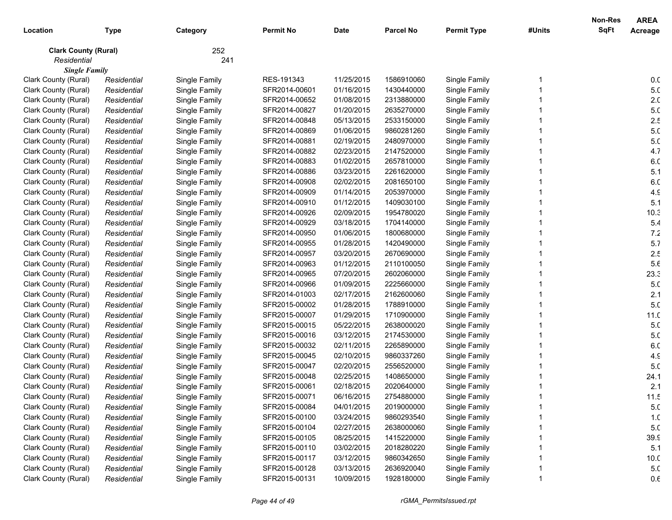|                             |             |               |                  |             |                  |                    |        | <b>Non-Res</b> | <b>AREA</b>     |
|-----------------------------|-------------|---------------|------------------|-------------|------------------|--------------------|--------|----------------|-----------------|
| Location                    | <b>Type</b> | Category      | <b>Permit No</b> | <b>Date</b> | <b>Parcel No</b> | <b>Permit Type</b> | #Units | <b>SqFt</b>    | Acreage         |
| <b>Clark County (Rural)</b> |             | 252           |                  |             |                  |                    |        |                |                 |
| Residential                 |             | 241           |                  |             |                  |                    |        |                |                 |
| <b>Single Family</b>        |             |               |                  |             |                  |                    |        |                |                 |
| Clark County (Rural)        | Residential | Single Family | RES-191343       | 11/25/2015  | 1586910060       | Single Family      |        |                | 0.0             |
| Clark County (Rural)        | Residential | Single Family | SFR2014-00601    | 01/16/2015  | 1430440000       | Single Family      |        |                | 5. <sub>C</sub> |
| Clark County (Rural)        | Residential | Single Family | SFR2014-00652    | 01/08/2015  | 2313880000       | Single Family      |        |                | 2. <sub>C</sub> |
| Clark County (Rural)        | Residential | Single Family | SFR2014-00827    | 01/20/2015  | 2635270000       | Single Family      |        |                | 5. <sub>C</sub> |
| Clark County (Rural)        | Residential | Single Family | SFR2014-00848    | 05/13/2015  | 2533150000       | Single Family      |        |                | 2.5             |
| Clark County (Rural)        | Residential | Single Family | SFR2014-00869    | 01/06/2015  | 9860281260       | Single Family      |        |                | 5. <sub>C</sub> |
| Clark County (Rural)        | Residential | Single Family | SFR2014-00881    | 02/19/2015  | 2480970000       | Single Family      |        |                | 5. <sub>C</sub> |
| Clark County (Rural)        | Residential | Single Family | SFR2014-00882    | 02/23/2015  | 2147520000       | Single Family      |        |                | 4.7             |
| Clark County (Rural)        | Residential | Single Family | SFR2014-00883    | 01/02/2015  | 2657810000       | Single Family      |        |                | 6. <sub>C</sub> |
| Clark County (Rural)        | Residential | Single Family | SFR2014-00886    | 03/23/2015  | 2261620000       | Single Family      |        |                | 5.1             |
| Clark County (Rural)        | Residential | Single Family | SFR2014-00908    | 02/02/2015  | 2081650100       | Single Family      |        |                | 6. <sub>C</sub> |
| Clark County (Rural)        | Residential | Single Family | SFR2014-00909    | 01/14/2015  | 2053970000       | Single Family      |        |                | 4.9             |
| Clark County (Rural)        | Residential | Single Family | SFR2014-00910    | 01/12/2015  | 1409030100       | Single Family      |        |                | 5.1             |
| Clark County (Rural)        | Residential | Single Family | SFR2014-00926    | 02/09/2015  | 1954780020       | Single Family      |        |                | 10.3            |
| Clark County (Rural)        | Residential | Single Family | SFR2014-00929    | 03/18/2015  | 1704140000       | Single Family      |        |                | 5.4             |
| Clark County (Rural)        | Residential | Single Family | SFR2014-00950    | 01/06/2015  | 1800680000       | Single Family      |        |                | 7.2             |
| Clark County (Rural)        | Residential | Single Family | SFR2014-00955    | 01/28/2015  | 1420490000       | Single Family      |        |                | 5.7             |
| Clark County (Rural)        | Residential | Single Family | SFR2014-00957    | 03/20/2015  | 2670690000       | Single Family      |        |                | 2.5             |
| Clark County (Rural)        | Residential | Single Family | SFR2014-00963    | 01/12/2015  | 2110100050       | Single Family      |        |                | 5.6             |
| Clark County (Rural)        | Residential | Single Family | SFR2014-00965    | 07/20/2015  | 2602060000       | Single Family      |        |                | 23.3            |
| Clark County (Rural)        | Residential | Single Family | SFR2014-00966    | 01/09/2015  | 2225660000       | Single Family      |        |                | 5. <sub>C</sub> |
| Clark County (Rural)        | Residential | Single Family | SFR2014-01003    | 02/17/2015  | 2162600060       | Single Family      |        |                | 2.1             |
| Clark County (Rural)        | Residential | Single Family | SFR2015-00002    | 01/28/2015  | 1788910000       | Single Family      |        |                | 5. <sub>C</sub> |
| Clark County (Rural)        | Residential | Single Family | SFR2015-00007    | 01/29/2015  | 1710900000       | Single Family      |        |                | 11.0            |
| Clark County (Rural)        | Residential | Single Family | SFR2015-00015    | 05/22/2015  | 2638000020       | Single Family      |        |                | 5. <sub>C</sub> |
| Clark County (Rural)        | Residential | Single Family | SFR2015-00016    | 03/12/2015  | 2174530000       | Single Family      |        |                | 5. <sub>C</sub> |
| Clark County (Rural)        | Residential | Single Family | SFR2015-00032    | 02/11/2015  | 2265890000       | Single Family      |        |                | 6. <sub>C</sub> |
| Clark County (Rural)        | Residential | Single Family | SFR2015-00045    | 02/10/2015  | 9860337260       | Single Family      |        |                | 4.9             |
| Clark County (Rural)        | Residential | Single Family | SFR2015-00047    | 02/20/2015  | 2556520000       | Single Family      |        |                | 5. <sub>C</sub> |
| Clark County (Rural)        | Residential | Single Family | SFR2015-00048    | 02/25/2015  | 1408650000       | Single Family      |        |                | 24.1            |
| Clark County (Rural)        | Residential | Single Family | SFR2015-00061    | 02/18/2015  | 2020640000       | Single Family      |        |                | 2.1             |
| Clark County (Rural)        | Residential | Single Family | SFR2015-00071    | 06/16/2015  | 2754880000       | Single Family      |        |                | 11.5            |
| Clark County (Rural)        | Residential | Single Family | SFR2015-00084    | 04/01/2015  | 2019000000       | Single Family      |        |                | 5. <sub>C</sub> |
| Clark County (Rural)        | Residential | Single Family | SFR2015-00100    | 03/24/2015  | 9860293540       | Single Family      |        |                | 1. <sub>C</sub> |
| Clark County (Rural)        | Residential | Single Family | SFR2015-00104    | 02/27/2015  | 2638000060       | Single Family      |        |                | 5. <sub>C</sub> |
| Clark County (Rural)        | Residential | Single Family | SFR2015-00105    | 08/25/2015  | 1415220000       | Single Family      |        |                | 39.9            |
| Clark County (Rural)        | Residential | Single Family | SFR2015-00110    | 03/02/2015  | 2018280220       | Single Family      |        |                | 5.1             |
| Clark County (Rural)        | Residential | Single Family | SFR2015-00117    | 03/12/2015  | 9860342650       | Single Family      |        |                | 10.0            |
| Clark County (Rural)        | Residential | Single Family | SFR2015-00128    | 03/13/2015  | 2636920040       | Single Family      |        |                | 5. <sub>C</sub> |
| Clark County (Rural)        | Residential | Single Family | SFR2015-00131    | 10/09/2015  | 1928180000       | Single Family      |        |                | $0.6\,$         |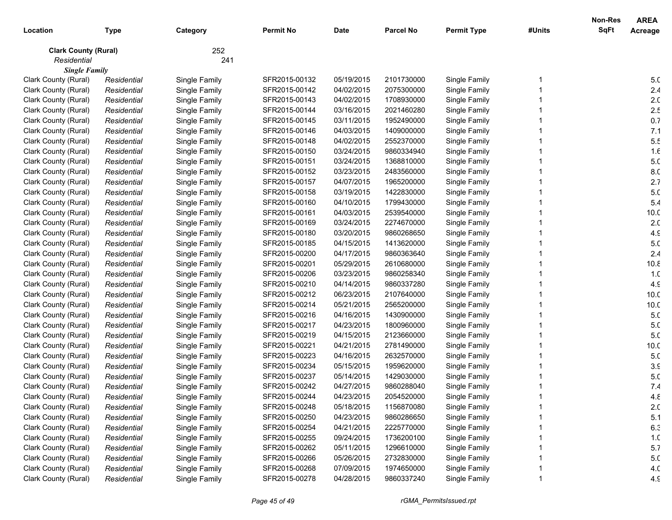|                             |             |               |                  |             |                  |                    |        | <b>Non-Res</b> | <b>AREA</b>     |
|-----------------------------|-------------|---------------|------------------|-------------|------------------|--------------------|--------|----------------|-----------------|
| Location                    | <b>Type</b> | Category      | <b>Permit No</b> | <b>Date</b> | <b>Parcel No</b> | <b>Permit Type</b> | #Units | <b>SqFt</b>    | Acreage         |
| <b>Clark County (Rural)</b> |             | 252           |                  |             |                  |                    |        |                |                 |
| Residential                 |             | 241           |                  |             |                  |                    |        |                |                 |
| <b>Single Family</b>        |             |               |                  |             |                  |                    |        |                |                 |
| Clark County (Rural)        | Residential | Single Family | SFR2015-00132    | 05/19/2015  | 2101730000       | Single Family      |        |                | 5. <sub>C</sub> |
| Clark County (Rural)        | Residential | Single Family | SFR2015-00142    | 04/02/2015  | 2075300000       | Single Family      |        |                | 2.4             |
| Clark County (Rural)        | Residential | Single Family | SFR2015-00143    | 04/02/2015  | 1708930000       | Single Family      |        |                | 2. <sub>C</sub> |
| Clark County (Rural)        | Residential | Single Family | SFR2015-00144    | 03/16/2015  | 2021460280       | Single Family      |        |                | 2.5             |
| Clark County (Rural)        | Residential | Single Family | SFR2015-00145    | 03/11/2015  | 1952490000       | Single Family      |        |                | 0.7             |
| Clark County (Rural)        | Residential | Single Family | SFR2015-00146    | 04/03/2015  | 1409000000       | Single Family      |        |                | 7.1             |
| Clark County (Rural)        | Residential | Single Family | SFR2015-00148    | 04/02/2015  | 2552370000       | Single Family      |        |                | 5.5             |
| Clark County (Rural)        | Residential | Single Family | SFR2015-00150    | 03/24/2015  | 9860334940       | Single Family      |        |                | 1.f             |
| Clark County (Rural)        | Residential | Single Family | SFR2015-00151    | 03/24/2015  | 1368810000       | Single Family      |        |                | 5. <sub>C</sub> |
| Clark County (Rural)        | Residential | Single Family | SFR2015-00152    | 03/23/2015  | 2483560000       | Single Family      |        |                | 8.C             |
| Clark County (Rural)        | Residential | Single Family | SFR2015-00157    | 04/07/2015  | 1965200000       | Single Family      |        |                | 2.7             |
| Clark County (Rural)        | Residential | Single Family | SFR2015-00158    | 03/19/2015  | 1422830000       | Single Family      |        |                | 5. <sub>C</sub> |
| Clark County (Rural)        | Residential | Single Family | SFR2015-00160    | 04/10/2015  | 1799430000       | Single Family      |        |                | 5.4             |
| Clark County (Rural)        | Residential | Single Family | SFR2015-00161    | 04/03/2015  | 2539540000       | Single Family      |        |                | 10.0            |
| Clark County (Rural)        | Residential | Single Family | SFR2015-00169    | 03/24/2015  | 2274670000       | Single Family      |        |                | 2. <sub>C</sub> |
| Clark County (Rural)        | Residential | Single Family | SFR2015-00180    | 03/20/2015  | 9860268650       | Single Family      |        |                | 4.9             |
| Clark County (Rural)        | Residential | Single Family | SFR2015-00185    | 04/15/2015  | 1413620000       | Single Family      |        |                | 5. <sub>C</sub> |
| Clark County (Rural)        | Residential | Single Family | SFR2015-00200    | 04/17/2015  | 9860363640       | Single Family      |        |                | 2.4             |
| Clark County (Rural)        | Residential | Single Family | SFR2015-00201    | 05/29/2015  | 2610680000       | Single Family      |        |                | 10.8            |
| Clark County (Rural)        | Residential | Single Family | SFR2015-00206    | 03/23/2015  | 9860258340       | Single Family      |        |                | 1. <sub>C</sub> |
| Clark County (Rural)        | Residential | Single Family | SFR2015-00210    | 04/14/2015  | 9860337280       | Single Family      |        |                | 4.9             |
| Clark County (Rural)        | Residential | Single Family | SFR2015-00212    | 06/23/2015  | 2107640000       | Single Family      |        |                | 10.0            |
| Clark County (Rural)        | Residential | Single Family | SFR2015-00214    | 05/21/2015  | 2565200000       | Single Family      |        |                | 10.0            |
| Clark County (Rural)        | Residential | Single Family | SFR2015-00216    | 04/16/2015  | 1430900000       | Single Family      |        |                | 5. <sub>C</sub> |
| Clark County (Rural)        | Residential | Single Family | SFR2015-00217    | 04/23/2015  | 1800960000       | Single Family      |        |                | 5. <sub>C</sub> |
| Clark County (Rural)        | Residential | Single Family | SFR2015-00219    | 04/15/2015  | 2123660000       | Single Family      |        |                | 5. <sub>C</sub> |
| Clark County (Rural)        | Residential | Single Family | SFR2015-00221    | 04/21/2015  | 2781490000       | Single Family      |        |                | 10.0            |
| Clark County (Rural)        | Residential | Single Family | SFR2015-00223    | 04/16/2015  | 2632570000       | Single Family      |        |                | 5. <sub>C</sub> |
| Clark County (Rural)        | Residential | Single Family | SFR2015-00234    | 05/15/2015  | 1959620000       | Single Family      |        |                | 3.5             |
| Clark County (Rural)        | Residential | Single Family | SFR2015-00237    | 05/14/2015  | 1429030000       | Single Family      |        |                | 5. <sub>C</sub> |
| Clark County (Rural)        | Residential | Single Family | SFR2015-00242    | 04/27/2015  | 9860288040       | Single Family      |        |                | 7.4             |
| Clark County (Rural)        | Residential | Single Family | SFR2015-00244    | 04/23/2015  | 2054520000       | Single Family      |        |                | 4.8             |
| Clark County (Rural)        | Residential | Single Family | SFR2015-00248    | 05/18/2015  | 1156870080       | Single Family      |        |                | 2. <sub>C</sub> |
| Clark County (Rural)        | Residential | Single Family | SFR2015-00250    | 04/23/2015  | 9860286650       | Single Family      |        |                | 5.1             |
| Clark County (Rural)        | Residential | Single Family | SFR2015-00254    | 04/21/2015  | 2225770000       | Single Family      |        |                | 6.3             |
| Clark County (Rural)        | Residential | Single Family | SFR2015-00255    | 09/24/2015  | 1736200100       | Single Family      |        |                | 1. <sub>C</sub> |
| Clark County (Rural)        | Residential | Single Family | SFR2015-00262    | 05/11/2015  | 1296610000       | Single Family      |        |                | 5.7             |
| Clark County (Rural)        | Residential | Single Family | SFR2015-00266    | 05/26/2015  | 2732830000       | Single Family      |        |                | 5. <sub>C</sub> |
| Clark County (Rural)        | Residential | Single Family | SFR2015-00268    | 07/09/2015  | 1974650000       | Single Family      |        |                | 4.0             |
| Clark County (Rural)        | Residential | Single Family | SFR2015-00278    | 04/28/2015  | 9860337240       | Single Family      |        |                | 4.9             |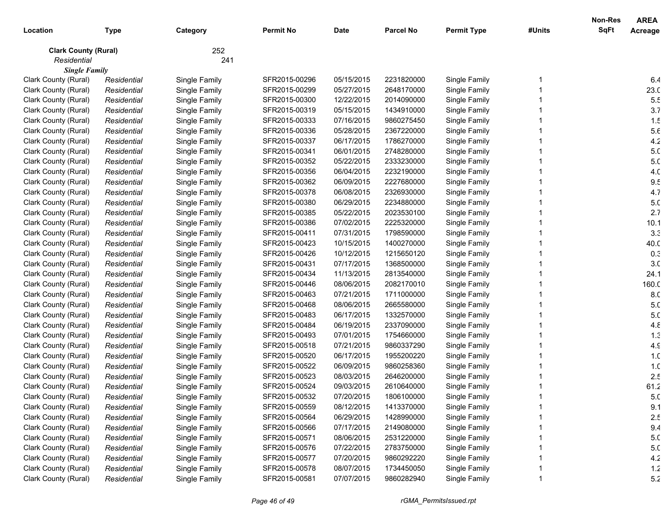|                             |             |               |                  |             |                  |                    |        | Non-Res     | <b>AREA</b>     |
|-----------------------------|-------------|---------------|------------------|-------------|------------------|--------------------|--------|-------------|-----------------|
| Location                    | <b>Type</b> | Category      | <b>Permit No</b> | <b>Date</b> | <b>Parcel No</b> | <b>Permit Type</b> | #Units | <b>SqFt</b> | Acreage         |
| <b>Clark County (Rural)</b> |             | 252           |                  |             |                  |                    |        |             |                 |
| Residential                 |             | 241           |                  |             |                  |                    |        |             |                 |
| <b>Single Family</b>        |             |               |                  |             |                  |                    |        |             |                 |
| Clark County (Rural)        | Residential | Single Family | SFR2015-00296    | 05/15/2015  | 2231820000       | Single Family      |        |             | 6.4             |
| Clark County (Rural)        | Residential | Single Family | SFR2015-00299    | 05/27/2015  | 2648170000       | Single Family      |        |             | 23.0            |
| Clark County (Rural)        | Residential | Single Family | SFR2015-00300    | 12/22/2015  | 2014090000       | Single Family      |        |             | 5.5             |
| Clark County (Rural)        | Residential | Single Family | SFR2015-00319    | 05/15/2015  | 1434910000       | Single Family      |        |             | 3.7             |
| Clark County (Rural)        | Residential | Single Family | SFR2015-00333    | 07/16/2015  | 9860275450       | Single Family      |        |             | 1.5             |
| Clark County (Rural)        | Residential | Single Family | SFR2015-00336    | 05/28/2015  | 2367220000       | Single Family      |        |             | 5.6             |
| Clark County (Rural)        | Residential | Single Family | SFR2015-00337    | 06/17/2015  | 1786270000       | Single Family      |        |             | 4.2             |
| Clark County (Rural)        | Residential | Single Family | SFR2015-00341    | 06/01/2015  | 2748280000       | Single Family      |        |             | 5. <sub>C</sub> |
| Clark County (Rural)        | Residential | Single Family | SFR2015-00352    | 05/22/2015  | 2333230000       | Single Family      |        |             | 5. <sub>C</sub> |
| Clark County (Rural)        | Residential | Single Family | SFR2015-00356    | 06/04/2015  | 2232190000       | Single Family      |        |             | 4. <sub>C</sub> |
| Clark County (Rural)        | Residential | Single Family | SFR2015-00362    | 06/09/2015  | 2227680000       | Single Family      |        |             | 9.5             |
| Clark County (Rural)        | Residential | Single Family | SFR2015-00378    | 06/08/2015  | 2326930000       | Single Family      |        |             | 4.7             |
| Clark County (Rural)        | Residential | Single Family | SFR2015-00380    | 06/29/2015  | 2234880000       | Single Family      |        |             | 5. <sub>C</sub> |
| Clark County (Rural)        | Residential | Single Family | SFR2015-00385    | 05/22/2015  | 2023530100       | Single Family      |        |             | 2.7             |
| Clark County (Rural)        | Residential | Single Family | SFR2015-00386    | 07/02/2015  | 2225320000       | Single Family      |        |             | 10.1            |
| Clark County (Rural)        | Residential | Single Family | SFR2015-00411    | 07/31/2015  | 1798590000       | Single Family      |        |             | 3.3             |
| Clark County (Rural)        | Residential | Single Family | SFR2015-00423    | 10/15/2015  | 1400270000       | Single Family      |        |             | 40.C            |
| Clark County (Rural)        | Residential | Single Family | SFR2015-00426    | 10/12/2015  | 1215650120       | Single Family      |        |             | 0.3             |
| Clark County (Rural)        | Residential | Single Family | SFR2015-00431    | 07/17/2015  | 1368500000       | Single Family      |        |             | 3 <sub>c</sub>  |
| Clark County (Rural)        | Residential | Single Family | SFR2015-00434    | 11/13/2015  | 2813540000       | Single Family      |        |             | 24.1            |
| Clark County (Rural)        | Residential | Single Family | SFR2015-00446    | 08/06/2015  | 2082170010       | Single Family      |        |             | 160.C           |
| Clark County (Rural)        | Residential | Single Family | SFR2015-00463    | 07/21/2015  | 1711000000       | Single Family      |        |             | 8.C             |
| Clark County (Rural)        | Residential | Single Family | SFR2015-00468    | 08/06/2015  | 2665580000       | Single Family      |        |             | 5. <sub>C</sub> |
| Clark County (Rural)        | Residential | Single Family | SFR2015-00483    | 06/17/2015  | 1332570000       | Single Family      |        |             | 5. <sub>C</sub> |
| Clark County (Rural)        | Residential | Single Family | SFR2015-00484    | 06/19/2015  | 2337090000       | Single Family      |        |             | 4.8             |
| Clark County (Rural)        | Residential | Single Family | SFR2015-00493    | 07/01/2015  | 1754660000       | Single Family      |        |             | 1.3             |
| Clark County (Rural)        | Residential | Single Family | SFR2015-00518    | 07/21/2015  | 9860337290       | Single Family      |        |             | 4.9             |
| Clark County (Rural)        | Residential | Single Family | SFR2015-00520    | 06/17/2015  | 1955200220       | Single Family      |        |             | 1. <sub>C</sub> |
| Clark County (Rural)        | Residential | Single Family | SFR2015-00522    | 06/09/2015  | 9860258360       | Single Family      |        |             | 1. <sub>C</sub> |
| Clark County (Rural)        | Residential | Single Family | SFR2015-00523    | 08/03/2015  | 2646200000       | Single Family      |        |             | 2.5             |
| Clark County (Rural)        | Residential | Single Family | SFR2015-00524    | 09/03/2015  | 2610640000       | Single Family      |        |             | 61.2            |
| Clark County (Rural)        | Residential | Single Family | SFR2015-00532    | 07/20/2015  | 1806100000       | Single Family      |        |             | 5. <sub>C</sub> |
| Clark County (Rural)        | Residential | Single Family | SFR2015-00559    | 08/12/2015  | 1413370000       | Single Family      |        |             | 9.1             |
| Clark County (Rural)        | Residential | Single Family | SFR2015-00564    | 06/29/2015  | 1428990000       | Single Family      |        |             | 2.5             |
| Clark County (Rural)        | Residential | Single Family | SFR2015-00566    | 07/17/2015  | 2149080000       | Single Family      |        |             | 9.4             |
| Clark County (Rural)        | Residential | Single Family | SFR2015-00571    | 08/06/2015  | 2531220000       | Single Family      |        |             | 5. <sub>C</sub> |
| Clark County (Rural)        | Residential | Single Family | SFR2015-00576    | 07/22/2015  | 2783750000       | Single Family      |        |             | 5. <sub>C</sub> |
| Clark County (Rural)        | Residential | Single Family | SFR2015-00577    | 07/20/2015  | 9860292220       | Single Family      |        |             | 4.2             |
| Clark County (Rural)        | Residential | Single Family | SFR2015-00578    | 08/07/2015  | 1734450050       | Single Family      |        |             | $1.2$           |
| Clark County (Rural)        | Residential | Single Family | SFR2015-00581    | 07/07/2015  | 9860282940       | Single Family      |        |             | 5.2             |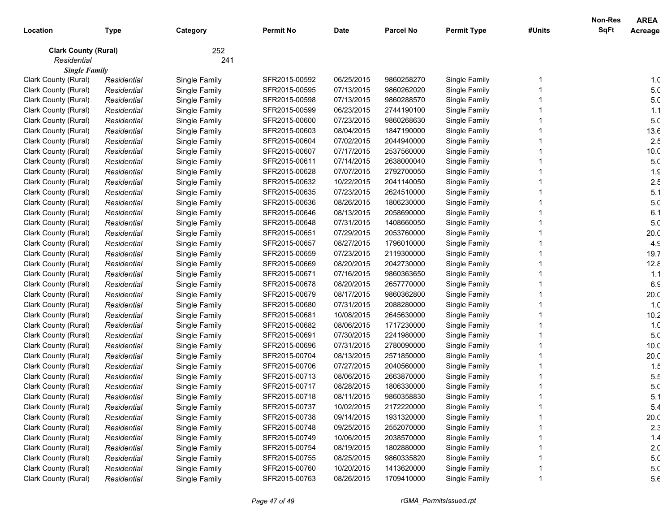|                             |             |               |                  |             |                  |                    |        | <b>Non-Res</b> | <b>AREA</b>     |
|-----------------------------|-------------|---------------|------------------|-------------|------------------|--------------------|--------|----------------|-----------------|
| Location                    | <b>Type</b> | Category      | <b>Permit No</b> | <b>Date</b> | <b>Parcel No</b> | <b>Permit Type</b> | #Units | <b>SqFt</b>    | Acreage         |
| <b>Clark County (Rural)</b> |             | 252           |                  |             |                  |                    |        |                |                 |
| Residential                 |             | 241           |                  |             |                  |                    |        |                |                 |
| <b>Single Family</b>        |             |               |                  |             |                  |                    |        |                |                 |
| Clark County (Rural)        | Residential | Single Family | SFR2015-00592    | 06/25/2015  | 9860258270       | Single Family      |        |                | 1. <sub>C</sub> |
| Clark County (Rural)        | Residential | Single Family | SFR2015-00595    | 07/13/2015  | 9860262020       | Single Family      |        |                | 5. <sub>C</sub> |
| Clark County (Rural)        | Residential | Single Family | SFR2015-00598    | 07/13/2015  | 9860288570       | Single Family      |        |                | 5. <sub>C</sub> |
| Clark County (Rural)        | Residential | Single Family | SFR2015-00599    | 06/23/2015  | 2744190100       | Single Family      |        |                | 1.1             |
| Clark County (Rural)        | Residential | Single Family | SFR2015-00600    | 07/23/2015  | 9860268630       | Single Family      |        |                | 5.0             |
| Clark County (Rural)        | Residential | Single Family | SFR2015-00603    | 08/04/2015  | 1847190000       | Single Family      |        |                | 13.6            |
| Clark County (Rural)        | Residential | Single Family | SFR2015-00604    | 07/02/2015  | 2044940000       | Single Family      |        |                | 2.5             |
| Clark County (Rural)        | Residential | Single Family | SFR2015-00607    | 07/17/2015  | 2537560000       | Single Family      |        |                | 10.0            |
| Clark County (Rural)        | Residential | Single Family | SFR2015-00611    | 07/14/2015  | 2638000040       | Single Family      |        |                | 5. <sub>C</sub> |
| Clark County (Rural)        | Residential | Single Family | SFR2015-00628    | 07/07/2015  | 2792700050       | Single Family      |        |                | 1.9             |
| Clark County (Rural)        | Residential | Single Family | SFR2015-00632    | 10/22/2015  | 2041140050       | Single Family      |        |                | 2.5             |
| Clark County (Rural)        | Residential | Single Family | SFR2015-00635    | 07/23/2015  | 2624510000       | Single Family      |        |                | 5.1             |
| Clark County (Rural)        | Residential | Single Family | SFR2015-00636    | 08/26/2015  | 1806230000       | Single Family      |        |                | 5. <sub>C</sub> |
| Clark County (Rural)        | Residential | Single Family | SFR2015-00646    | 08/13/2015  | 2058690000       | Single Family      |        |                | 6.1             |
| Clark County (Rural)        | Residential | Single Family | SFR2015-00648    | 07/31/2015  | 1408660050       | Single Family      |        |                | 5. <sub>C</sub> |
| Clark County (Rural)        | Residential | Single Family | SFR2015-00651    | 07/29/2015  | 2053760000       | Single Family      |        |                | 20.0            |
| Clark County (Rural)        | Residential | Single Family | SFR2015-00657    | 08/27/2015  | 1796010000       | Single Family      |        |                | 4.9             |
| Clark County (Rural)        | Residential | Single Family | SFR2015-00659    | 07/23/2015  | 2119300000       | Single Family      |        |                | 19.7            |
| Clark County (Rural)        | Residential | Single Family | SFR2015-00669    | 08/20/2015  | 2042730000       | Single Family      |        |                | 12.8            |
| Clark County (Rural)        | Residential | Single Family | SFR2015-00671    | 07/16/2015  | 9860363650       | Single Family      |        |                | 1.1             |
| Clark County (Rural)        | Residential | Single Family | SFR2015-00678    | 08/20/2015  | 2657770000       | Single Family      |        |                | 6.9             |
| Clark County (Rural)        | Residential | Single Family | SFR2015-00679    | 08/17/2015  | 9860362800       | Single Family      |        |                | 20.0            |
| Clark County (Rural)        | Residential | Single Family | SFR2015-00680    | 07/31/2015  | 2088280000       | Single Family      |        |                | 1. <sub>C</sub> |
| Clark County (Rural)        | Residential | Single Family | SFR2015-00681    | 10/08/2015  | 2645630000       | Single Family      |        |                | 10.2            |
| Clark County (Rural)        | Residential | Single Family | SFR2015-00682    | 08/06/2015  | 1717230000       | Single Family      |        |                | 1. <sub>C</sub> |
| Clark County (Rural)        | Residential | Single Family | SFR2015-00691    | 07/30/2015  | 2241980000       | Single Family      |        |                | 5. <sub>C</sub> |
| Clark County (Rural)        | Residential | Single Family | SFR2015-00696    | 07/31/2015  | 2780090000       | Single Family      |        |                | 10.0            |
| Clark County (Rural)        | Residential | Single Family | SFR2015-00704    | 08/13/2015  | 2571850000       | Single Family      |        |                | 20.0            |
| Clark County (Rural)        | Residential | Single Family | SFR2015-00706    | 07/27/2015  | 2040560000       | Single Family      |        |                | 1.5             |
| Clark County (Rural)        | Residential | Single Family | SFR2015-00713    | 08/06/2015  | 2663870000       | Single Family      |        |                | 5.5             |
| Clark County (Rural)        | Residential | Single Family | SFR2015-00717    | 08/28/2015  | 1806330000       | Single Family      |        |                | 5. <sub>C</sub> |
| Clark County (Rural)        | Residential | Single Family | SFR2015-00718    | 08/11/2015  | 9860358830       | Single Family      |        |                | 5.1             |
| Clark County (Rural)        | Residential | Single Family | SFR2015-00737    | 10/02/2015  | 2172220000       | Single Family      |        |                | 5.4             |
| Clark County (Rural)        | Residential | Single Family | SFR2015-00738    | 09/14/2015  | 1931320000       | Single Family      |        |                | 20.0            |
| Clark County (Rural)        | Residential | Single Family | SFR2015-00748    | 09/25/2015  | 2552070000       | Single Family      |        |                | 2.3             |
| Clark County (Rural)        | Residential | Single Family | SFR2015-00749    | 10/06/2015  | 2038570000       | Single Family      |        |                | 1.4             |
| Clark County (Rural)        | Residential | Single Family | SFR2015-00754    | 08/19/2015  | 1802880000       | Single Family      |        |                | 2. <sub>C</sub> |
| Clark County (Rural)        | Residential | Single Family | SFR2015-00755    | 08/25/2015  | 9860335820       | Single Family      |        |                | 5. <sub>C</sub> |
| Clark County (Rural)        | Residential | Single Family | SFR2015-00760    | 10/20/2015  | 1413620000       | Single Family      |        |                | 5. <sub>C</sub> |
| Clark County (Rural)        | Residential | Single Family | SFR2015-00763    | 08/26/2015  | 1709410000       | Single Family      |        |                | 5.6             |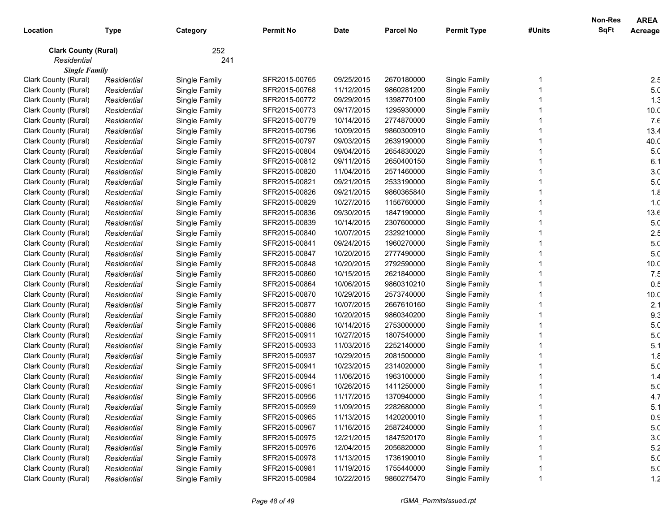|                             |             |               |                  |             |                  |                    |        | <b>Non-Res</b> | <b>AREA</b>     |
|-----------------------------|-------------|---------------|------------------|-------------|------------------|--------------------|--------|----------------|-----------------|
| Location                    | <b>Type</b> | Category      | <b>Permit No</b> | <b>Date</b> | <b>Parcel No</b> | <b>Permit Type</b> | #Units | <b>SqFt</b>    | Acreage         |
| <b>Clark County (Rural)</b> |             | 252           |                  |             |                  |                    |        |                |                 |
| Residential                 |             | 241           |                  |             |                  |                    |        |                |                 |
| <b>Single Family</b>        |             |               |                  |             |                  |                    |        |                |                 |
| Clark County (Rural)        | Residential | Single Family | SFR2015-00765    | 09/25/2015  | 2670180000       | Single Family      |        |                | 2.5             |
| Clark County (Rural)        | Residential | Single Family | SFR2015-00768    | 11/12/2015  | 9860281200       | Single Family      |        |                | 5. <sub>C</sub> |
| Clark County (Rural)        | Residential | Single Family | SFR2015-00772    | 09/29/2015  | 1398770100       | Single Family      |        |                | 1.3             |
| Clark County (Rural)        | Residential | Single Family | SFR2015-00773    | 09/17/2015  | 1295930000       | Single Family      |        |                | 10.0            |
| Clark County (Rural)        | Residential | Single Family | SFR2015-00779    | 10/14/2015  | 2774870000       | Single Family      |        |                | 7.6             |
| Clark County (Rural)        | Residential | Single Family | SFR2015-00796    | 10/09/2015  | 9860300910       | Single Family      |        |                | 13.4            |
| Clark County (Rural)        | Residential | Single Family | SFR2015-00797    | 09/03/2015  | 2639190000       | Single Family      |        |                | 40.C            |
| Clark County (Rural)        | Residential | Single Family | SFR2015-00804    | 09/04/2015  | 2654830020       | Single Family      |        |                | 5. <sub>C</sub> |
| Clark County (Rural)        | Residential | Single Family | SFR2015-00812    | 09/11/2015  | 2650400150       | Single Family      |        |                | 6.1             |
| Clark County (Rural)        | Residential | Single Family | SFR2015-00820    | 11/04/2015  | 2571460000       | Single Family      |        |                | 3 <sub>c</sub>  |
| Clark County (Rural)        | Residential | Single Family | SFR2015-00821    | 09/21/2015  | 2533190000       | Single Family      |        |                | 5. <sub>C</sub> |
| Clark County (Rural)        | Residential | Single Family | SFR2015-00826    | 09/21/2015  | 9860365840       | Single Family      |        |                | 1.8             |
| Clark County (Rural)        | Residential | Single Family | SFR2015-00829    | 10/27/2015  | 1156760000       | Single Family      |        |                | 1. <sub>C</sub> |
| Clark County (Rural)        | Residential | Single Family | SFR2015-00836    | 09/30/2015  | 1847190000       | Single Family      |        |                | 13.6            |
| Clark County (Rural)        | Residential | Single Family | SFR2015-00839    | 10/14/2015  | 2307600000       | Single Family      |        |                | 5. <sub>C</sub> |
| Clark County (Rural)        | Residential | Single Family | SFR2015-00840    | 10/07/2015  | 2329210000       | Single Family      |        |                | 2.5             |
| Clark County (Rural)        | Residential | Single Family | SFR2015-00841    | 09/24/2015  | 1960270000       | Single Family      |        |                | 5. <sub>C</sub> |
| Clark County (Rural)        | Residential | Single Family | SFR2015-00847    | 10/20/2015  | 2777490000       | Single Family      |        |                | 5.0             |
| Clark County (Rural)        | Residential | Single Family | SFR2015-00848    | 10/20/2015  | 2792590000       | Single Family      |        |                | 10.0            |
| Clark County (Rural)        | Residential | Single Family | SFR2015-00860    | 10/15/2015  | 2621840000       | Single Family      |        |                | 7.5             |
| Clark County (Rural)        | Residential | Single Family | SFR2015-00864    | 10/06/2015  | 9860310210       | Single Family      |        |                | 0.5             |
| Clark County (Rural)        | Residential | Single Family | SFR2015-00870    | 10/29/2015  | 2573740000       | Single Family      |        |                | 10.0            |
| Clark County (Rural)        | Residential | Single Family | SFR2015-00877    | 10/07/2015  | 2667610160       | Single Family      |        |                | 2.1             |
| Clark County (Rural)        | Residential | Single Family | SFR2015-00880    | 10/20/2015  | 9860340200       | Single Family      |        |                | 9.3             |
| Clark County (Rural)        | Residential | Single Family | SFR2015-00886    | 10/14/2015  | 2753000000       | Single Family      |        |                | 5. <sub>C</sub> |
| Clark County (Rural)        | Residential | Single Family | SFR2015-00911    | 10/27/2015  | 1807540000       | Single Family      |        |                | 5. <sub>C</sub> |
| Clark County (Rural)        | Residential | Single Family | SFR2015-00933    | 11/03/2015  | 2252140000       | Single Family      |        |                | 5.1             |
| Clark County (Rural)        | Residential | Single Family | SFR2015-00937    | 10/29/2015  | 2081500000       | Single Family      |        |                | $1.\epsilon$    |
| Clark County (Rural)        | Residential | Single Family | SFR2015-00941    | 10/23/2015  | 2314020000       | Single Family      |        |                | 5. <sub>C</sub> |
| Clark County (Rural)        | Residential | Single Family | SFR2015-00944    | 11/06/2015  | 1963100000       | Single Family      |        |                | 1.4             |
| Clark County (Rural)        | Residential | Single Family | SFR2015-00951    | 10/26/2015  | 1411250000       | Single Family      |        |                | 5. <sub>C</sub> |
| Clark County (Rural)        | Residential | Single Family | SFR2015-00956    | 11/17/2015  | 1370940000       | Single Family      |        |                | 4.7             |
| Clark County (Rural)        | Residential | Single Family | SFR2015-00959    | 11/09/2015  | 2282680000       | Single Family      |        |                | 5.1             |
| Clark County (Rural)        | Residential | Single Family | SFR2015-00965    | 11/13/2015  | 1420200010       | Single Family      |        |                | 0.9             |
| Clark County (Rural)        | Residential | Single Family | SFR2015-00967    | 11/16/2015  | 2587240000       | Single Family      |        |                | 5. <sub>C</sub> |
| Clark County (Rural)        | Residential | Single Family | SFR2015-00975    | 12/21/2015  | 1847520170       | Single Family      |        |                | 3. <sub>C</sub> |
| Clark County (Rural)        | Residential | Single Family | SFR2015-00976    | 12/04/2015  | 2056820000       | Single Family      |        |                | 5.2             |
| Clark County (Rural)        | Residential | Single Family | SFR2015-00978    | 11/13/2015  | 1736190010       | Single Family      |        |                | 5. <sub>C</sub> |
| Clark County (Rural)        | Residential | Single Family | SFR2015-00981    | 11/19/2015  | 1755440000       | Single Family      |        |                | 5. <sub>C</sub> |
| Clark County (Rural)        | Residential | Single Family | SFR2015-00984    | 10/22/2015  | 9860275470       | Single Family      |        |                | 1.2             |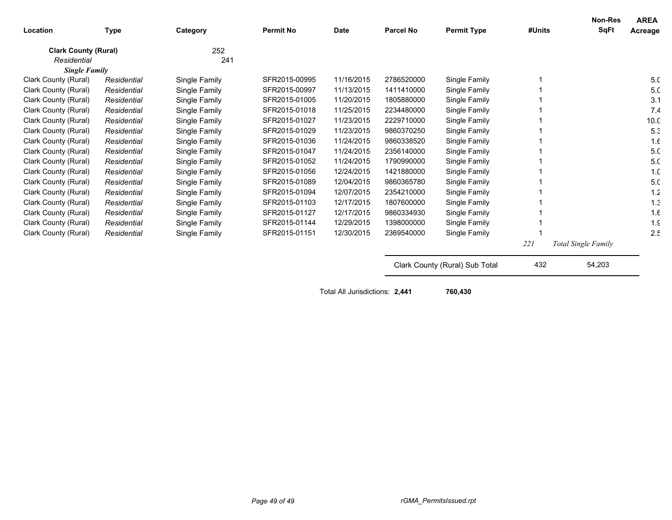| Location                    | Type        | Category      | <b>Permit No</b> | Date       | <b>Parcel No</b>               | <b>Permit Type</b> | #Units | <b>Non-Res</b><br>SqFt | <b>AREA</b><br>Acreage |
|-----------------------------|-------------|---------------|------------------|------------|--------------------------------|--------------------|--------|------------------------|------------------------|
| <b>Clark County (Rural)</b> |             | 252           |                  |            |                                |                    |        |                        |                        |
| Residential                 |             | 241           |                  |            |                                |                    |        |                        |                        |
| <b>Single Family</b>        |             |               |                  |            |                                |                    |        |                        |                        |
| Clark County (Rural)        | Residential | Single Family | SFR2015-00995    | 11/16/2015 | 2786520000                     | Single Family      |        |                        | 5. <sub>C</sub>        |
| Clark County (Rural)        | Residential | Single Family | SFR2015-00997    | 11/13/2015 | 1411410000                     | Single Family      |        |                        | 5. <sub>C</sub>        |
| Clark County (Rural)        | Residential | Single Family | SFR2015-01005    | 11/20/2015 | 1805880000                     | Single Family      |        |                        | 3.1                    |
| Clark County (Rural)        | Residential | Single Family | SFR2015-01018    | 11/25/2015 | 2234480000                     | Single Family      |        |                        | 7.4                    |
| Clark County (Rural)        | Residential | Single Family | SFR2015-01027    | 11/23/2015 | 2229710000                     | Single Family      |        |                        | 10 <sub>c</sub>        |
| Clark County (Rural)        | Residential | Single Family | SFR2015-01029    | 11/23/2015 | 9860370250                     | Single Family      |        |                        | 5.3                    |
| Clark County (Rural)        | Residential | Single Family | SFR2015-01036    | 11/24/2015 | 9860338520                     | Single Family      |        |                        | 1.6                    |
| Clark County (Rural)        | Residential | Single Family | SFR2015-01047    | 11/24/2015 | 2356140000                     | Single Family      |        |                        | 5.0                    |
| Clark County (Rural)        | Residential | Single Family | SFR2015-01052    | 11/24/2015 | 1790990000                     | Single Family      |        |                        | 5.0                    |
| Clark County (Rural)        | Residential | Single Family | SFR2015-01056    | 12/24/2015 | 1421880000                     | Single Family      |        |                        | 1. <sub>C</sub>        |
| Clark County (Rural)        | Residential | Single Family | SFR2015-01089    | 12/04/2015 | 9860365780                     | Single Family      |        |                        | 5.0                    |
| Clark County (Rural)        | Residential | Single Family | SFR2015-01094    | 12/07/2015 | 2354210000                     | Single Family      |        |                        | 1.2                    |
| Clark County (Rural)        | Residential | Single Family | SFR2015-01103    | 12/17/2015 | 1807600000                     | Single Family      |        |                        | 1.3                    |
| Clark County (Rural)        | Residential | Single Family | SFR2015-01127    | 12/17/2015 | 9860334930                     | Single Family      |        |                        | 1.6                    |
| Clark County (Rural)        | Residential | Single Family | SFR2015-01144    | 12/29/2015 | 1398000000                     | Single Family      |        |                        | $1.\mathcal{C}$        |
| Clark County (Rural)        | Residential | Single Family | SFR2015-01151    | 12/30/2015 | 2369540000                     | Single Family      |        |                        | 2.5                    |
|                             |             |               |                  |            |                                |                    | 221    | Total Single Family    |                        |
|                             |             |               |                  |            | Clark County (Rural) Sub Total |                    | 432    | 54,203                 |                        |

Total All Jurisdictions: **2,441 760,430**